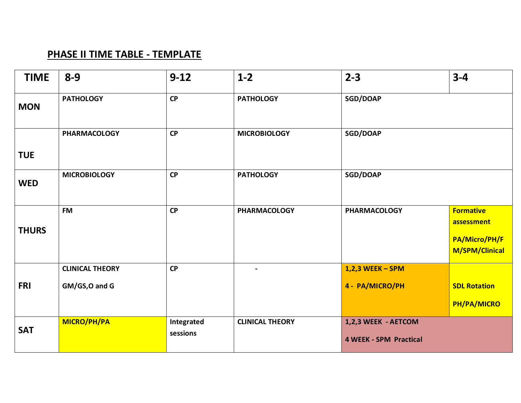#### **PHASE II TIME TABLE - TEMPLATE**

| <b>TIME</b>  | $8 - 9$                                  | $9 - 12$               | $1 - 2$                | $2 - 3$                                              | $3 - 4$                                                           |
|--------------|------------------------------------------|------------------------|------------------------|------------------------------------------------------|-------------------------------------------------------------------|
| <b>MON</b>   | <b>PATHOLOGY</b>                         | CP                     | <b>PATHOLOGY</b>       | SGD/DOAP                                             |                                                                   |
| <b>TUE</b>   | <b>PHARMACOLOGY</b>                      | CP                     | <b>MICROBIOLOGY</b>    | <b>SGD/DOAP</b>                                      |                                                                   |
| <b>WED</b>   | <b>MICROBIOLOGY</b>                      | CP                     | <b>PATHOLOGY</b>       | SGD/DOAP                                             |                                                                   |
| <b>THURS</b> | <b>FM</b>                                | CP                     | <b>PHARMACOLOGY</b>    | <b>PHARMACOLOGY</b>                                  | <b>Formative</b><br>assessment<br>PA/Micro/PH/F<br>M/SPM/Clinical |
| <b>FRI</b>   | <b>CLINICAL THEORY</b><br>GM/GS, O and G | <b>CP</b>              | $\blacksquare$         | $1,2,3$ WEEK - SPM<br>4 - PA/MICRO/PH                | <b>SDL Rotation</b><br>PH/PA/MICRO                                |
| <b>SAT</b>   | MICRO/PH/PA                              | Integrated<br>sessions | <b>CLINICAL THEORY</b> | 1,2,3 WEEK - AETCOM<br><b>4 WEEK - SPM Practical</b> |                                                                   |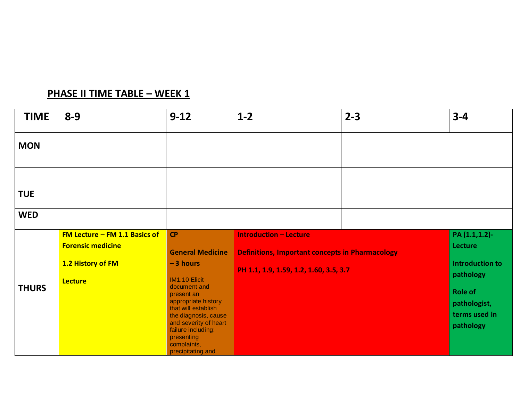### **PHASE II TIME TABLE – WEEK 1**

| <b>TIME</b>  | $8 - 9$                         | $9 - 12$                                                                                                                                                                                                           | $1-2$                                                  | $2 - 3$ | $3 - 4$                                                      |
|--------------|---------------------------------|--------------------------------------------------------------------------------------------------------------------------------------------------------------------------------------------------------------------|--------------------------------------------------------|---------|--------------------------------------------------------------|
| <b>MON</b>   |                                 |                                                                                                                                                                                                                    |                                                        |         |                                                              |
| <b>TUE</b>   |                                 |                                                                                                                                                                                                                    |                                                        |         |                                                              |
| <b>WED</b>   |                                 |                                                                                                                                                                                                                    |                                                        |         |                                                              |
|              | FM Lecture $-$ FM 1.1 Basics of | <b>CP</b>                                                                                                                                                                                                          | <b>Introduction - Lecture</b>                          |         | PA (1.1,1.2)-                                                |
|              | <b>Forensic medicine</b>        | <b>General Medicine</b>                                                                                                                                                                                            | <b>Definitions, Important concepts in Pharmacology</b> |         | Lecture                                                      |
|              | 1.2 History of FM               | $-3$ hours                                                                                                                                                                                                         | PH 1.1, 1.9, 1.59, 1.2, 1.60, 3.5, 3.7                 |         | <b>Introduction to</b><br>pathology                          |
| <b>THURS</b> | <b>Lecture</b>                  | IM1.10 Elicit<br>document and<br>present an<br>appropriate history<br>that will establish<br>the diagnosis, cause<br>and severity of heart<br>failure including:<br>presenting<br>complaints,<br>precipitating and |                                                        |         | <b>Role of</b><br>pathologist,<br>terms used in<br>pathology |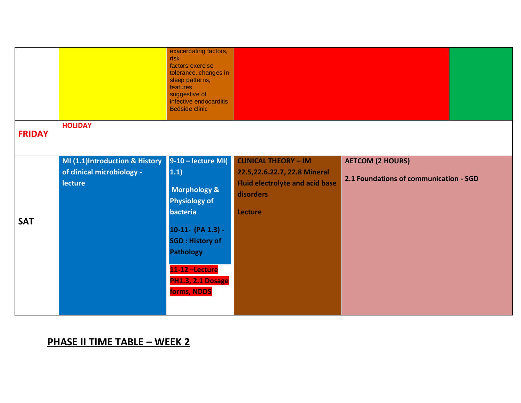|               |                                              | exacerbating factors,<br>risk<br>factors exercise<br>tolerance, changes in<br>sleep patterns,<br>features<br>suggestive of<br>infective endocarditis<br><b>Bedside clinic</b> |                                                                                                              |                                        |  |
|---------------|----------------------------------------------|-------------------------------------------------------------------------------------------------------------------------------------------------------------------------------|--------------------------------------------------------------------------------------------------------------|----------------------------------------|--|
| <b>FRIDAY</b> | <b>HOLIDAY</b>                               |                                                                                                                                                                               |                                                                                                              |                                        |  |
|               | MI (1.1)Introduction & History               | 9-10 - lecture MI(                                                                                                                                                            | <b>CLINICAL THEORY - IM</b>                                                                                  | <b>AETCOM (2 HOURS)</b>                |  |
|               | of clinical microbiology -<br><b>lecture</b> | 1.1)<br>Morphology &<br><b>Physiology of</b><br>bacteria                                                                                                                      | 22.5,22.6.22.7, 22.8 Mineral<br><b>Fluid electrolyte and acid base</b><br><b>disorders</b><br><b>Lecture</b> | 2.1 Foundations of communication - SGD |  |
| <b>SAT</b>    |                                              | $10-11-$ (PA 1.3) -<br><b>SGD: History of</b><br><b>Pathology</b><br>11-12 -Lecture<br>PH1.3, 2.1 Dosage                                                                      |                                                                                                              |                                        |  |
|               |                                              | forms, NDDS                                                                                                                                                                   |                                                                                                              |                                        |  |

#### **PHASE II TIME TABLE – WEEK 2**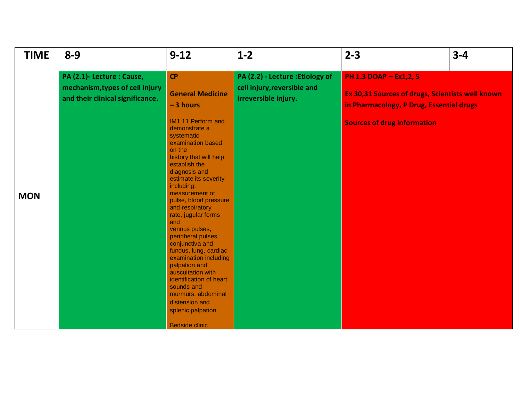| <b>TIME</b> | $8 - 9$                                                                                           | $9 - 12$                                                                                                                                                                                                                                                                                                                                                                                                                                                                                                                                                                                                                | $1 - 2$                                                                                 | $2 - 3$                                                                                                                                                      | $3 - 4$ |
|-------------|---------------------------------------------------------------------------------------------------|-------------------------------------------------------------------------------------------------------------------------------------------------------------------------------------------------------------------------------------------------------------------------------------------------------------------------------------------------------------------------------------------------------------------------------------------------------------------------------------------------------------------------------------------------------------------------------------------------------------------------|-----------------------------------------------------------------------------------------|--------------------------------------------------------------------------------------------------------------------------------------------------------------|---------|
| <b>MON</b>  | PA (2.1)- Lecture : Cause,<br>mechanism, types of cell injury<br>and their clinical significance. | <b>CP</b><br><b>General Medicine</b><br>$-3$ hours<br>IM1.11 Perform and<br>demonstrate a<br>systematic<br>examination based<br>on the<br>history that will help<br>establish the<br>diagnosis and<br>estimate its severity<br>including:<br>measurement of<br>pulse, blood pressure<br>and respiratory<br>rate, jugular forms<br>and<br>venous pulses,<br>peripheral pulses,<br>conjunctiva and<br>fundus, lung, cardiac<br>examination including<br>palpation and<br>auscultation with<br>identification of heart<br>sounds and<br>murmurs, abdominal<br>distension and<br>splenic palpation<br><b>Bedside clinic</b> | PA (2.2) - Lecture : Etiology of<br>cell injury, reversible and<br>irreversible injury. | PH 1.3 DOAP - Ex1,2, 5<br>Ex 30,31 Sources of drugs, Scientists well known<br>in Pharmacology, P Drug, Essential drugs<br><b>Sources of drug information</b> |         |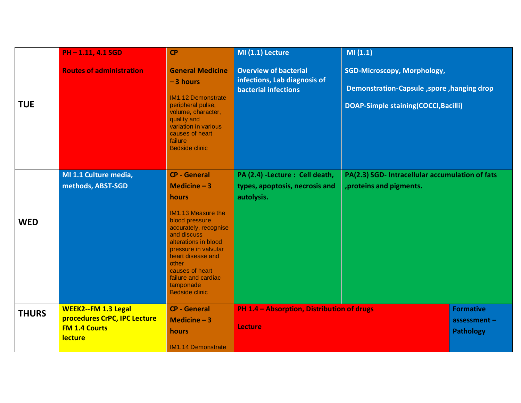|              | PH-1.11, 4.1 SGD                                                                              | <b>CP</b>                                                                                                                                                                                                                 | MI (1.1) Lecture                                                                            | MI(1.1)                                                                                                                         |                                                        |
|--------------|-----------------------------------------------------------------------------------------------|---------------------------------------------------------------------------------------------------------------------------------------------------------------------------------------------------------------------------|---------------------------------------------------------------------------------------------|---------------------------------------------------------------------------------------------------------------------------------|--------------------------------------------------------|
| <b>TUE</b>   | <b>Routes of administration</b>                                                               | <b>General Medicine</b><br>$-3$ hours<br><b>IM1.12 Demonstrate</b><br>peripheral pulse,<br>volume, character,<br>quality and<br>variation in various<br>causes of heart<br>failure<br><b>Bedside clinic</b>               | <b>Overview of bacterial</b><br>infections, Lab diagnosis of<br><b>bacterial infections</b> | <b>SGD-Microscopy, Morphology,</b><br>Demonstration-Capsule, spore, hanging drop<br><b>DOAP-Simple staining(COCCI, Bacilli)</b> |                                                        |
| <b>WED</b>   | MI 1.1 Culture media,<br>methods, ABST-SGD                                                    | <b>CP - General</b><br>Medicine $-3$<br><b>hours</b><br><b>IM1.13 Measure the</b><br>blood pressure<br>accurately, recognise<br>and discuss<br>alterations in blood<br>pressure in valvular<br>heart disease and<br>other | PA (2.4) -Lecture : Cell death,<br>types, apoptosis, necrosis and<br>autolysis.             | PA(2.3) SGD- Intracellular accumulation of fats<br>, proteins and pigments.                                                     |                                                        |
|              |                                                                                               | causes of heart<br>failure and cardiac<br>tamponade<br><b>Bedside clinic</b>                                                                                                                                              |                                                                                             |                                                                                                                                 |                                                        |
| <b>THURS</b> | <b>WEEK2--FM 1.3 Legal</b><br>procedures CrPC, IPC Lecture<br><b>FM 1.4 Courts</b><br>lecture | <b>CP - General</b><br>Medicine $-3$<br>hours<br><b>IM1.14 Demonstrate</b>                                                                                                                                                | PH 1.4 - Absorption, Distribution of drugs<br><b>Lecture</b>                                |                                                                                                                                 | <b>Formative</b><br>assessment $-$<br><b>Pathology</b> |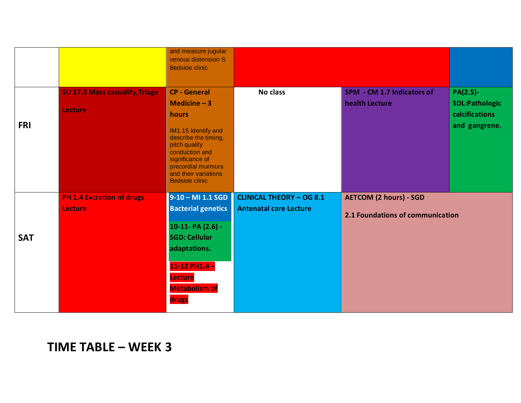|            |                                       | and measure jugular<br>venous distension S<br><b>Bedside clinic</b>                                                                                                      |                                 |                                  |                                         |
|------------|---------------------------------------|--------------------------------------------------------------------------------------------------------------------------------------------------------------------------|---------------------------------|----------------------------------|-----------------------------------------|
|            |                                       |                                                                                                                                                                          |                                 |                                  |                                         |
|            | <b>SU 17.3 Mass casuality, Triage</b> | <b>CP - General</b>                                                                                                                                                      | No class                        | SPM - CM 1.7 Indicators of       | PA(2.5)-                                |
|            | Lecture                               | Medicine $-3$<br>hours                                                                                                                                                   |                                 | health Lecture                   | <b>SDL:Pathologic</b><br>calcifications |
| <b>FRI</b> |                                       | IM1.15 Identify and<br>describe the timing,<br>pitch quality<br>conduction and<br>significance of<br>precordial murmurs<br>and their variations<br><b>Bedside clinic</b> |                                 |                                  | and gangrene.                           |
|            | <b>PH 1.4 Excretion of drugs</b>      | $9-10 - M11.1 SGD$                                                                                                                                                       | <b>CLINICAL THEORY - OG 8.1</b> | <b>AETCOM (2 hours) - SGD</b>    |                                         |
|            | <b>Lecture</b>                        | <b>Bacterial genetics</b>                                                                                                                                                | <b>Antenatal care Lecture</b>   | 2.1 Foundations of communication |                                         |
|            |                                       | 10-11- PA (2.6) -                                                                                                                                                        |                                 |                                  |                                         |
| <b>SAT</b> |                                       | <b>SGD: Cellular</b>                                                                                                                                                     |                                 |                                  |                                         |
|            |                                       | adaptations.                                                                                                                                                             |                                 |                                  |                                         |
|            |                                       | $11-12$ PH1.4 -                                                                                                                                                          |                                 |                                  |                                         |
|            |                                       | <b>Lecture</b>                                                                                                                                                           |                                 |                                  |                                         |
|            |                                       | <b>Metabolism of</b>                                                                                                                                                     |                                 |                                  |                                         |
|            |                                       | drugs                                                                                                                                                                    |                                 |                                  |                                         |

### **TIME TABLE – WEEK 3**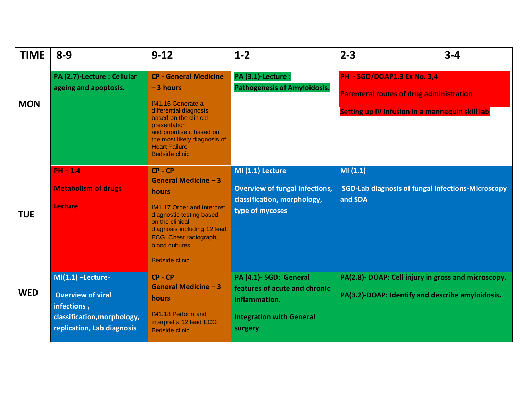| <b>TIME</b> | $8 - 9$                                                                                                                     | $9 - 12$                                                                                                                                                                                                                                          | $1 - 2$                                                                                                                | $2 - 3$<br>$3 - 4$                                                                                                                |
|-------------|-----------------------------------------------------------------------------------------------------------------------------|---------------------------------------------------------------------------------------------------------------------------------------------------------------------------------------------------------------------------------------------------|------------------------------------------------------------------------------------------------------------------------|-----------------------------------------------------------------------------------------------------------------------------------|
| <b>MON</b>  | PA (2.7)-Lecture : Cellular<br>ageing and apoptosis.                                                                        | <b>CP - General Medicine</b><br>$-3$ hours<br>IM1.16 Generate a<br>differential diagnosis<br>based on the clinical<br>presentation<br>and prioritise it based on<br>the most likely diagnosis of<br><b>Heart Failure</b><br><b>Bedside clinic</b> | PA (3.1)-Lecture :<br><b>Pathogenesis of Amyloidosis.</b>                                                              | PH - SGD/DOAP1.3 Ex No. 3,4<br><b>Parenteral routes of drug administration</b><br>Setting up IV infusion in a mannequin skill lab |
| <b>TUE</b>  | $PH - 1.4$<br><b>Metabolism of drugs</b><br><b>Lecture</b>                                                                  | $CP - CP$<br>General Medicine - 3<br>hours<br><b>IM1.17 Order and interpret</b><br>diagnostic testing based<br>on the clinical<br>diagnosis including 12 lead<br>ECG, Chest radiograph,<br>blood cultures<br><b>Bedside clinic</b>                | MI (1.1) Lecture<br><b>Overview of fungal infections,</b><br>classification, morphology,<br>type of mycoses            | MI(1.1)<br><b>SGD-Lab diagnosis of fungal infections-Microscopy</b><br>and SDA                                                    |
| <b>WED</b>  | $MI(1.1)$ -Lecture-<br><b>Overview of viral</b><br>infections,<br>classification, morphology,<br>replication, Lab diagnosis | $CP - CP$<br>General Medicine - 3<br>hours<br><b>IM1.18 Perform and</b><br>interpret a 12 lead ECG<br><b>Bedside clinic</b>                                                                                                                       | PA (4.1)- SGD: General<br>features of acute and chronic<br>inflammation.<br><b>Integration with General</b><br>surgery | PA(2.8)- DOAP: Cell injury in gross and microscopy.<br>PA(3.2)-DOAP: Identify and describe amyloidosis.                           |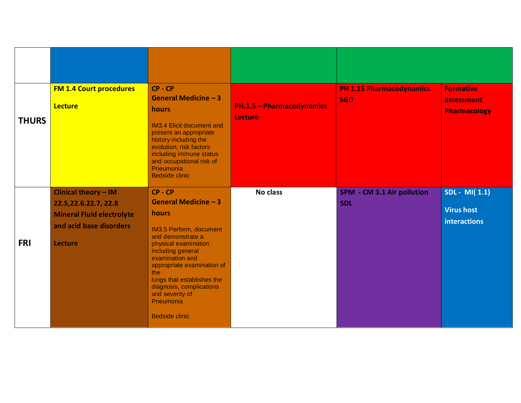| <b>THURS</b> | <b>FM 1.4 Court procedures</b><br><b>Lecture</b>                                                                                | $CP - CP$<br>General Medicine $-3$<br>hours<br><b>IM3.4 Elicit document and</b><br>present an appropriate<br>history including the<br>evolution, risk factors<br>including immune status<br>and occupational risk of<br>Pneumonia<br><b>Bedside clinic</b>                                                         | <b>PH.1.5 - Pharmacodynamics</b><br><b>Lecture</b> | <b>PH 1.15 Pharmacodynamics</b><br><b>SGD</b> | <b>Formative</b><br>assessment<br><b>Pharmacology</b>     |
|--------------|---------------------------------------------------------------------------------------------------------------------------------|--------------------------------------------------------------------------------------------------------------------------------------------------------------------------------------------------------------------------------------------------------------------------------------------------------------------|----------------------------------------------------|-----------------------------------------------|-----------------------------------------------------------|
| <b>FRI</b>   | Clinical theory - IM<br>22.5, 22.6. 22.7, 22.8<br><b>Mineral Fluid electrolyte</b><br>and acid base disorders<br><b>Lecture</b> | $CP - CP$<br>General Medicine - 3<br>hours<br>IM3.5 Perform, document<br>and demonstrate a<br>physical examination<br>including general<br>examination and<br>appropriate examination of<br>the<br>lungs that establishes the<br>diagnosis, complications<br>and severity of<br>Pneumonia<br><b>Bedside clinic</b> | <b>No class</b>                                    | SPM - CM 3.1 Air pollution<br><b>SDL</b>      | SDL - MI(1.1)<br><b>Virus host</b><br><b>interactions</b> |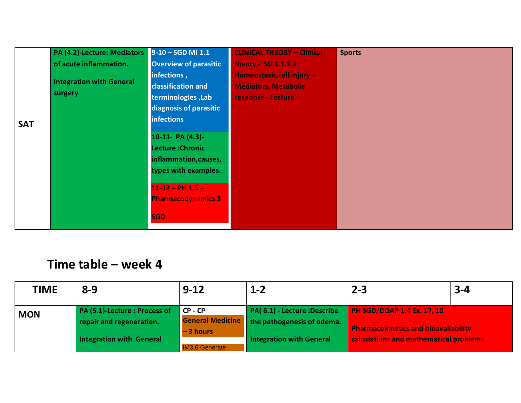|            | PA (4.2)-Lecture: Mediators 9-10 - SGD MI 1.1 |                                                                                                                                                         | <b>CLINICAL THEORY - Clinical</b> | <b>Sports</b> |
|------------|-----------------------------------------------|---------------------------------------------------------------------------------------------------------------------------------------------------------|-----------------------------------|---------------|
|            | of acute inflammation.                        | <b>Overview of parasitic</b>                                                                                                                            | theory - SU 1.1,1.2               |               |
|            |                                               | infections,                                                                                                                                             | Homeostasis, cell injury -        |               |
|            | <b>Integration with General</b>               | <b>classification and</b>                                                                                                                               | <b>Mediators, Metabolic</b>       |               |
|            | surgery                                       | terminologies, Lab                                                                                                                                      | response - Lecture                |               |
|            |                                               | diagnosis of parasitic                                                                                                                                  |                                   |               |
| <b>SAT</b> |                                               | <b>infections</b>                                                                                                                                       |                                   |               |
|            |                                               | 10-11- PA (4.3)-<br>Lecture : Chronic<br>inflammation, causes,<br>types with examples.<br>$11-12 - PH$ 1.5 -<br><b>Pharmacodynamics 3</b><br><b>SGD</b> |                                   |               |

| <b>TIME</b> | $8 - 9$                                                                                      | $9 - 12$                                                                  | $1 - 2$                                                                                       | $2 - 3$                                                                                                                    | $3 - 4$ |
|-------------|----------------------------------------------------------------------------------------------|---------------------------------------------------------------------------|-----------------------------------------------------------------------------------------------|----------------------------------------------------------------------------------------------------------------------------|---------|
| <b>MON</b>  | PA (5.1)-Lecture : Process of<br>repair and regeneration.<br><b>Integration with General</b> | CP - CP<br><b>General Medicine</b><br>$-3$ hours<br><b>IM3.6 Generate</b> | PA(6.1) - Lecture : Describe<br>the pathogenesis of odema.<br><b>Integration with General</b> | <b>PH SGD/DOAP 1.4 Ex. 17, 18</b><br><b>Pharmacokinetics and bioavailability</b><br>calculations and mathematical problems |         |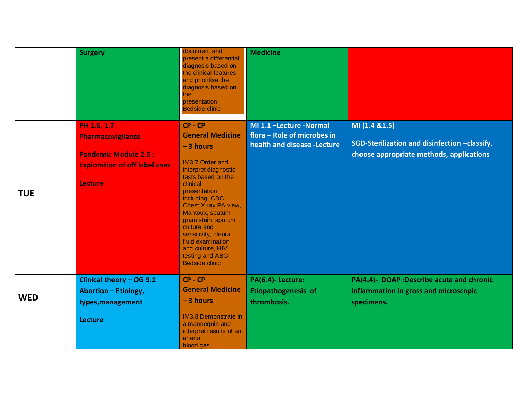|            | <b>Surgery</b>                                                                                                            | document and<br>present a differential<br>diagnosis based on<br>the clinical features,<br>and prioritise the<br>diagnosis based on<br>the<br>presentation<br><b>Bedside clinic</b>                                                                                                                                                                          | <b>Medicine</b>                                                                       |                                                                                                             |
|------------|---------------------------------------------------------------------------------------------------------------------------|-------------------------------------------------------------------------------------------------------------------------------------------------------------------------------------------------------------------------------------------------------------------------------------------------------------------------------------------------------------|---------------------------------------------------------------------------------------|-------------------------------------------------------------------------------------------------------------|
| <b>TUE</b> | PH 1.6, 1.7<br>Pharmacovigilance<br><b>Pandemic Module 2.5:</b><br><b>Exploration of off label uses</b><br><b>Lecture</b> | CP-CP<br><b>General Medicine</b><br>$-3$ hours<br>IM3.7 Order and<br>interpret diagnostic<br>tests based on the<br>clinical<br>presentation<br>including: CBC,<br>Chest X ray PA view,<br>Mantoux, sputum<br>gram stain, sputum<br>culture and<br>sensitivity, pleural<br>fluid examination<br>and culture, HIV<br>testing and ABG<br><b>Bedside clinic</b> | MI 1.1 -Lecture -Normal<br>flora - Role of microbes in<br>health and disease -Lecture | MI (1.4 & 1.5)<br>SGD-Sterilization and disinfection -classify,<br>choose appropriate methods, applications |
| <b>WED</b> | Clinical theory - OG 9.1<br><b>Abortion - Etiology,</b><br>types, management<br><b>Lecture</b>                            | CP-CP<br><b>General Medicine</b><br>$-3$ hours<br><b>IM3.8 Demonstrate in</b><br>a mannequin and<br>interpret results of an<br>arterial<br>blood gas                                                                                                                                                                                                        | PA(6.4)-Lecture:<br><b>Etiopathogenesis of</b><br>thrombosis.                         | PA(4.4)- DOAP :Describe acute and chronic<br>inflammation in gross and microscopic<br>specimens.            |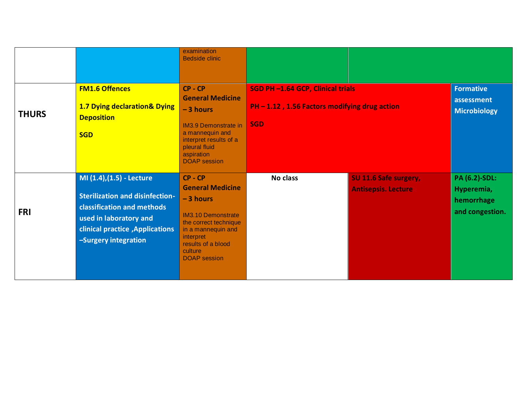|              |                                                                                                                                                                                                | examination<br><b>Bedside clinic</b>                                                                                                                                                                |                                                                                                 |                                                     |                                                                     |
|--------------|------------------------------------------------------------------------------------------------------------------------------------------------------------------------------------------------|-----------------------------------------------------------------------------------------------------------------------------------------------------------------------------------------------------|-------------------------------------------------------------------------------------------------|-----------------------------------------------------|---------------------------------------------------------------------|
| <b>THURS</b> | <b>FM1.6 Offences</b><br><b>1.7 Dying declaration&amp; Dying</b><br><b>Deposition</b><br><b>SGD</b>                                                                                            | $CP - CP$<br><b>General Medicine</b><br>$-3$ hours<br><b>IM3.9 Demonstrate in</b><br>a mannequin and<br>interpret results of a<br>pleural fluid<br>aspiration<br><b>DOAP</b> session                | SGD PH-1.64 GCP, Clinical trials<br>PH - 1.12, 1.56 Factors modifying drug action<br><b>SGD</b> |                                                     | <b>Formative</b><br>assessment<br><b>Microbiology</b>               |
| <b>FRI</b>   | MI (1.4), (1.5) - Lecture<br><b>Sterilization and disinfection-</b><br>classification and methods<br>used in laboratory and<br><b>clinical practice , Applications</b><br>-Surgery integration | $CP - CP$<br><b>General Medicine</b><br>$-3$ hours<br><b>IM3.10 Demonstrate</b><br>the correct technique<br>in a mannequin and<br>interpret<br>results of a blood<br>culture<br><b>DOAP</b> session | No class                                                                                        | SU 11.6 Safe surgery,<br><b>Antisepsis. Lecture</b> | <b>PA (6.2)-SDL:</b><br>Hyperemia,<br>hemorrhage<br>and congestion. |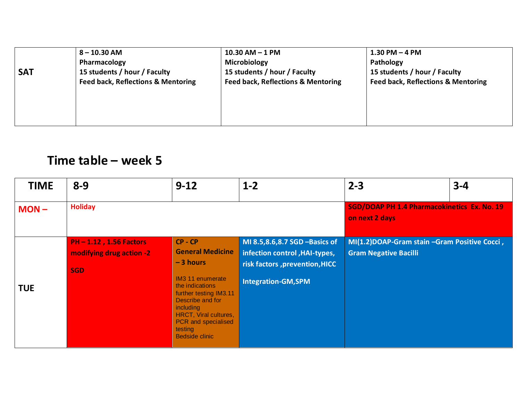|            | $8 - 10.30$ AM                                | $10.30$ AM $-$ 1 PM                           | $1.30$ PM $-$ 4 PM                            |
|------------|-----------------------------------------------|-----------------------------------------------|-----------------------------------------------|
|            | Pharmacology                                  | Microbiology                                  | Pathology                                     |
| <b>SAT</b> | 15 students / hour / Faculty                  | 15 students / hour / Faculty                  | 15 students / hour / Faculty                  |
|            | <b>Feed back, Reflections &amp; Mentoring</b> | <b>Feed back, Reflections &amp; Mentoring</b> | <b>Feed back, Reflections &amp; Mentoring</b> |
|            |                                               |                                               |                                               |
|            |                                               |                                               |                                               |
|            |                                               |                                               |                                               |
|            |                                               |                                               |                                               |

| <b>TIME</b> | $8 - 9$                                                                | $9 - 12$                                                                                                                                                                                                                                 | $1 - 2$                                                                                                                        | $2 - 3$                                                                      | $3 - 4$ |
|-------------|------------------------------------------------------------------------|------------------------------------------------------------------------------------------------------------------------------------------------------------------------------------------------------------------------------------------|--------------------------------------------------------------------------------------------------------------------------------|------------------------------------------------------------------------------|---------|
| $MON -$     | <b>Holiday</b>                                                         |                                                                                                                                                                                                                                          | <b>SGD/DOAP PH 1.4 Pharmacokinetics Ex. No. 19</b><br>on next 2 days                                                           |                                                                              |         |
| <b>TUE</b>  | <b>PH-1.12, 1.56 Factors</b><br>modifying drug action -2<br><b>SGD</b> | $CP - CP$<br><b>General Medicine</b><br>$-3$ hours<br><b>IM3 11 enumerate</b><br>the indications<br>further testing IM3.11<br>Describe and for<br>including<br>HRCT, Viral cultures,<br>PCR and specialised<br>testing<br>Bedside clinic | MI 8.5,8.6,8.7 SGD -Basics of<br>infection control, HAI-types,<br>risk factors , prevention, HICC<br><b>Integration-GM,SPM</b> | MI(1.2)DOAP-Gram stain -Gram Positive Cocci,<br><b>Gram Negative Bacilli</b> |         |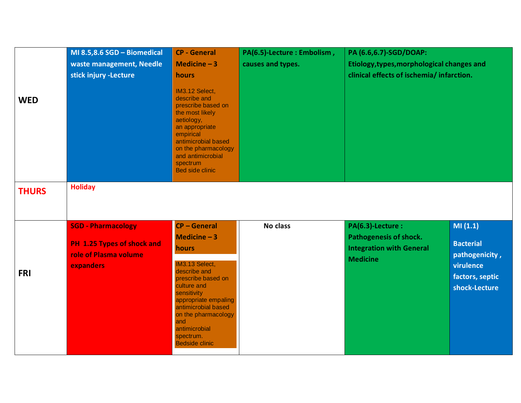|              | MI 8.5,8.6 SGD - Biomedical                         | <b>CP - General</b>                                                                                                                                                                                                                    | PA(6.5)-Lecture : Embolism, | PA (6.6,6.7)-SGD/DOAP:<br>Etiology, types, morphological changes and<br>clinical effects of ischemia/infarction. |                                    |
|--------------|-----------------------------------------------------|----------------------------------------------------------------------------------------------------------------------------------------------------------------------------------------------------------------------------------------|-----------------------------|------------------------------------------------------------------------------------------------------------------|------------------------------------|
|              | waste management, Needle                            | Medicine $-3$                                                                                                                                                                                                                          | causes and types.           |                                                                                                                  |                                    |
| <b>WED</b>   | stick injury -Lecture                               | hours<br>IM3.12 Select,<br>describe and<br>prescribe based on<br>the most likely<br>aetiology,<br>an appropriate<br>empirical<br>antimicrobial based<br>on the pharmacology<br>and antimicrobial<br>spectrum<br><b>Bed side clinic</b> |                             |                                                                                                                  |                                    |
| <b>THURS</b> | <b>Holiday</b>                                      |                                                                                                                                                                                                                                        |                             |                                                                                                                  |                                    |
|              |                                                     |                                                                                                                                                                                                                                        |                             |                                                                                                                  |                                    |
|              | <b>SGD - Pharmacology</b>                           | <b>CP-General</b>                                                                                                                                                                                                                      | No class                    | PA(6.3)-Lecture :                                                                                                | MI(1.1)                            |
|              |                                                     | Medicine $-3$                                                                                                                                                                                                                          |                             | Pathogenesis of shock.                                                                                           |                                    |
|              | PH 1.25 Types of shock and<br>role of Plasma volume | hours                                                                                                                                                                                                                                  |                             | <b>Integration with General</b><br><b>Medicine</b>                                                               | <b>Bacterial</b><br>pathogenicity, |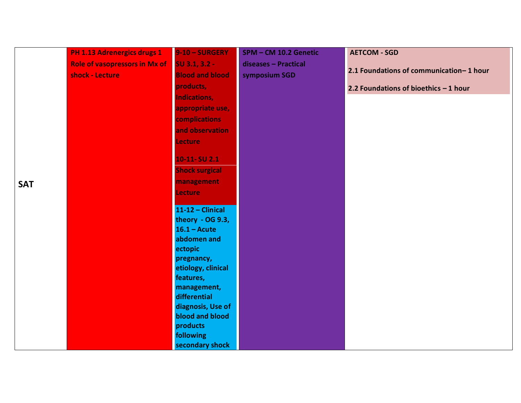|            | <b>PH 1.13 Adrenergics drugs 1</b>   | 9-10 - SURGERY         | SPM - CM 10.2 Genetic | <b>AETCOM - SGD</b>                     |
|------------|--------------------------------------|------------------------|-----------------------|-----------------------------------------|
|            | <b>Role of vasopressors in Mx of</b> | $SU$ 3.1, 3.2 -        | diseases - Practical  |                                         |
|            | shock - Lecture                      | <b>Blood and blood</b> | symposium SGD         | 2.1 Foundations of communication-1 hour |
|            |                                      | products,              |                       | 2.2 Foundations of bioethics - 1 hour   |
|            |                                      | <b>Indications,</b>    |                       |                                         |
|            |                                      | appropriate use,       |                       |                                         |
|            |                                      | <b>complications</b>   |                       |                                         |
|            |                                      | and observation        |                       |                                         |
|            |                                      | <b>Lecture</b>         |                       |                                         |
|            |                                      | 10-11-SU 2.1           |                       |                                         |
|            |                                      | <b>Shock surgical</b>  |                       |                                         |
|            |                                      |                        |                       |                                         |
| <b>SAT</b> |                                      | management             |                       |                                         |
|            |                                      | <b>Lecture</b>         |                       |                                         |
|            |                                      | $11-12$ - Clinical     |                       |                                         |
|            |                                      | theory - OG 9.3,       |                       |                                         |
|            |                                      | $16.1 - Acute$         |                       |                                         |
|            |                                      | abdomen and            |                       |                                         |
|            |                                      | ectopic                |                       |                                         |
|            |                                      | pregnancy,             |                       |                                         |
|            |                                      | etiology, clinical     |                       |                                         |
|            |                                      | features,              |                       |                                         |
|            |                                      | management,            |                       |                                         |
|            |                                      | differential           |                       |                                         |
|            |                                      | diagnosis, Use of      |                       |                                         |
|            |                                      | blood and blood        |                       |                                         |
|            |                                      | products               |                       |                                         |
|            |                                      | following              |                       |                                         |
|            |                                      | secondary shock        |                       |                                         |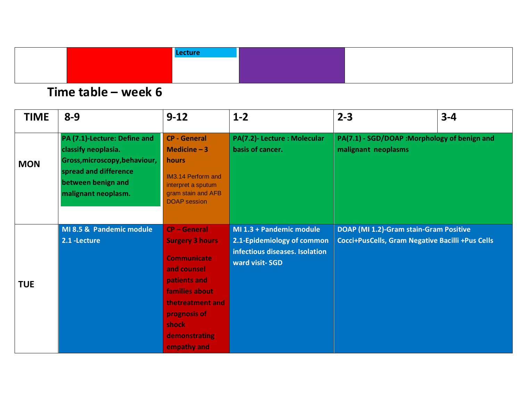|  | Lecture |  |
|--|---------|--|
|  |         |  |
|  |         |  |

| <b>TIME</b> | $8 - 9$                                                                                                                                                    | $9 - 12$                                                                                                                                                                                               | $1 - 2$                                                                                                    | $2 - 3$                                                                                    | $3 - 4$ |
|-------------|------------------------------------------------------------------------------------------------------------------------------------------------------------|--------------------------------------------------------------------------------------------------------------------------------------------------------------------------------------------------------|------------------------------------------------------------------------------------------------------------|--------------------------------------------------------------------------------------------|---------|
| <b>MON</b>  | PA (7.1)-Lecture: Define and<br>classify neoplasia.<br>Gross, microscopy, behaviour,<br>spread and difference<br>between benign and<br>malignant neoplasm. | <b>CP - General</b><br>Medicine $-3$<br>hours<br><b>IM3.14 Perform and</b><br>interpret a sputum<br>gram stain and AFB<br><b>DOAP</b> session                                                          | PA(7.2)- Lecture : Molecular<br>basis of cancer.                                                           | PA(7.1) - SGD/DOAP : Morphology of benign and<br>malignant neoplasms                       |         |
| <b>TUE</b>  | MI 8.5 & Pandemic module<br>2.1 - Lecture                                                                                                                  | <b>CP-General</b><br><b>Surgery 3 hours</b><br><b>Communicate</b><br>and counsel<br>patients and<br>families about<br>thetreatment and<br>prognosis of<br>shock<br><b>demonstrating</b><br>empathy and | MI 1.3 + Pandemic module<br>2.1-Epidemiology of common<br>infectious diseases. Isolation<br>ward visit-SGD | DOAP (MI 1.2)-Gram stain-Gram Positive<br>Cocci+PusCells, Gram Negative Bacilli +Pus Cells |         |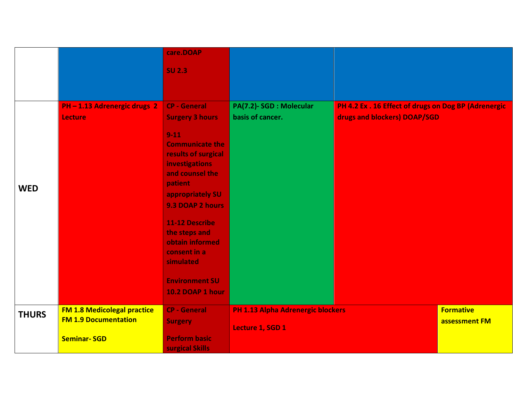|              |                                    | care.DOAP                  |                                          |                                                      |                  |
|--------------|------------------------------------|----------------------------|------------------------------------------|------------------------------------------------------|------------------|
|              |                                    | <b>SU 2.3</b>              |                                          |                                                      |                  |
|              |                                    |                            |                                          |                                                      |                  |
|              |                                    |                            |                                          |                                                      |                  |
|              | PH-1.13 Adrenergic drugs 2         | <b>CP - General</b>        | PA(7.2)-SGD : Molecular                  | PH 4.2 Ex . 16 Effect of drugs on Dog BP (Adrenergic |                  |
|              | <b>Lecture</b>                     | <b>Surgery 3 hours</b>     | basis of cancer.                         | drugs and blockers) DOAP/SGD                         |                  |
|              |                                    | $9 - 11$                   |                                          |                                                      |                  |
|              |                                    | <b>Communicate the</b>     |                                          |                                                      |                  |
|              |                                    | results of surgical        |                                          |                                                      |                  |
|              |                                    | <b>investigations</b>      |                                          |                                                      |                  |
|              |                                    | and counsel the<br>patient |                                          |                                                      |                  |
| <b>WED</b>   |                                    | appropriately SU           |                                          |                                                      |                  |
|              |                                    | 9.3 DOAP 2 hours           |                                          |                                                      |                  |
|              |                                    |                            |                                          |                                                      |                  |
|              |                                    | <b>11-12 Describe</b>      |                                          |                                                      |                  |
|              |                                    | the steps and              |                                          |                                                      |                  |
|              |                                    | obtain informed            |                                          |                                                      |                  |
|              |                                    | consent in a<br>simulated  |                                          |                                                      |                  |
|              |                                    |                            |                                          |                                                      |                  |
|              |                                    | <b>Environment SU</b>      |                                          |                                                      |                  |
|              |                                    | 10.2 DOAP 1 hour           |                                          |                                                      |                  |
| <b>THURS</b> | <b>FM 1.8 Medicolegal practice</b> | <b>CP - General</b>        | <b>PH 1.13 Alpha Adrenergic blockers</b> |                                                      | <b>Formative</b> |
|              | <b>FM 1.9 Documentation</b>        | <b>Surgery</b>             | Lecture 1, SGD 1                         |                                                      | assessment FM    |
|              | <b>Seminar-SGD</b>                 | <b>Perform basic</b>       |                                          |                                                      |                  |
|              |                                    | surgical Skills            |                                          |                                                      |                  |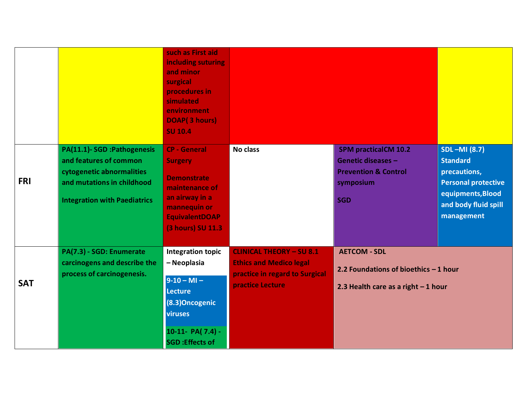|            |                                                                                                                                                        | such as First aid<br>including suturing<br>and minor<br>surgical<br>procedures in<br>simulated<br>environment<br>DOAP(3 hours)<br><b>SU 10.4</b>              |                                                                                                                         |                                                                                                                 |                                                                                                                                                 |
|------------|--------------------------------------------------------------------------------------------------------------------------------------------------------|---------------------------------------------------------------------------------------------------------------------------------------------------------------|-------------------------------------------------------------------------------------------------------------------------|-----------------------------------------------------------------------------------------------------------------|-------------------------------------------------------------------------------------------------------------------------------------------------|
| <b>FRI</b> | PA(11.1)-SGD :Pathogenesis<br>and features of common<br>cytogenetic abnormalities<br>and mutations in childhood<br><b>Integration with Paediatrics</b> | <b>CP - General</b><br><b>Surgery</b><br><b>Demonstrate</b><br>maintenance of<br>an airway in a<br>mannequin or<br><b>EquivalentDOAP</b><br>(3 hours) SU 11.3 | <b>No class</b>                                                                                                         | <b>SPM practicalCM 10.2</b><br>Genetic diseases -<br><b>Prevention &amp; Control</b><br>symposium<br><b>SGD</b> | <b>SDL-MI (8.7)</b><br><b>Standard</b><br>precautions,<br><b>Personal protective</b><br>equipments, Blood<br>and body fluid spill<br>management |
| <b>SAT</b> | PA(7.3) - SGD: Enumerate<br>carcinogens and describe the<br>process of carcinogenesis.                                                                 | <b>Integration topic</b><br>- Neoplasia<br>$9-10-MI -$<br><b>Lecture</b><br>(8.3) Oncogenic<br>viruses<br>10-11- PA( $7.4$ ) -<br><b>SGD</b> : Effects of     | <b>CLINICAL THEORY - SU 8.1</b><br><b>Ethics and Medico legal</b><br>practice in regard to Surgical<br>practice Lecture | <b>AETCOM - SDL</b><br>2.2 Foundations of bioethics - 1 hour<br>2.3 Health care as a right $-1$ hour            |                                                                                                                                                 |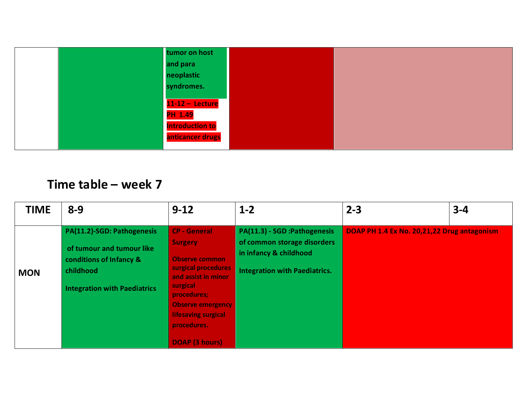| tumor on host          |  |
|------------------------|--|
| and para               |  |
| neoplastic             |  |
| syndromes.             |  |
|                        |  |
| $11-12 -$ Lecture      |  |
| <b>PH 1.49</b>         |  |
| <b>Introduction to</b> |  |
| anticancer drugs       |  |
|                        |  |

| <b>TIME</b> | $8 - 9$                                                                                                                                | $9 - 12$                                                                                                                                                                                                                           | $1 - 2$                                                                                                                        | $2 - 3$                                     | $3 - 4$ |
|-------------|----------------------------------------------------------------------------------------------------------------------------------------|------------------------------------------------------------------------------------------------------------------------------------------------------------------------------------------------------------------------------------|--------------------------------------------------------------------------------------------------------------------------------|---------------------------------------------|---------|
| <b>MON</b>  | PA(11.2)-SGD: Pathogenesis<br>of tumour and tumour like<br>conditions of Infancy &<br>childhood<br><b>Integration with Paediatrics</b> | <b>CP - General</b><br><b>Surgery</b><br><b>Observe common</b><br>surgical procedures<br>and assist in minor<br>surgical<br>procedures;<br><b>Observe emergency</b><br>lifesaving surgical<br>procedures.<br><b>DOAP (3 hours)</b> | PA(11.3) - SGD : Pathogenesis<br>of common storage disorders<br>in infancy & childhood<br><b>Integration with Paediatrics.</b> | DOAP PH 1.4 Ex No. 20,21,22 Drug antagonism |         |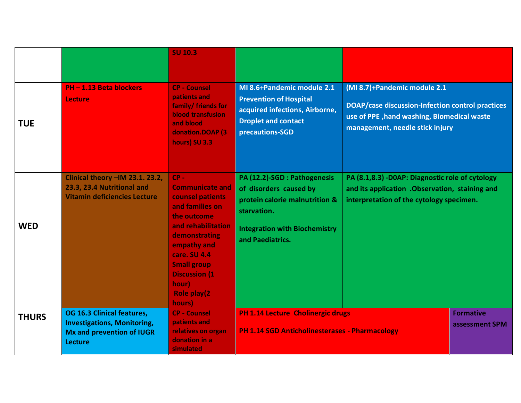|              |                                                                                                                        | <b>SU 10.3</b>                                                                                                                                                                                                                                |                                                                                                                                                                     |                                                                                                                                                                   |                |
|--------------|------------------------------------------------------------------------------------------------------------------------|-----------------------------------------------------------------------------------------------------------------------------------------------------------------------------------------------------------------------------------------------|---------------------------------------------------------------------------------------------------------------------------------------------------------------------|-------------------------------------------------------------------------------------------------------------------------------------------------------------------|----------------|
| <b>TUE</b>   | <b>PH-1.13 Beta blockers</b><br><b>Lecture</b>                                                                         | <b>CP - Counsel</b><br>patients and<br>family/ friends for<br><b>blood transfusion</b><br>and blood<br>donation.DOAP (3)<br>hours) SU 3.3                                                                                                     | MI 8.6+Pandemic module 2.1<br><b>Prevention of Hospital</b><br>acquired infections, Airborne,<br><b>Droplet and contact</b><br>precautions-SGD                      | (MI 8.7)+Pandemic module 2.1<br>DOAP/case discussion-Infection control practices<br>use of PPE, hand washing, Biomedical waste<br>management, needle stick injury |                |
| <b>WED</b>   | Clinical theory -IM 23.1. 23.2,<br>23.3, 23.4 Nutritional and<br><b>Vitamin deficiencies Lecture</b>                   | $CP -$<br><b>Communicate and</b><br>counsel patients<br>and families on<br>the outcome<br>and rehabilitation<br>demonstrating<br>empathy and<br>care. SU 4.4<br><b>Small group</b><br><b>Discussion (1)</b><br>hour)<br>Role play(2<br>hours) | PA (12.2)-SGD : Pathogenesis<br>of disorders caused by<br>protein calorie malnutrition &<br>starvation.<br><b>Integration with Biochemistry</b><br>and Paediatrics. | PA (8.1,8.3) -D0AP: Diagnostic role of cytology<br>and its application . Observation, staining and<br>interpretation of the cytology specimen.                    |                |
| <b>THURS</b> | OG 16.3 Clinical features,<br><b>Investigations, Monitoring,</b><br><b>Mx and prevention of IUGR</b><br><b>Lecture</b> | <b>CP - Counsel</b><br>patients and<br>relatives on organ<br>donation in a<br>simulated                                                                                                                                                       | <b>PH 1.14 Lecture Cholinergic drugs</b><br><b>Formative</b><br><b>PH 1.14 SGD Anticholinesterases - Pharmacology</b>                                               |                                                                                                                                                                   | assessment SPM |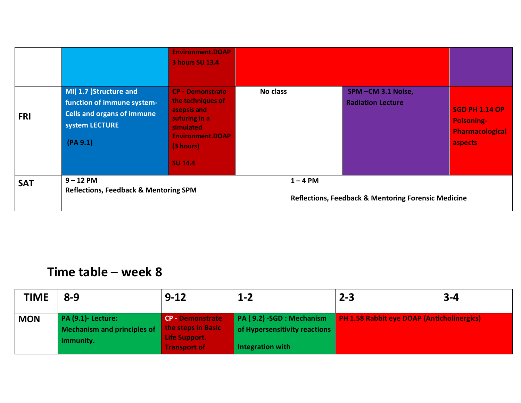|            |                                                                                                                        | <b>Environment.DOAP</b><br><b>3 hours SU 13.4</b>                                                                                                   |          |                                                                              |                                               |                                                                                 |
|------------|------------------------------------------------------------------------------------------------------------------------|-----------------------------------------------------------------------------------------------------------------------------------------------------|----------|------------------------------------------------------------------------------|-----------------------------------------------|---------------------------------------------------------------------------------|
| <b>FRI</b> | MI(1.7) Structure and<br>function of immune system-<br><b>Cells and organs of immune</b><br>system LECTURE<br>(PA 9.1) | <b>CP - Demonstrate</b><br>the techniques of<br>asepsis and<br>suturing in a<br>simulated<br><b>Environment.DOAP</b><br>(3 hours)<br><b>SU 14.4</b> | No class |                                                                              | SPM-CM 3.1 Noise,<br><b>Radiation Lecture</b> | <b>SGD PH 1.14 OP</b><br><b>Poisoning-</b><br><b>Pharmacological</b><br>aspects |
| <b>SAT</b> | $9 - 12$ PM<br><b>Reflections, Feedback &amp; Mentoring SPM</b>                                                        |                                                                                                                                                     |          | $1 - 4$ PM<br><b>Reflections, Feedback &amp; Mentoring Forensic Medicine</b> |                                               |                                                                                 |

| <b>TIME</b> | $8 - 9$                                                         | $9 - 12$                                                       | $1 - 2$                                                    | $2 - 3$                                           | $3 - 4$ |
|-------------|-----------------------------------------------------------------|----------------------------------------------------------------|------------------------------------------------------------|---------------------------------------------------|---------|
| <b>MON</b>  | <b>PA (9.1)- Lecture:</b><br><b>Mechanism and principles of</b> | <b>CP - Demonstrate</b><br>the steps in Basic<br>Life Support. | PA (9.2) -SGD : Mechanism<br>of Hypersensitivity reactions | <b>PH 1.58 Rabbit eye DOAP (Anticholinergics)</b> |         |
|             | immunity.                                                       | Transport of                                                   | Integration with                                           |                                                   |         |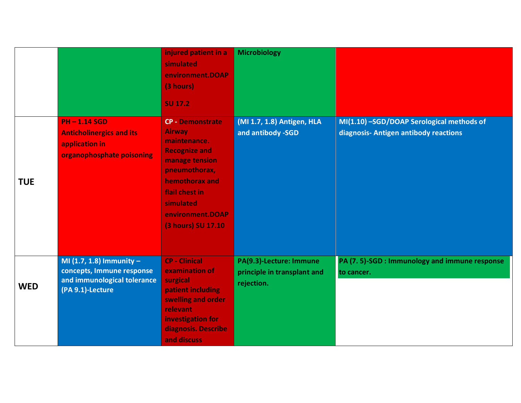|            |                                                                                                            | injured patient in a<br>simulated<br>environment.DOAP<br>(3 hours)<br><b>SU 17.2</b>                                                                                                                           | <b>Microbiology</b>                                                  |                                                                                    |
|------------|------------------------------------------------------------------------------------------------------------|----------------------------------------------------------------------------------------------------------------------------------------------------------------------------------------------------------------|----------------------------------------------------------------------|------------------------------------------------------------------------------------|
| <b>TUE</b> | <b>PH-1.14 SGD</b><br><b>Anticholinergics and its</b><br>application in<br>organophosphate poisoning       | <b>CP - Demonstrate</b><br><b>Airway</b><br>maintenance.<br><b>Recognize and</b><br>manage tension<br>pneumothorax,<br>hemothorax and<br>flail chest in<br>simulated<br>environment.DOAP<br>(3 hours) SU 17.10 | (MI 1.7, 1.8) Antigen, HLA<br>and antibody -SGD                      | MI(1.10) -SGD/DOAP Serological methods of<br>diagnosis- Antigen antibody reactions |
| <b>WED</b> | MI $(1.7, 1.8)$ Immunity -<br>concepts, Immune response<br>and immunological tolerance<br>(PA 9.1)-Lecture | <b>CP - Clinical</b><br>examination of<br>surgical<br>patient including<br>swelling and order<br>relevant<br>investigation for<br>diagnosis. Describe<br>and discuss                                           | PA(9.3)-Lecture: Immune<br>principle in transplant and<br>rejection. | PA (7.5)-SGD : Immunology and immune response<br>to cancer.                        |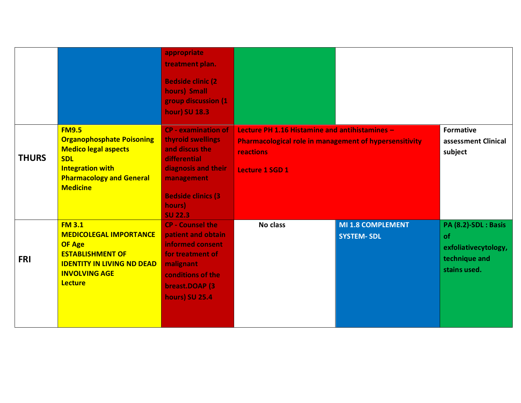|              |                                                                                                                                                                                | appropriate<br>treatment plan.<br><b>Bedside clinic (2)</b><br>hours) Small<br>group discussion (1<br><b>hour) SU 18.3</b>                                                       |                                                                                                                                                        |                                        |                                                                                     |
|--------------|--------------------------------------------------------------------------------------------------------------------------------------------------------------------------------|----------------------------------------------------------------------------------------------------------------------------------------------------------------------------------|--------------------------------------------------------------------------------------------------------------------------------------------------------|----------------------------------------|-------------------------------------------------------------------------------------|
| <b>THURS</b> | <b>FM9.5</b><br><b>Organophosphate Poisoning</b><br><b>Medico legal aspects</b><br><b>SDL</b><br><b>Integration with</b><br><b>Pharmacology and General</b><br><b>Medicine</b> | <b>CP - examination of</b><br>thyroid swellings<br>and discus the<br>differential<br>diagnosis and their<br>management<br><b>Bedside clinics (3)</b><br>hours)<br><b>SU 22.3</b> | Lecture PH 1.16 Histamine and antihistamines -<br><b>Pharmacological role in management of hypersensitivity</b><br>reactions<br><b>Lecture 1 SGD 1</b> |                                        | <b>Formative</b><br>assessment Clinical<br>subject                                  |
| <b>FRI</b>   | <b>FM 3.1</b><br><b>MEDICOLEGAL IMPORTANCE</b><br><b>OF Age</b><br><b>ESTABLISHMENT OF</b><br><b>IDENTITY IN LIVING ND DEAD</b><br><b>INVOLVING AGE</b><br><b>Lecture</b>      | <b>CP - Counsel the</b><br>patient and obtain<br>informed consent<br>for treatment of<br>malignant<br>conditions of the<br>breast.DOAP (3)<br><b>hours) SU 25.4</b>              | No class                                                                                                                                               | MI 1.8 COMPLEMENT<br><b>SYSTEM-SDL</b> | PA (8.2)-SDL : Basis<br>of<br>exfoliativecytology,<br>technique and<br>stains used. |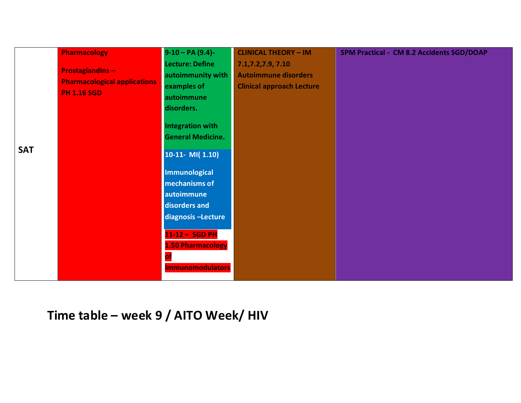|            | <b>Pharmacology</b>                 | $9-10 - PA (9.4)$        | <b>CLINICAL THEORY - IM</b>      | SPM Practical - CM 8.2 Accidents SGD/DOAP |
|------------|-------------------------------------|--------------------------|----------------------------------|-------------------------------------------|
|            |                                     | Lecture: Define          | 7.1,7.2,7.9, 7.10                |                                           |
|            | <b>Prostaglandins -</b>             | autoimmunity with        | <b>Autoimmune disorders</b>      |                                           |
|            | <b>Pharmacological applications</b> | examples of              | <b>Clinical approach Lecture</b> |                                           |
|            | <b>PH 1.16 SGD</b>                  | autoimmune               |                                  |                                           |
|            |                                     | disorders.               |                                  |                                           |
|            |                                     | <b>Integration with</b>  |                                  |                                           |
|            |                                     | <b>General Medicine.</b> |                                  |                                           |
|            |                                     |                          |                                  |                                           |
| <b>SAT</b> |                                     | $10-11 - MI(1.10)$       |                                  |                                           |
|            |                                     |                          |                                  |                                           |
|            |                                     | <b>Immunological</b>     |                                  |                                           |
|            |                                     | mechanisms of            |                                  |                                           |
|            |                                     | autoimmune               |                                  |                                           |
|            |                                     | disorders and            |                                  |                                           |
|            |                                     | diagnosis-Lecture        |                                  |                                           |
|            |                                     | 11-12 - SGD PH           |                                  |                                           |
|            |                                     |                          |                                  |                                           |
|            |                                     | <b>1.50 Pharmacology</b> |                                  |                                           |
|            |                                     |                          |                                  |                                           |
|            |                                     | <b>Immunomodulators</b>  |                                  |                                           |
|            |                                     |                          |                                  |                                           |

**Time table – week 9 / AITO Week/ HIV**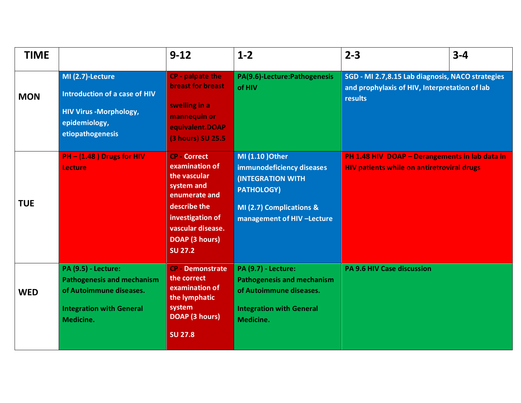| <b>TIME</b> |                                                                                                                                            | $9-12$                                                                                                                                                                                 | $1-2$                                                                                                                                                    | $2 - 3$                                                                                                             | $3 - 4$ |
|-------------|--------------------------------------------------------------------------------------------------------------------------------------------|----------------------------------------------------------------------------------------------------------------------------------------------------------------------------------------|----------------------------------------------------------------------------------------------------------------------------------------------------------|---------------------------------------------------------------------------------------------------------------------|---------|
| <b>MON</b>  | MI (2.7)-Lecture<br>Introduction of a case of HIV<br><b>HIV Virus -Morphology,</b><br>epidemiology,<br>etiopathogenesis                    | CP - palpate the<br><b>breast for breast</b><br>swelling in a<br>mannequin or<br>equivalent.DOAP<br>(3 hours) SU 25.5                                                                  | PA(9.6)-Lecture:Pathogenesis<br>of HIV                                                                                                                   | SGD - MI 2.7,8.15 Lab diagnosis, NACO strategies<br>and prophylaxis of HIV, Interpretation of lab<br><b>results</b> |         |
| <b>TUE</b>  | PH - (1.48) Drugs for HIV<br>Lecture                                                                                                       | <b>CP</b> Correct<br>examination of<br>the vascular<br>system and<br>enumerate and<br>describe the<br>investigation of<br>vascular disease.<br><b>DOAP (3 hours)</b><br><b>SU 27.2</b> | MI (1.10 ) Other<br>immunodeficiency diseases<br><b>(INTEGRATION WITH</b><br><b>PATHOLOGY)</b><br>MI (2.7) Complications &<br>management of HIV -Lecture | PH 1.48 HIV DOAP - Derangements in lab data in<br><b>HIV patients while on antiretroviral drugs</b>                 |         |
| <b>WED</b>  | <b>PA (9.5) - Lecture:</b><br><b>Pathogenesis and mechanism</b><br>of Autoimmune diseases.<br><b>Integration with General</b><br>Medicine. | <b>CP - Demonstrate</b><br>the correct<br>examination of<br>the lymphatic<br>system<br><b>DOAP (3 hours)</b><br><b>SU 27.8</b>                                                         | <b>PA (9.7) - Lecture:</b><br><b>Pathogenesis and mechanism</b><br>of Autoimmune diseases.<br><b>Integration with General</b><br>Medicine.               | <b>PA 9.6 HIV Case discussion</b>                                                                                   |         |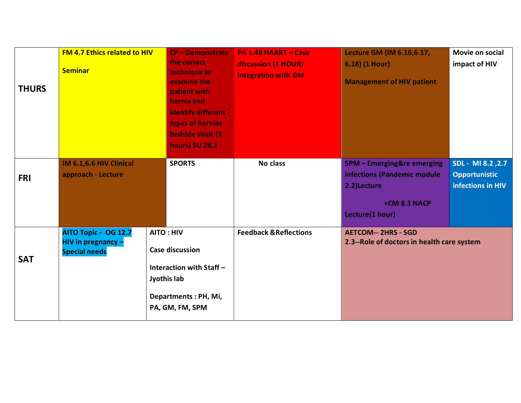| <b>THURS</b> | <b>FM 4.7 Ethics related to HIV</b><br><b>Seminar</b>                     | <b>CP - Demonstrate</b><br>the correct<br>technique to<br>examine the<br>patient with<br>hernia and<br>identify different<br>types of hernias<br><b>bedside clinic (3)</b><br><b>hours) SU 28.2</b> | <b>PH 1.48 HAART - Case</b><br>discussion (1 HOUR)<br><b>Integration with GM</b> | Lecture GM (IM 6.16,6.17,<br>6.18) (1 Hour)<br><b>Management of HIV patient</b>                                        | Movie on social<br>impact of HIV                               |
|--------------|---------------------------------------------------------------------------|-----------------------------------------------------------------------------------------------------------------------------------------------------------------------------------------------------|----------------------------------------------------------------------------------|------------------------------------------------------------------------------------------------------------------------|----------------------------------------------------------------|
| <b>FRI</b>   | IM 6.1,6.6 HIV Clinical<br>approach - Lecture                             | <b>SPORTS</b>                                                                                                                                                                                       | No class                                                                         | <b>SPM - Emerging&amp;re emerging</b><br>infections (Pandemic module<br>2.2)Lecture<br>+CM 8.3 NACP<br>Lecture(1 hour) | SDL - MI 8.2, 2.7<br><b>Opportunistic</b><br>infections in HIV |
| <b>SAT</b>   | AITO Topic - OG 12.7<br><b>HIV in pregnancy -</b><br><b>Special needs</b> | <b>AITO: HIV</b><br><b>Case discussion</b><br>Interaction with Staff -<br>Jyothis lab<br>Departments: PH, Mi,<br>PA, GM, FM, SPM                                                                    | <b>Feedback &amp; Reflections</b>                                                | <b>AETCOM-- 2HRS - SGD</b><br>2.3--Role of doctors in health care system                                               |                                                                |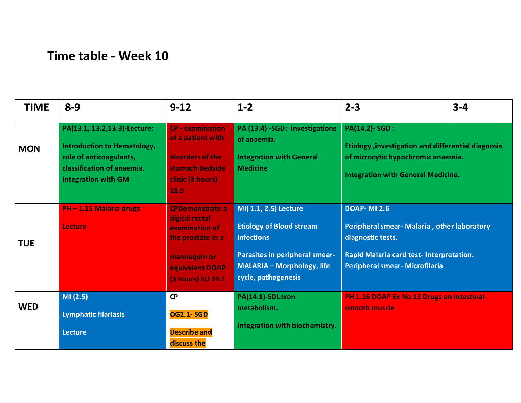# **Time table - Week 10**

| <b>TIME</b> | $8 - 9$                                                                                                                                                    | $9 - 12$                                                                                                                                | $1 - 2$                                                                                                                                                                    | $2 - 3$                                                                                                                                                                     | $3 - 4$ |
|-------------|------------------------------------------------------------------------------------------------------------------------------------------------------------|-----------------------------------------------------------------------------------------------------------------------------------------|----------------------------------------------------------------------------------------------------------------------------------------------------------------------------|-----------------------------------------------------------------------------------------------------------------------------------------------------------------------------|---------|
| <b>MON</b>  | PA(13.1, 13.2, 13.3)-Lecture:<br><b>Introduction to Hematology,</b><br>role of anticoagulants,<br>classification of anaemia.<br><b>Integration with GM</b> | <b>CP</b> - examination<br>of a patient with<br>disorders of the<br>stomach Bedside<br>clinic (3 hours)<br>28.9                         | PA (13.4) -SGD: Investigations<br>of anaemia.<br><b>Integration with General</b><br><b>Medicine</b>                                                                        | <b>PA(14.2)-SGD:</b><br><b>Etiology</b> , investigation and differential diagnosis<br>of microcytic hypochromic anaemia.<br><b>Integration with General Medicine.</b>       |         |
| <b>TUE</b>  | PH-1.15 Malaria drugs<br>Lecture                                                                                                                           | <b>CPDemonstrate a</b><br>digital rectal<br>examination of<br>the prostate in a<br>mannequin or<br>equivalent DOAP<br>(3 hours) SU 29.1 | MI(1.1, 2.5) Lecture<br><b>Etiology of Blood stream</b><br><b>infections</b><br>Parasites in peripheral smear-<br><b>MALARIA - Morphology, life</b><br>cycle, pathogenesis | <b>DOAP-MI 2.6</b><br>Peripheral smear- Malaria, other laboratory<br>diagnostic tests.<br>Rapid Malaria card test- Interpretation.<br><b>Peripheral smear- Microfilaria</b> |         |
| <b>WED</b>  | MI(2.5)<br><b>Lymphatic filariasis</b><br><b>Lecture</b>                                                                                                   | <b>CP</b><br><b>OG2.1-SGD</b><br><b>Describe and</b><br>discuss the                                                                     | PA(14.1)-SDL:Iron<br>metabolism.<br>Integration with biochemistry.                                                                                                         | PH 1.16 DOAP Ex No 13 Drugs on intestinal<br>smooth muscle                                                                                                                  |         |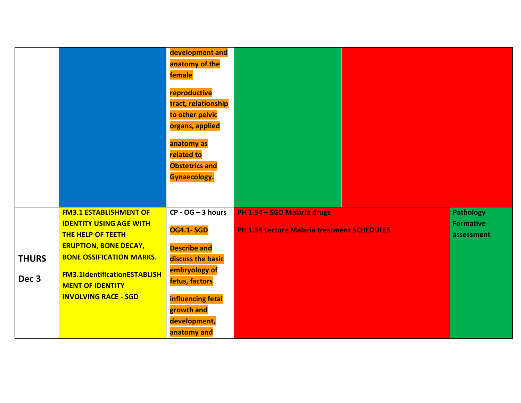|                                  |                                                                                                                             | development and<br>anatomy of the<br>female<br>reproductive<br>tract, relationship<br>to other pelvic<br>organs, applied<br>anatomy as<br>related to |                                                                                   |                                                    |
|----------------------------------|-----------------------------------------------------------------------------------------------------------------------------|------------------------------------------------------------------------------------------------------------------------------------------------------|-----------------------------------------------------------------------------------|----------------------------------------------------|
|                                  |                                                                                                                             | <b>Obstetrics and</b><br>Gynaecology.                                                                                                                |                                                                                   |                                                    |
|                                  | <b>FM3.1 ESTABLISHMENT OF</b><br><b>IDENTITY USING AGE WITH</b><br><b>THE HELP OF TEETH</b><br><b>ERUPTION, BONE DECAY,</b> | $CP - OG - 3 hours$<br><b>OG4.1-SGD</b><br><b>Describe and</b>                                                                                       | PH 1.54 - SGD Malaria drugs<br><b>PH 1.54 Lecture Malaria treatment SCHEDULES</b> | <b>Pathology</b><br><b>Formative</b><br>assessment |
| <b>THURS</b><br>Dec <sub>3</sub> | <b>BONE OSSIFICATION MARKS.</b><br><b>FM3.1IdentificationESTABLISH</b>                                                      | discuss the basic<br>embryology of                                                                                                                   |                                                                                   |                                                    |
|                                  | <b>MENT OF IDENTITY</b><br><b>INVOLVING RACE - SGD</b>                                                                      | fetus, factors<br>influencing fetal<br>growth and<br>development,<br>anatomy and                                                                     |                                                                                   |                                                    |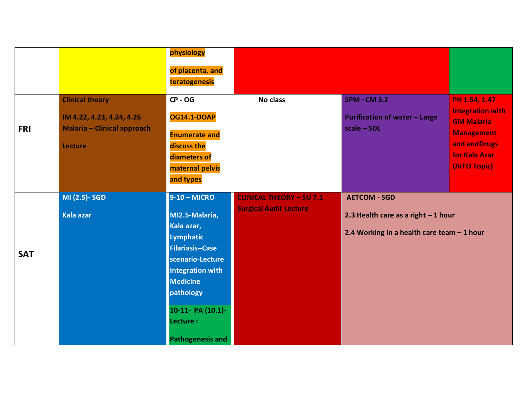|            |                                                                                                      | physiology<br>of placenta, and                                                                                                                                                                                                    |                                                                  |                                                                                                            |                                                                                                                                      |
|------------|------------------------------------------------------------------------------------------------------|-----------------------------------------------------------------------------------------------------------------------------------------------------------------------------------------------------------------------------------|------------------------------------------------------------------|------------------------------------------------------------------------------------------------------------|--------------------------------------------------------------------------------------------------------------------------------------|
| <b>FRI</b> | <b>Clinical theory</b><br>IM 4.22, 4.23, 4.24, 4.26<br><b>Malaria - Clinical approach</b><br>Lecture | teratogenesis<br><b>CP - OG</b><br><b>OG14.1-DOAP</b><br><b>Enumerate and</b><br>discuss the<br>diameters of<br>maternal pelvis                                                                                                   | No class                                                         | <b>SPM-CM3.2</b><br><b>Purification of water - Large</b><br>$scale - SOL$                                  | PH 1.54, 1.47<br><b>Integration with</b><br><b>GM Malaria</b><br><b>Management</b><br>and and Drugs<br>for Kala Azar<br>(AITO Topic) |
|            |                                                                                                      | and types                                                                                                                                                                                                                         |                                                                  |                                                                                                            |                                                                                                                                      |
| <b>SAT</b> | MI (2.5)- SGD<br><b>Kala azar</b>                                                                    | $9-10 - MICRO$<br>MI2.5-Malaria,<br>Kala azar,<br>Lymphatic<br><b>Filariasis-Case</b><br>scenario-Lecture<br><b>Integration with</b><br><b>Medicine</b><br>pathology<br>10-11- PA (10.1)-<br>Lecture :<br><b>Pathogenesis and</b> | <b>CLINICAL THEORY - SU 7.1</b><br><b>Surgical Audit Lecture</b> | <b>AETCOM - SGD</b><br>2.3 Health care as a right $-1$ hour<br>2.4 Working in a health care team $-1$ hour |                                                                                                                                      |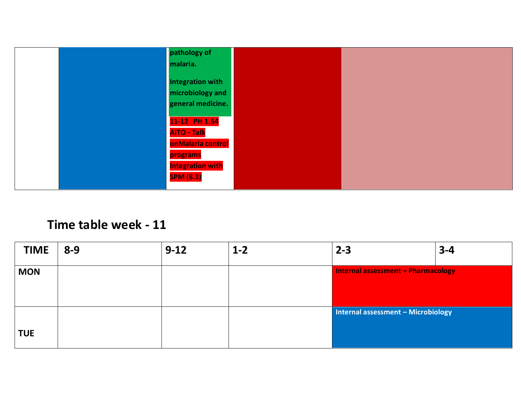

### **Time table week - 11**

| <b>TIME</b> | $8 - 9$ | $9 - 12$ | $1 - 2$ | $2 - 3$                                   | $3 - 4$ |
|-------------|---------|----------|---------|-------------------------------------------|---------|
| <b>MON</b>  |         |          |         | <b>Internal assessment - Pharmacology</b> |         |
|             |         |          |         |                                           |         |
|             |         |          |         | Internal assessment - Microbiology        |         |
| <b>TUE</b>  |         |          |         |                                           |         |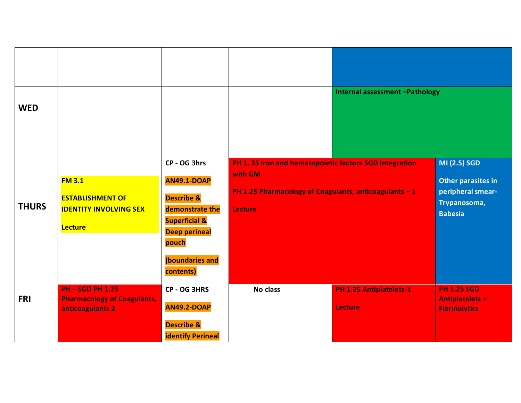| <b>WED</b>   |                                                                                             |                                                                                                                                                                             |                                                                                                                                               | Internal assessment -Pathology                   |                                                                                           |
|--------------|---------------------------------------------------------------------------------------------|-----------------------------------------------------------------------------------------------------------------------------------------------------------------------------|-----------------------------------------------------------------------------------------------------------------------------------------------|--------------------------------------------------|-------------------------------------------------------------------------------------------|
| <b>THURS</b> | <b>FM 3.1</b><br><b>ESTABLISHMENT OF</b><br><b>IDENTITY INVOLVING SEX</b><br><b>Lecture</b> | CP - OG 3hrs<br><b>AN49.1-DOAP</b><br><b>Describe &amp;</b><br>demonstrate the<br><b>Superficial &amp;</b><br><b>Deep perineal</b><br>pouch<br>(boundaries and<br>contents) | PH 1.35 Iron and hematopoietic factors SGD Integration<br>with GM<br>PH 1.25 Pharmacology of Coagulants, anticoagulants - 1<br><b>Lecture</b> |                                                  | MI (2.5) SGD<br>Other parasites in<br>peripheral smear-<br>Trypanosoma,<br><b>Babesia</b> |
| <b>FRI</b>   | <b>PH-SGD PH 1.25</b><br><b>Pharmacology of Coagulants,</b><br>anticoagulants 2             | CP - OG 3HRS<br><b>AN49.2-DOAP</b><br><b>Describe &amp;</b><br><b>identify Perineal</b>                                                                                     | <b>No class</b>                                                                                                                               | <b>PH 1.25 Antiplatelets-1</b><br><b>Lecture</b> | <b>PH 1.25 SGD</b><br><b>Antiplatelets +</b><br><b>Fibrinolytics</b>                      |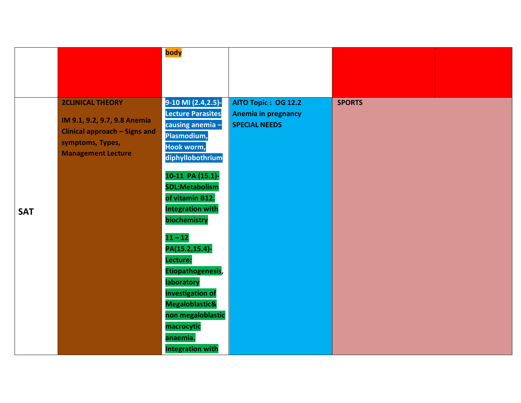|            |                                                                                                                                                  | body                                                                                                               |                                                                                  |               |  |
|------------|--------------------------------------------------------------------------------------------------------------------------------------------------|--------------------------------------------------------------------------------------------------------------------|----------------------------------------------------------------------------------|---------------|--|
|            |                                                                                                                                                  |                                                                                                                    |                                                                                  |               |  |
|            |                                                                                                                                                  |                                                                                                                    |                                                                                  |               |  |
|            | <b>2CLINICAL THEORY</b><br>IM 9.1, 9.2, 9.7, 9.8 Anemia<br><b>Clinical approach - Signs and</b><br>symptoms, Types,<br><b>Management Lecture</b> | 9-10 MI (2.4,2.5)-<br><b>Lecture Parasites</b><br>causing anemia-<br>Plasmodium,<br>Hook worm,<br>diphyllobothrium | <b>AITO Topic: OG 12.2</b><br><b>Anemia in pregnancy</b><br><b>SPECIAL NEEDS</b> | <b>SPORTS</b> |  |
| <b>SAT</b> |                                                                                                                                                  | 10-11 PA (15.1)-<br><b>SDL:Metabolism</b><br>of vitamin B12.<br><b>Integration with</b><br>biochemistry            |                                                                                  |               |  |
|            |                                                                                                                                                  | $11 - 12$<br>PA(15.2,15.4)-<br>Lecture:<br>Etiopathogenesis,<br>laboratory                                         |                                                                                  |               |  |
|            |                                                                                                                                                  | investigation of<br>Megaloblastic&<br>non megaloblastic<br>macrocytic<br>anaemia.<br><b>Integration with</b>       |                                                                                  |               |  |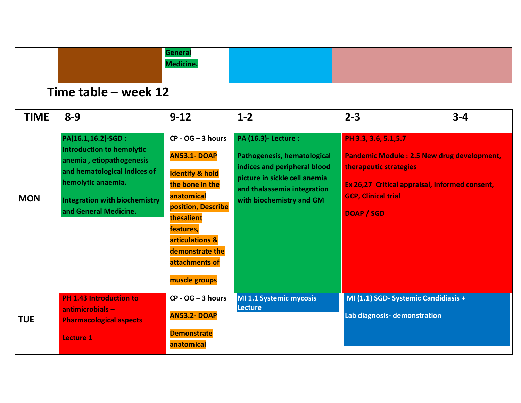|  | <u>____ulic.</u> |  |
|--|------------------|--|
|  |                  |  |

| <b>TIME</b> | $8 - 9$                                                                                                                                                                                                    | $9 - 12$                                                                                                                                                                                                                           | $1 - 2$                                                                                                                                                                                      | $2 - 3$                                                                                                                                                                                            | $3 - 4$ |
|-------------|------------------------------------------------------------------------------------------------------------------------------------------------------------------------------------------------------------|------------------------------------------------------------------------------------------------------------------------------------------------------------------------------------------------------------------------------------|----------------------------------------------------------------------------------------------------------------------------------------------------------------------------------------------|----------------------------------------------------------------------------------------------------------------------------------------------------------------------------------------------------|---------|
| <b>MON</b>  | PA(16.1,16.2)-SGD :<br><b>Introduction to hemolytic</b><br>anemia, etiopathogenesis<br>and hematological indices of<br>hemolytic anaemia.<br><b>Integration with biochemistry</b><br>and General Medicine. | $CP - OG - 3 hours$<br><b>AN53.1-DOAP</b><br><b>Identify &amp; hold</b><br>the bone in the<br>anatomical<br>position, Describe<br>thesalient<br>features,<br>articulations &<br>demonstrate the<br>attachments of<br>muscle groups | <b>PA (16.3)- Lecture:</b><br><b>Pathogenesis, hematological</b><br>indices and peripheral blood<br>picture in sickle cell anemia<br>and thalassemia integration<br>with biochemistry and GM | PH 3.3, 3.6, 5.1, 5.7<br><b>Pandemic Module: 2.5 New drug development,</b><br>therapeutic strategies<br>Ex 26,27 Critical appraisal, Informed consent,<br><b>GCP, Clinical trial</b><br>DOAP / SGD |         |
| <b>TUE</b>  | <b>PH 1.43 Introduction to</b><br>$antimicrobials -$<br><b>Pharmacological aspects</b><br><b>Lecture 1</b>                                                                                                 | $CP - OG - 3 hours$<br><b>AN53.2-DOAP</b><br><b>Demonstrate</b><br>anatomical                                                                                                                                                      | MI 1.1 Systemic mycosis<br>Lecture                                                                                                                                                           | MI (1.1) SGD- Systemic Candidiasis +<br>Lab diagnosis- demonstration                                                                                                                               |         |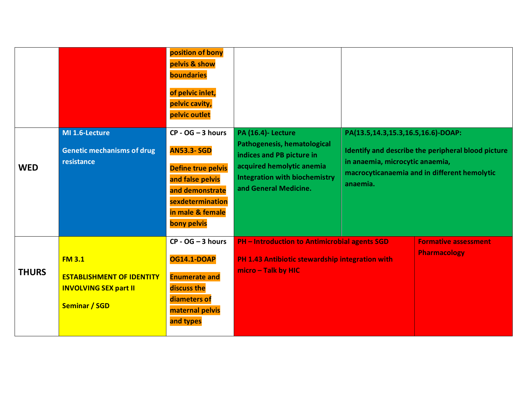|              |                                                                                                           | position of bony<br>pelvis & show<br>boundaries<br>of pelvic inlet,<br>pelvic cavity,<br>pelvic outlet                                                              |                                                                                                                                                                                     |                                                                                                                                                                                         |                                                    |  |
|--------------|-----------------------------------------------------------------------------------------------------------|---------------------------------------------------------------------------------------------------------------------------------------------------------------------|-------------------------------------------------------------------------------------------------------------------------------------------------------------------------------------|-----------------------------------------------------------------------------------------------------------------------------------------------------------------------------------------|----------------------------------------------------|--|
| <b>WED</b>   | MI 1.6-Lecture<br><b>Genetic mechanisms of drug</b><br>resistance                                         | $CP - OG - 3 hours$<br><b>AN53.3-SGD</b><br><b>Define true pelvis</b><br>and false pelvis<br>and demonstrate<br>sexdetermination<br>in male & female<br>bony pelvis | <b>PA (16.4)- Lecture</b><br>Pathogenesis, hematological<br>indices and PB picture in<br>acquired hemolytic anemia<br><b>Integration with biochemistry</b><br>and General Medicine. | PA(13.5,14.3,15.3,16.5,16.6)-DOAP:<br>Identify and describe the peripheral blood picture<br>in anaemia, microcytic anaemia,<br>macrocyticanaemia and in different hemolytic<br>anaemia. |                                                    |  |
| <b>THURS</b> | <b>FM 3.1</b><br><b>ESTABLISHMENT OF IDENTITY</b><br><b>INVOLVING SEX part II</b><br><b>Seminar / SGD</b> | $CP - OG - 3 hours$<br><b>OG14.1-DOAP</b><br><b>Enumerate and</b><br>discuss the<br>diameters of<br>maternal pelvis<br>and types                                    | <b>PH - Introduction to Antimicrobial agents SGD</b><br>PH 1.43 Antibiotic stewardship integration with<br>micro - Talk by HIC                                                      |                                                                                                                                                                                         | <b>Formative assessment</b><br><b>Pharmacology</b> |  |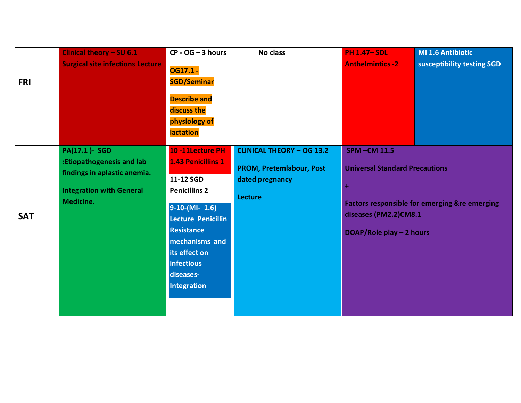| <b>FRI</b> | Clinical theory - SU 6.1<br><b>Surgical site infections Lecture</b>                                                               | $CP - OG - 3 hours$<br>OG17.1 -<br><b>SGD/Seminar</b><br><b>Describe and</b><br>discuss the<br>physiology of<br><b>lactation</b>                                                                                                           | <b>No class</b>                                                                                   | <b>PH 1.47-SDL</b><br><b>Anthelmintics -2</b>                                                                                                                                     | <b>MI 1.6 Antibiotic</b><br>susceptibility testing SGD |
|------------|-----------------------------------------------------------------------------------------------------------------------------------|--------------------------------------------------------------------------------------------------------------------------------------------------------------------------------------------------------------------------------------------|---------------------------------------------------------------------------------------------------|-----------------------------------------------------------------------------------------------------------------------------------------------------------------------------------|--------------------------------------------------------|
| <b>SAT</b> | <b>PA(17.1)- SGD</b><br>:Etiopathogenesis and lab<br>findings in aplastic anemia.<br><b>Integration with General</b><br>Medicine. | 10-11Lecture PH<br><b>1.43 Penicillins 1</b><br>11-12 SGD<br><b>Penicillins 2</b><br>$9-10-(Ml-1.6)$<br>Lecture Penicillin<br><b>Resistance</b><br>mechanisms and<br>its effect on<br><b>infectious</b><br>diseases-<br><b>Integration</b> | <b>CLINICAL THEORY - OG 13.2</b><br>PROM, Pretemlabour, Post<br>dated pregnancy<br><b>Lecture</b> | <b>SPM-CM 11.5</b><br><b>Universal Standard Precautions</b><br>٠<br><b>Factors responsible for emerging &amp;re emerging</b><br>diseases (PM2.2)CM8.1<br>DOAP/Role play - 2 hours |                                                        |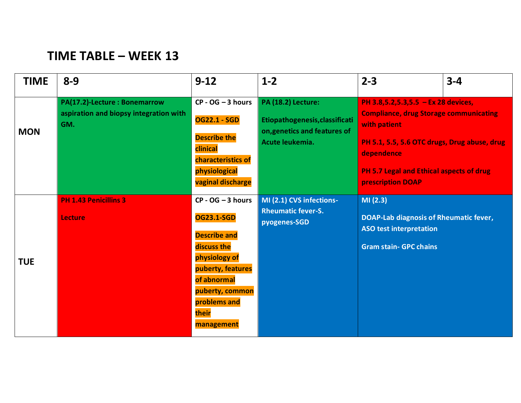## **TIME TABLE – WEEK 13**

| <b>TIME</b> | $8 - 9$                                                                       | $9 - 12$                                                                                                                                                                                      | $1 - 2$                                                                                                        | $2 - 3$                                                                                                                                                                                                                                           | $3 - 4$ |
|-------------|-------------------------------------------------------------------------------|-----------------------------------------------------------------------------------------------------------------------------------------------------------------------------------------------|----------------------------------------------------------------------------------------------------------------|---------------------------------------------------------------------------------------------------------------------------------------------------------------------------------------------------------------------------------------------------|---------|
| <b>MON</b>  | PA(17.2)-Lecture: Bonemarrow<br>aspiration and biopsy integration with<br>GM. | $CP - OG - 3 hours$<br><b>OG22.1 - SGD</b><br><b>Describe the</b><br>clinical<br>characteristics of<br>physiological<br>vaginal discharge                                                     | <b>PA (18.2) Lecture:</b><br>Etiopathogenesis, classificati<br>on, genetics and features of<br>Acute leukemia. | PH 3.8,5.2,5.3,5.5 - Ex 28 devices,<br><b>Compliance, drug Storage communicating</b><br>with patient<br>PH 5.1, 5.5, 5.6 OTC drugs, Drug abuse, drug<br>dependence<br><b>PH 5.7 Legal and Ethical aspects of drug</b><br><b>prescription DOAP</b> |         |
| <b>TUE</b>  | <b>PH 1.43 Penicillins 3</b><br><b>Lecture</b>                                | $CP - OG - 3 hours$<br><b>OG23.1-SGD</b><br><b>Describe and</b><br>discuss the<br>physiology of<br>puberty, features<br>of abnormal<br>puberty, common<br>problems and<br>their<br>management | MI (2.1) CVS infections-<br><b>Rheumatic fever-S.</b><br>pyogenes-SGD                                          | MI(2.3)<br>DOAP-Lab diagnosis of Rheumatic fever,<br><b>ASO test interpretation</b><br><b>Gram stain- GPC chains</b>                                                                                                                              |         |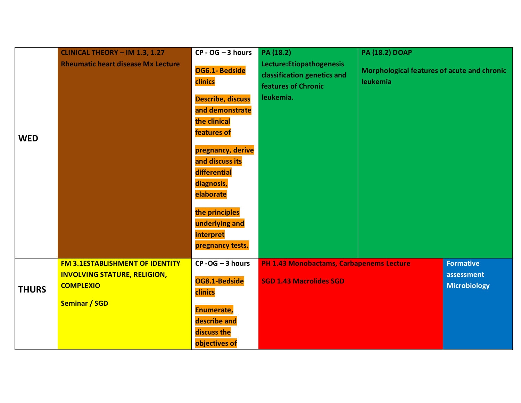|              | <b>CLINICAL THEORY - IM 1.3, 1.27</b>                                         | $CP - OG - 3 hours$                         | PA (18.2)                                                                              | <b>PA (18.2) DOAP</b>                                   |                                |
|--------------|-------------------------------------------------------------------------------|---------------------------------------------|----------------------------------------------------------------------------------------|---------------------------------------------------------|--------------------------------|
|              | <b>Rheumatic heart disease Mx Lecture</b>                                     | OG6.1- Bedside<br>clinics                   | Lecture: Etiopathogenesis<br>classification genetics and<br><b>features of Chronic</b> | Morphological features of acute and chronic<br>leukemia |                                |
|              |                                                                               | <b>Describe, discuss</b><br>and demonstrate | leukemia.                                                                              |                                                         |                                |
| <b>WED</b>   |                                                                               | the clinical<br>features of                 |                                                                                        |                                                         |                                |
|              |                                                                               | pregnancy, derive<br>and discuss its        |                                                                                        |                                                         |                                |
|              |                                                                               | differential<br>diagnosis,                  |                                                                                        |                                                         |                                |
|              |                                                                               | elaborate<br>the principles                 |                                                                                        |                                                         |                                |
|              |                                                                               | underlying and<br>interpret                 |                                                                                        |                                                         |                                |
|              |                                                                               | pregnancy tests.                            |                                                                                        |                                                         |                                |
|              | <b>FM 3.1ESTABLISHMENT OF IDENTITY</b><br><b>INVOLVING STATURE, RELIGION,</b> | $CP - OG - 3 hours$                         | PH 1.43 Monobactams, Carbapenems Lecture                                               |                                                         | <b>Formative</b><br>assessment |
| <b>THURS</b> | <b>COMPLEXIO</b>                                                              | OG8.1-Bedside<br>clinics                    | <b>SGD 1.43 Macrolides SGD</b>                                                         |                                                         | <b>Microbiology</b>            |
|              | <b>Seminar / SGD</b>                                                          | Enumerate,                                  |                                                                                        |                                                         |                                |
|              |                                                                               | describe and                                |                                                                                        |                                                         |                                |
|              |                                                                               | discuss the<br>objectives of                |                                                                                        |                                                         |                                |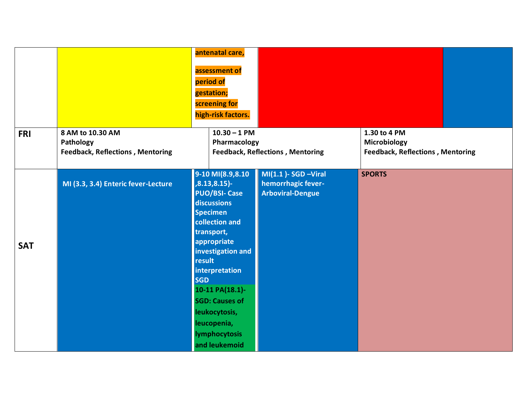|            |                                                                          | antenatal care,<br>assessment of<br>period of<br>gestation;<br>screening for<br>high-risk factors.                                                                                                                                                                                                                                |                                                                          |                                                                         |  |
|------------|--------------------------------------------------------------------------|-----------------------------------------------------------------------------------------------------------------------------------------------------------------------------------------------------------------------------------------------------------------------------------------------------------------------------------|--------------------------------------------------------------------------|-------------------------------------------------------------------------|--|
| <b>FRI</b> | 8 AM to 10.30 AM<br>Pathology<br><b>Feedback, Reflections, Mentoring</b> | $10.30 - 1$ PM<br>Pharmacology                                                                                                                                                                                                                                                                                                    | <b>Feedback, Reflections, Mentoring</b>                                  | 1.30 to 4 PM<br>Microbiology<br><b>Feedback, Reflections, Mentoring</b> |  |
| <b>SAT</b> | MI (3.3, 3.4) Enteric fever-Lecture                                      | 9-10 MI(8.9,8.10<br>$, 8.13, 8.15$ -<br><b>PUO/BSI- Case</b><br>discussions<br><b>Specimen</b><br>collection and<br>transport,<br>appropriate<br>investigation and<br>result<br>interpretation<br><b>SGD</b><br>10-11 PA(18.1)-<br><b>SGD: Causes of</b><br>leukocytosis,<br>leucopenia,<br><b>lymphocytosis</b><br>and leukemoid | $MI(1.1)$ - SGD - Viral<br>hemorrhagic fever-<br><b>Arboviral-Dengue</b> | <b>SPORTS</b>                                                           |  |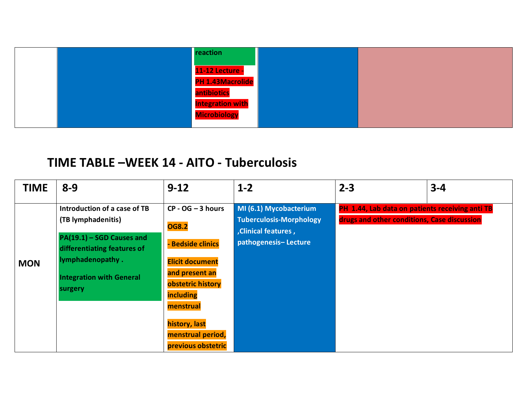|  | reaction                |  |
|--|-------------------------|--|
|  | <b>11-12 Lecture -</b>  |  |
|  | PH 1.43Macrolide        |  |
|  | antibiotics             |  |
|  | <b>Integration with</b> |  |
|  | <b>Microbiology</b>     |  |
|  |                         |  |

## **TIME TABLE –WEEK 14 - AITO - Tuberculosis**

| <b>TIME</b> | $8 - 9$                                                                                                                    | $9 - 12$                                                                                                                                                                        | $1 - 2$                                                  | $2 - 3$                                                                                        | $3 - 4$ |
|-------------|----------------------------------------------------------------------------------------------------------------------------|---------------------------------------------------------------------------------------------------------------------------------------------------------------------------------|----------------------------------------------------------|------------------------------------------------------------------------------------------------|---------|
|             | Introduction of a case of TB<br>(TB lymphadenitis)                                                                         | $CP - OG - 3 hours$<br><b>OG8.2</b>                                                                                                                                             | MI (6.1) Mycobacterium<br><b>Tuberculosis-Morphology</b> | PH 1.44, Lab data on patients receiving anti TB<br>drugs and other conditions, Case discussion |         |
| <b>MON</b>  | PA(19.1) - SGD Causes and<br>differentiating features of<br>lymphadenopathy.<br><b>Integration with General</b><br>surgery | - Bedside clinics<br><b>Elicit document</b><br>and present an<br>obstetric history<br><b>including</b><br>menstrual<br>history, last<br>menstrual period,<br>previous obstetric | , Clinical features,<br>pathogenesis-Lecture             |                                                                                                |         |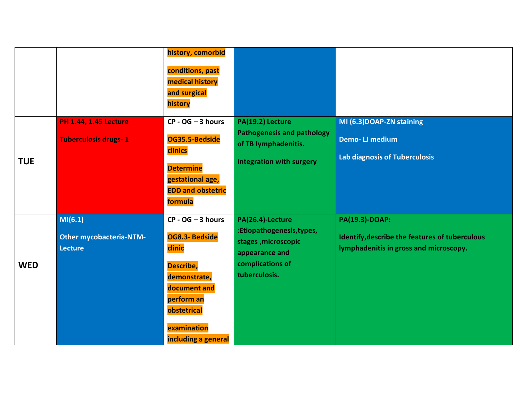|            |                                                             | history, comorbid<br>conditions, past<br>medical history<br>and surgical<br>history                                                                             |                                                                                                                             |                                                                                                            |
|------------|-------------------------------------------------------------|-----------------------------------------------------------------------------------------------------------------------------------------------------------------|-----------------------------------------------------------------------------------------------------------------------------|------------------------------------------------------------------------------------------------------------|
| <b>TUE</b> | <b>PH 1.44, 1.45 Lecture</b><br><b>Tuberculosis drugs-1</b> | $CP - OG - 3 hours$<br>OG35.5-Bedside<br>clinics<br><b>Determine</b><br>gestational age,<br><b>EDD and obstetric</b><br>formula                                 | PA(19.2) Lecture<br><b>Pathogenesis and pathology</b><br>of TB lymphadenitis.<br><b>Integration with surgery</b>            | MI (6.3) DOAP-ZN staining<br><b>Demo-LJ medium</b><br><b>Lab diagnosis of Tuberculosis</b>                 |
| <b>WED</b> | MI(6.1)<br><b>Other mycobacteria-NTM-</b><br><b>Lecture</b> | $CP - OG - 3 hours$<br>OG8.3- Bedside<br>clinic<br>Describe,<br>demonstrate,<br>document and<br>perform an<br>obstetrical<br>examination<br>including a general | PA(26.4)-Lecture<br>:Etiopathogenesis, types,<br>stages, microscopic<br>appearance and<br>complications of<br>tuberculosis. | PA(19.3)-DOAP:<br>Identify, describe the features of tuberculous<br>lymphadenitis in gross and microscopy. |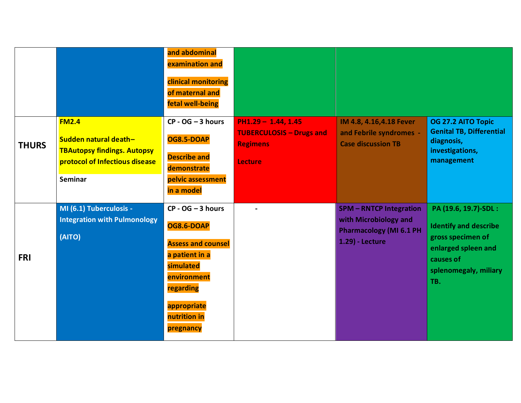|              |                                                                                                                          | and abdominal<br>examination and<br>clinical monitoring<br>of maternal and<br>fetal well-being                                                                               |                                                                                        |                                                                                                            |                                                                                                                                                |
|--------------|--------------------------------------------------------------------------------------------------------------------------|------------------------------------------------------------------------------------------------------------------------------------------------------------------------------|----------------------------------------------------------------------------------------|------------------------------------------------------------------------------------------------------------|------------------------------------------------------------------------------------------------------------------------------------------------|
| <b>THURS</b> | <b>FM2.4</b><br>Sudden natural death-<br><b>TBAutopsy findings. Autopsy</b><br>protocol of Infectious disease<br>Seminar | $CP - OG - 3 hours$<br><b>OG8.5-DOAP</b><br><b>Describe and</b><br>demonstrate<br>pelvic assessment<br>in a model                                                            | $PH1.29 - 1.44, 1.45$<br><b>TUBERCULOSIS - Drugs and</b><br><b>Regimens</b><br>Lecture | IM 4.8, 4.16, 4.18 Fever<br>and Febrile syndromes -<br><b>Case discussion TB</b>                           | OG 27.2 AITO Topic<br><b>Genital TB, Differential</b><br>diagnosis,<br>investigations,<br>management                                           |
| <b>FRI</b>   | MI (6.1) Tuberculosis -<br><b>Integration with Pulmonology</b><br>(AITO)                                                 | $CP - OG - 3 hours$<br><b>OG8.6-DOAP</b><br><b>Assess and counsel</b><br>a patient in a<br>simulated<br>environment<br>regarding<br>appropriate<br>nutrition in<br>pregnancy |                                                                                        | <b>SPM-RNTCP Integration</b><br>with Microbiology and<br><b>Pharmacology (MI 6.1 PH</b><br>1.29) - Lecture | PA (19.6, 19.7)-SDL :<br><b>Identify and describe</b><br>gross specimen of<br>enlarged spleen and<br>causes of<br>splenomegaly, miliary<br>TB. |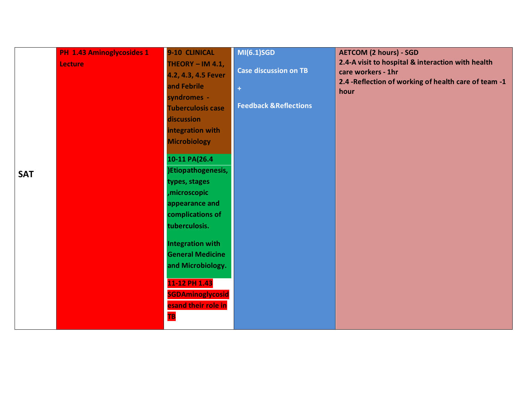| <b>SAT</b> | PH 1.43 Aminoglycosides 1<br><b>Lecture</b> | 9-10 CLINICAL<br>THEORY - IM 4.1,<br>4.2, 4.3, 4.5 Fever<br>and Febrile<br>syndromes -<br><b>Tuberculosis case</b><br>discussion<br>integration with<br><b>Microbiology</b><br>10-11 PA(26.4<br>)Etiopathogenesis,<br>types, stages<br>, microscopic<br>appearance and<br>complications of<br>tuberculosis.<br>Integration with<br><b>General Medicine</b><br>and Microbiology.<br>11-12 PH 1.43<br><b>SGDAminoglycosid</b><br>esand their role in<br><b>TB</b> | MI(6.1)SGD<br><b>Case discussion on TB</b><br>$\ddot{}$<br><b>Feedback &amp; Reflections</b> | <b>AETCOM (2 hours) - SGD</b><br>2.4-A visit to hospital & interaction with health<br>care workers - 1hr<br>2.4 - Reflection of working of health care of team -1<br>hour |
|------------|---------------------------------------------|-----------------------------------------------------------------------------------------------------------------------------------------------------------------------------------------------------------------------------------------------------------------------------------------------------------------------------------------------------------------------------------------------------------------------------------------------------------------|----------------------------------------------------------------------------------------------|---------------------------------------------------------------------------------------------------------------------------------------------------------------------------|
|------------|---------------------------------------------|-----------------------------------------------------------------------------------------------------------------------------------------------------------------------------------------------------------------------------------------------------------------------------------------------------------------------------------------------------------------------------------------------------------------------------------------------------------------|----------------------------------------------------------------------------------------------|---------------------------------------------------------------------------------------------------------------------------------------------------------------------------|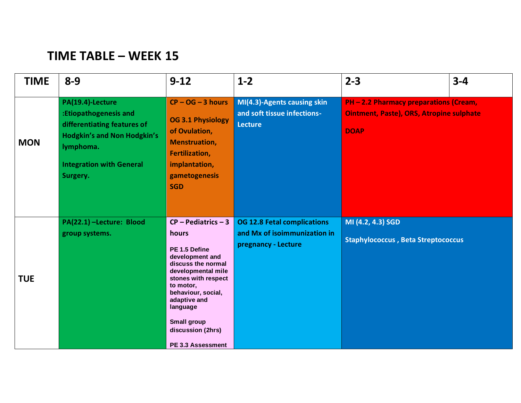# **TIME TABLE – WEEK 15**

| <b>TIME</b> | $8 - 9$                                                                                                                                                                    | $9 - 12$                                                                                                                                                                                                                                                             | $1 - 2$                                                                                   | $2 - 3$                                                                                                  | $3 - 4$ |
|-------------|----------------------------------------------------------------------------------------------------------------------------------------------------------------------------|----------------------------------------------------------------------------------------------------------------------------------------------------------------------------------------------------------------------------------------------------------------------|-------------------------------------------------------------------------------------------|----------------------------------------------------------------------------------------------------------|---------|
| <b>MON</b>  | PA(19.4)-Lecture<br>:Etiopathogenesis and<br>differentiating features of<br><b>Hodgkin's and Non Hodgkin's</b><br>lymphoma.<br><b>Integration with General</b><br>Surgery. | $CP - OG - 3 hours$<br><b>OG 3.1 Physiology</b><br>of Ovulation,<br><b>Menstruation,</b><br><b>Fertilization,</b><br>implantation,<br>gametogenesis<br><b>SGD</b>                                                                                                    | MI(4.3)-Agents causing skin<br>and soft tissue infections-<br><b>Lecture</b>              | PH - 2.2 Pharmacy preparations (Cream,<br><b>Ointment, Paste), ORS, Atropine sulphate</b><br><b>DOAP</b> |         |
| <b>TUE</b>  | PA(22.1) -Lecture: Blood<br>group systems.                                                                                                                                 | $CP - Pediatrics - 3$<br>hours<br>PE 1.5 Define<br>development and<br>discuss the normal<br>developmental mile<br>stones with respect<br>to motor,<br>behaviour, social,<br>adaptive and<br>language<br><b>Small group</b><br>discussion (2hrs)<br>PE 3.3 Assessment | <b>OG 12.8 Fetal complications</b><br>and Mx of isoimmunization in<br>pregnancy - Lecture | MI (4.2, 4.3) SGD<br><b>Staphylococcus, Beta Streptococcus</b>                                           |         |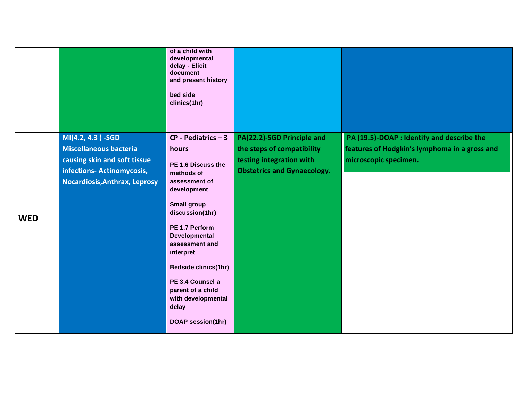|            |                                                                                                                                                    | of a child with<br>developmental<br>delay - Elicit<br>document<br>and present history<br>bed side<br>clinics(1hr)                                                                                                                                                                                                                                |                                                                                                                            |                                                                                                                      |
|------------|----------------------------------------------------------------------------------------------------------------------------------------------------|--------------------------------------------------------------------------------------------------------------------------------------------------------------------------------------------------------------------------------------------------------------------------------------------------------------------------------------------------|----------------------------------------------------------------------------------------------------------------------------|----------------------------------------------------------------------------------------------------------------------|
| <b>WED</b> | MI(4.2, 4.3) -SGD_<br><b>Miscellaneous bacteria</b><br>causing skin and soft tissue<br>infections- Actinomycosis,<br>Nocardiosis, Anthrax, Leprosy | $CP - Pediatrics - 3$<br>hours<br>PE 1.6 Discuss the<br>methods of<br>assessment of<br>development<br><b>Small group</b><br>discussion(1hr)<br>PE 1.7 Perform<br>Developmental<br>assessment and<br>interpret<br><b>Bedside clinics(1hr)</b><br>PE 3.4 Counsel a<br>parent of a child<br>with developmental<br>delay<br><b>DOAP session(1hr)</b> | PA(22.2)-SGD Principle and<br>the steps of compatibility<br>testing integration with<br><b>Obstetrics and Gynaecology.</b> | PA (19.5)-DOAP : Identify and describe the<br>features of Hodgkin's lymphoma in a gross and<br>microscopic specimen. |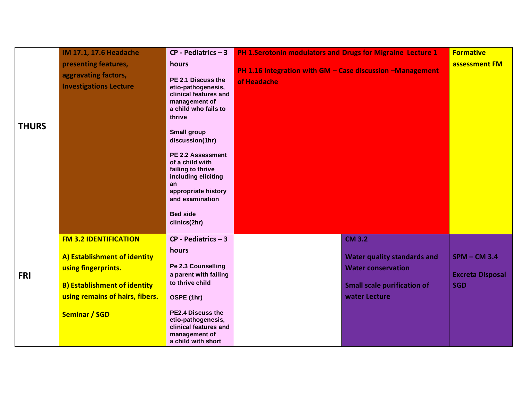| <b>THURS</b> | <b>IM 17.1, 17.6 Headache</b><br>presenting features,<br>aggravating factors,<br><b>Investigations Lecture</b>                                                                        | $CP - Pediatrics - 3$<br>hours<br>PE 2.1 Discuss the<br>etio-pathogenesis,<br>clinical features and<br>management of<br>a child who fails to<br>thrive<br><b>Small group</b><br>discussion(1hr)<br>PE 2.2 Assessment<br>of a child with<br>failing to thrive<br>including eliciting<br>an<br>appropriate history<br>and examination<br><b>Bed side</b><br>clinics(2hr) | PH 1. Serotonin modulators and Drugs for Migraine Lecture 1<br>PH 1.16 Integration with GM - Case discussion -Management<br>of Headache |                                                                                                                                         | <b>Formative</b><br>assessment FM                       |
|--------------|---------------------------------------------------------------------------------------------------------------------------------------------------------------------------------------|------------------------------------------------------------------------------------------------------------------------------------------------------------------------------------------------------------------------------------------------------------------------------------------------------------------------------------------------------------------------|-----------------------------------------------------------------------------------------------------------------------------------------|-----------------------------------------------------------------------------------------------------------------------------------------|---------------------------------------------------------|
| <b>FRI</b>   | <b>FM 3.2 IDENTIFICATION</b><br>A) Establishment of identity<br>using fingerprints.<br><b>B) Establishment of identity</b><br>using remains of hairs, fibers.<br><b>Seminar / SGD</b> | $CP - Pediatrics - 3$<br>hours<br>Pe 2.3 Counselling<br>a parent with failing<br>to thrive child<br>OSPE (1hr)<br><b>PE2.4 Discuss the</b><br>etio-pathogenesis,<br>clinical features and<br>management of<br>a child with short                                                                                                                                       |                                                                                                                                         | <b>CM 3.2</b><br><b>Water quality standards and</b><br><b>Water conservation</b><br><b>Small scale purification of</b><br>water Lecture | $SPM - CM$ 3.4<br><b>Excreta Disposal</b><br><b>SGD</b> |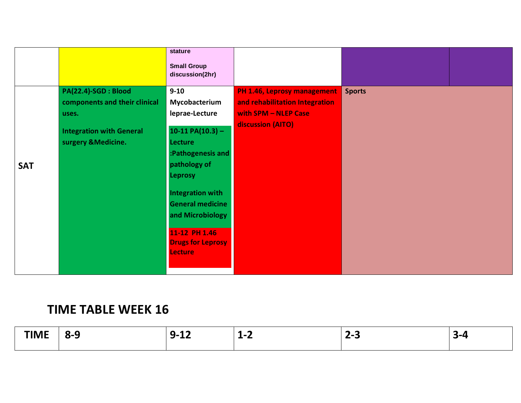|            |                                                                                                                          | stature<br><b>Small Group</b><br>discussion(2hr)                                                                                                                                                                                                                                    |                                                                                                            |               |  |
|------------|--------------------------------------------------------------------------------------------------------------------------|-------------------------------------------------------------------------------------------------------------------------------------------------------------------------------------------------------------------------------------------------------------------------------------|------------------------------------------------------------------------------------------------------------|---------------|--|
| <b>SAT</b> | PA(22.4)-SGD : Blood<br>components and their clinical<br>uses.<br><b>Integration with General</b><br>surgery & Medicine. | $9 - 10$<br>Mycobacterium<br>leprae-Lecture<br>$10-11 PA(10.3) -$<br><b>Lecture</b><br>:Pathogenesis and<br>pathology of<br><b>Leprosy</b><br><b>Integration with</b><br><b>General medicine</b><br>and Microbiology<br>11-12 PH 1.46<br><b>Drugs for Leprosy</b><br><b>Lecture</b> | PH 1.46, Leprosy management<br>and rehabilitation Integration<br>with SPM - NLEP Case<br>discussion (AITO) | <b>Sports</b> |  |

## **TIME TABLE WEEK 16**

| <b>TIME</b><br><b>THAIR</b> | ^-<br>. .<br>- - | - -<br>. .<br>-- | $\overline{\phantom{a}}$<br>$\blacksquare$<br>- | -<br>_ | . . |
|-----------------------------|------------------|------------------|-------------------------------------------------|--------|-----|
|                             |                  |                  |                                                 |        |     |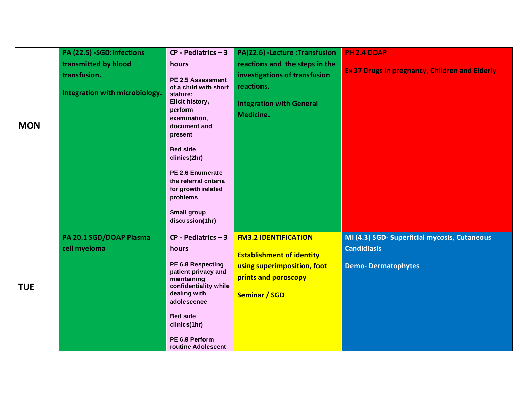|            | PA (22.5) -SGD:Infections                                              | $CP - Pediatrics - 3$                                                                                                                                                                                                                                                             | PA(22.6) - Lecture : Transfusion                                                                                                               | <b>PH 2.4 DOAP</b>                                                                              |
|------------|------------------------------------------------------------------------|-----------------------------------------------------------------------------------------------------------------------------------------------------------------------------------------------------------------------------------------------------------------------------------|------------------------------------------------------------------------------------------------------------------------------------------------|-------------------------------------------------------------------------------------------------|
| <b>MON</b> | transmitted by blood<br>transfusion.<br>Integration with microbiology. | hours<br>PE 2.5 Assessment<br>of a child with short<br>stature:<br>Elicit history,<br>perform<br>examination,<br>document and<br>present<br><b>Bed side</b><br>clinics(2hr)<br>PE 2.6 Enumerate<br>the referral criteria<br>for growth related                                    | reactions and the steps in the<br>investigations of transfusion<br>reactions.<br><b>Integration with General</b><br>Medicine.                  | Ex 37 Drugs in pregnancy, Children and Elderly                                                  |
| <b>TUE</b> | PA 20.1 SGD/DOAP Plasma<br>cell myeloma                                | problems<br><b>Small group</b><br>discussion(1hr)<br>$CP - Pediatrics - 3$<br>hours<br>PE 6.8 Respecting<br>patient privacy and<br>maintaining<br>confidentiality while<br>dealing with<br>adolescence<br><b>Bed side</b><br>clinics(1hr)<br>PE 6.9 Perform<br>routine Adolescent | <b>FM3.2 IDENTIFICATION</b><br><b>Establishment of identity</b><br>using superimposition, foot<br>prints and poroscopy<br><b>Seminar / SGD</b> | MI (4.3) SGD- Superficial mycosis, Cutaneous<br><b>Candidiasis</b><br><b>Demo-Dermatophytes</b> |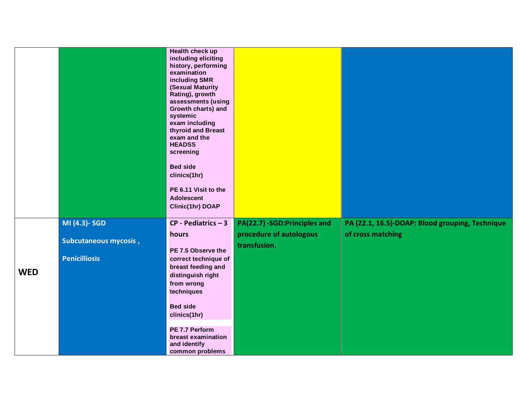|            |                                                                | Health check up<br>including eliciting<br>history, performing<br>examination<br>including SMR<br>(Sexual Maturity<br>Rating), growth<br>assessments (using<br>Growth charts) and<br>systemic<br>exam including<br>thyroid and Breast<br>exam and the<br><b>HEADSS</b><br>screening<br><b>Bed side</b><br>clinics(1hr)<br>PE 6.11 Visit to the<br><b>Adolescent</b><br>Clinic(1hr) DOAP |                                                                         |                                                                      |
|------------|----------------------------------------------------------------|----------------------------------------------------------------------------------------------------------------------------------------------------------------------------------------------------------------------------------------------------------------------------------------------------------------------------------------------------------------------------------------|-------------------------------------------------------------------------|----------------------------------------------------------------------|
| <b>WED</b> | MI (4.3)- SGD<br>Subcutaneous mycosis,<br><b>Penicilliosis</b> | $CP - Pediatrics - 3$<br>hours<br>PE 7.5 Observe the<br>correct technique of<br>breast feeding and<br>distinguish right<br>from wrong<br>techniques<br><b>Bed side</b><br>clinics(1hr)<br>PE 7.7 Perform<br>breast examination<br>and identify<br>common problems                                                                                                                      | PA(22.7) -SGD:Principles and<br>procedure of autologous<br>transfusion. | PA (22.1, 16.5)-DOAP: Blood grouping, Technique<br>of cross matching |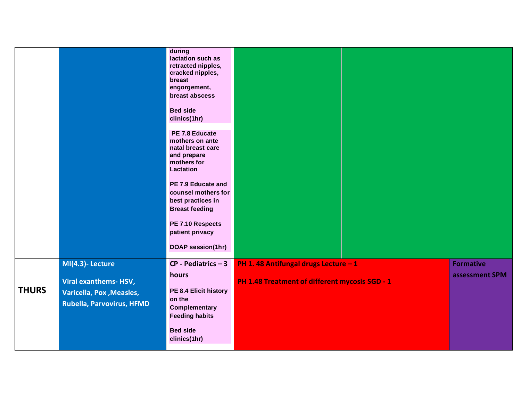|              |                                                                                                                | during<br>lactation such as<br>retracted nipples,<br>cracked nipples,<br>breast<br>engorgement,<br>breast abscess<br><b>Bed side</b><br>clinics(1hr)<br>PE 7.8 Educate<br>mothers on ante<br>natal breast care<br>and prepare<br>mothers for |                                                                                        |                                    |
|--------------|----------------------------------------------------------------------------------------------------------------|----------------------------------------------------------------------------------------------------------------------------------------------------------------------------------------------------------------------------------------------|----------------------------------------------------------------------------------------|------------------------------------|
|              |                                                                                                                | Lactation<br>PE 7.9 Educate and<br>counsel mothers for<br>best practices in<br><b>Breast feeding</b><br>PE 7.10 Respects<br>patient privacy<br>DOAP session(1hr)                                                                             |                                                                                        |                                    |
| <b>THURS</b> | MI(4.3)-Lecture<br><b>Viral exanthems-HSV,</b><br><b>Varicella, Pox, Measles,</b><br>Rubella, Parvovirus, HFMD | $CP - Pediatrics - 3$<br>hours<br>PE 8.4 Elicit history<br>on the<br><b>Complementary</b><br><b>Feeding habits</b><br><b>Bed side</b><br>clinics(1hr)                                                                                        | PH 1.48 Antifungal drugs Lecture - 1<br>PH 1.48 Treatment of different mycosis SGD - 1 | <b>Formative</b><br>assessment SPM |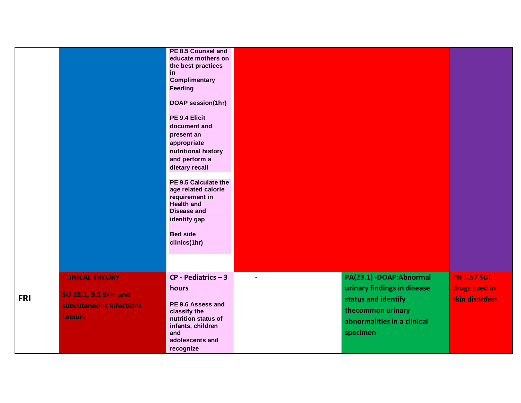|            |                                                                                       | PE 8.5 Counsel and<br>educate mothers on<br>the best practices<br>in<br><b>Complimentary</b><br><b>Feeding</b><br><b>DOAP session(1hr)</b><br>PE 9.4 Elicit<br>document and<br>present an<br>appropriate<br>nutritional history<br>and perform a<br>dietary recall<br>PE 9.5 Calculate the<br>age related calorie<br>requirement in<br><b>Health and</b><br><b>Disease and</b><br>identify gap<br><b>Bed side</b><br>clinics(1hr) |                          |                                                                                                                                                |                                                       |
|------------|---------------------------------------------------------------------------------------|-----------------------------------------------------------------------------------------------------------------------------------------------------------------------------------------------------------------------------------------------------------------------------------------------------------------------------------------------------------------------------------------------------------------------------------|--------------------------|------------------------------------------------------------------------------------------------------------------------------------------------|-------------------------------------------------------|
| <b>FRI</b> | <b>CLINICAL THEORY</b><br>SU 18.1, 9.1 Skin and<br>subcutaneous infections<br>Lecture | $CP - Pediatrics - 3$<br>hours<br>PE 9.6 Assess and<br>classify the<br>nutrition status of<br>infants, children<br>and<br>adolescents and<br>recognize                                                                                                                                                                                                                                                                            | $\overline{\phantom{a}}$ | PA(23.1) -DOAP: Abnormal<br>urinary findings in disease<br>status and identify<br>thecommon urinary<br>abnormalities in a clinical<br>specimen | <b>PH 1.57 SDL</b><br>drugs used in<br>skin disorders |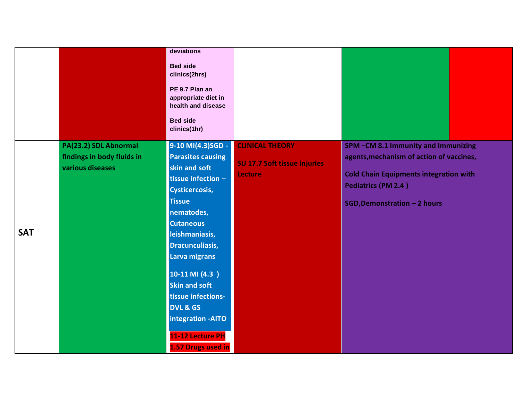|            |                                                                         | deviations<br><b>Bed side</b><br>clinics(2hrs)<br>PE 9.7 Plan an<br>appropriate diet in<br>health and disease<br><b>Bed side</b><br>clinics(1hr)                                                                                                                                                                                                                                         |                                                                          |                                                                                                                                                                                                      |
|------------|-------------------------------------------------------------------------|------------------------------------------------------------------------------------------------------------------------------------------------------------------------------------------------------------------------------------------------------------------------------------------------------------------------------------------------------------------------------------------|--------------------------------------------------------------------------|------------------------------------------------------------------------------------------------------------------------------------------------------------------------------------------------------|
| <b>SAT</b> | PA(23.2) SDL Abnormal<br>findings in body fluids in<br>various diseases | 9-10 MI(4.3)SGD -<br><b>Parasites causing</b><br>skin and soft<br>tissue infection -<br>Cysticercosis,<br><b>Tissue</b><br>nematodes,<br><b>Cutaneous</b><br>leishmaniasis,<br><b>Dracunculiasis,</b><br>Larva migrans<br>$10-11$ MI $(4.3)$<br><b>Skin and soft</b><br>tissue infections-<br><b>DVL &amp; GS</b><br>integration - AITO<br>11-12 Lecture PH<br><b>1.57 Drugs used in</b> | <b>CLINICAL THEORY</b><br>SU 17.7 Soft tissue injuries<br><b>Lecture</b> | SPM-CM 8.1 Immunity and Immunizing<br>agents, mechanism of action of vaccines,<br><b>Cold Chain Equipments integration with</b><br><b>Pediatrics (PM 2.4)</b><br><b>SGD, Demonstration - 2 hours</b> |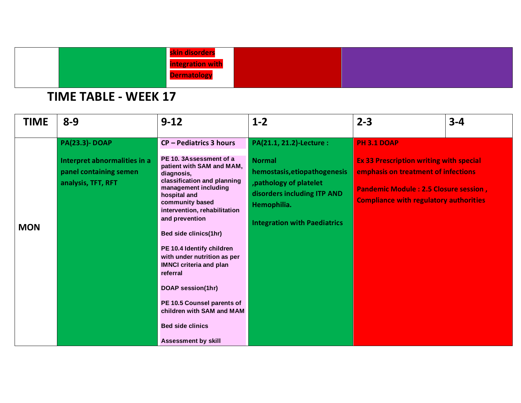| skin disorders          |
|-------------------------|
| <b>Integration with</b> |
| <b>ermatologi</b>       |
|                         |

# **TIME TABLE - WEEK 17**

| <b>TIME</b> | $8 - 9$                                                                                              | $9 - 12$                                                                                                                                                                                                                                                                                                                                                                                                                                                                                                                          | $1 - 2$                                                                                                                                                                                   | $2 - 3$                                                                                                                                                                                                      | $3 - 4$ |
|-------------|------------------------------------------------------------------------------------------------------|-----------------------------------------------------------------------------------------------------------------------------------------------------------------------------------------------------------------------------------------------------------------------------------------------------------------------------------------------------------------------------------------------------------------------------------------------------------------------------------------------------------------------------------|-------------------------------------------------------------------------------------------------------------------------------------------------------------------------------------------|--------------------------------------------------------------------------------------------------------------------------------------------------------------------------------------------------------------|---------|
| <b>MON</b>  | <b>PA(23.3)-DOAP</b><br>Interpret abnormalities in a<br>panel containing semen<br>analysis, TFT, RFT | <b>CP-Pediatrics 3 hours</b><br>PE 10. 3Assessment of a<br>patient with SAM and MAM,<br>diagnosis,<br>classification and planning<br>management including<br>hospital and<br>community based<br>intervention, rehabilitation<br>and prevention<br>Bed side clinics(1hr)<br>PE 10.4 Identify children<br>with under nutrition as per<br><b>IMNCI criteria and plan</b><br>referral<br><b>DOAP session(1hr)</b><br>PE 10.5 Counsel parents of<br>children with SAM and MAM<br><b>Bed side clinics</b><br><b>Assessment by skill</b> | PA(21.1, 21.2)-Lecture :<br><b>Normal</b><br>hemostasis, etiopathogenesis<br>, pathology of platelet<br>disorders including ITP AND<br>Hemophilia.<br><b>Integration with Paediatrics</b> | <b>PH 3.1 DOAP</b><br><b>Ex 33 Prescription writing with special</b><br>emphasis on treatment of infections<br><b>Pandemic Module: 2.5 Closure session,</b><br><b>Compliance with regulatory authorities</b> |         |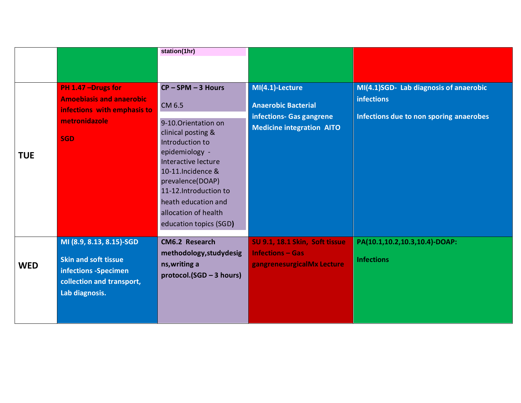|            |                                                        | station(1hr)                                 |                                                              |                                                             |
|------------|--------------------------------------------------------|----------------------------------------------|--------------------------------------------------------------|-------------------------------------------------------------|
|            |                                                        |                                              |                                                              |                                                             |
|            |                                                        |                                              |                                                              |                                                             |
|            | PH 1.47 - Drugs for<br><b>Amoebiasis and anaerobic</b> | $CP - SPM - 3$ Hours                         | MI(4.1)-Lecture                                              | MI(4.1)SGD- Lab diagnosis of anaerobic<br><b>infections</b> |
|            | infections with emphasis to                            | CM 6.5                                       | <b>Anaerobic Bacterial</b>                                   | Infections due to non sporing anaerobes                     |
|            | metronidazole                                          | 9-10. Orientation on                         | infections- Gas gangrene<br><b>Medicine integration AITO</b> |                                                             |
|            | <b>SGD</b>                                             | clinical posting &<br>Introduction to        |                                                              |                                                             |
| <b>TUE</b> |                                                        | epidemiology -                               |                                                              |                                                             |
|            |                                                        | Interactive lecture<br>10-11.Incidence &     |                                                              |                                                             |
|            |                                                        | prevalence(DOAP)                             |                                                              |                                                             |
|            |                                                        | 11-12.Introduction to<br>heath education and |                                                              |                                                             |
|            |                                                        | allocation of health                         |                                                              |                                                             |
|            |                                                        | education topics (SGD)                       |                                                              |                                                             |
|            | MI (8.9, 8.13, 8.15)-SGD                               | CM6.2 Research                               | SU 9.1, 18.1 Skin, Soft tissue                               | PA(10.1,10.2,10.3,10.4)-DOAP:                               |
|            | <b>Skin and soft tissue</b>                            | methodology, study desig                     | <b>Infections - Gas</b>                                      | <b>Infections</b>                                           |
| <b>WED</b> | infections -Specimen                                   | ns, writing a<br>protocol.(SGD - 3 hours)    | gangrenesurgicalMx Lecture                                   |                                                             |
|            | collection and transport,<br>Lab diagnosis.            |                                              |                                                              |                                                             |
|            |                                                        |                                              |                                                              |                                                             |
|            |                                                        |                                              |                                                              |                                                             |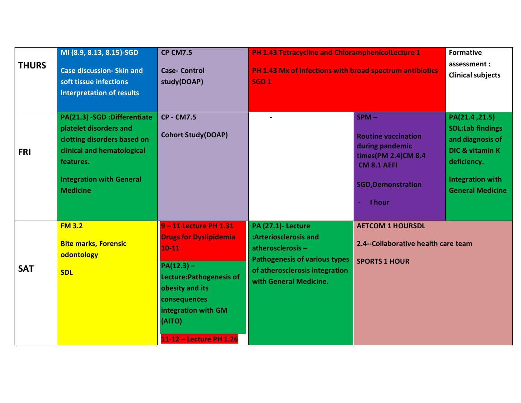| <b>THURS</b> | MI (8.9, 8.13, 8.15)-SGD<br><b>Case discussion- Skin and</b><br>soft tissue infections<br><b>Interpretation of results</b>                                                             | <b>CP CM7.5</b><br><b>Case- Control</b><br>study(DOAP)                                                                                                                                                        | PH 1.43 Tetracycline and ChloramphenicolLecture 1<br>PH 1.43 Mx of infections with broad spectrum antibiotics<br>SGD <sub>1</sub>                                          |                                                                                                                                                | <b>Formative</b><br>assessment:<br><b>Clinical subjects</b>                                                                                               |
|--------------|----------------------------------------------------------------------------------------------------------------------------------------------------------------------------------------|---------------------------------------------------------------------------------------------------------------------------------------------------------------------------------------------------------------|----------------------------------------------------------------------------------------------------------------------------------------------------------------------------|------------------------------------------------------------------------------------------------------------------------------------------------|-----------------------------------------------------------------------------------------------------------------------------------------------------------|
| <b>FRI</b>   | PA(21.3) -SGD :Differentiate<br>platelet disorders and<br>clotting disorders based on<br>clinical and hematological<br>features.<br><b>Integration with General</b><br><b>Medicine</b> | <b>CP - CM7.5</b><br><b>Cohort Study(DOAP)</b>                                                                                                                                                                |                                                                                                                                                                            | $SPM -$<br><b>Routine vaccination</b><br>during pandemic<br>times(PM 2.4)CM 8.4<br><b>CM 8.1 AEFI</b><br><b>SGD, Demonstration</b><br>- I hour | PA(21.4, 21.5)<br><b>SDL:Lab findings</b><br>and diagnosis of<br><b>DIC &amp; vitamin K</b><br>deficiency.<br>Integration with<br><b>General Medicine</b> |
| <b>SAT</b>   | <b>FM 3.2</b><br><b>Bite marks, Forensic</b><br>odontology<br><b>SDL</b>                                                                                                               | 9-11 Lecture PH 1.31<br><b>Drugs for Dyslipidemia</b><br>$10 - 11$<br>$PA(12.3) -$<br>Lecture: Pathogenesis of<br>obesity and its<br>consequences<br>integration with GM<br>(AITO)<br>11-12 - Lecture PH 1.26 | <b>PA (27.1)- Lecture</b><br>:Arteriosclerosis and<br>atherosclerosis-<br><b>Pathogenesis of various types</b><br>of atherosclerosis integration<br>with General Medicine. | <b>AETCOM 1 HOURSDL</b><br>2.4--Collaborative health care team<br><b>SPORTS 1 HOUR</b>                                                         |                                                                                                                                                           |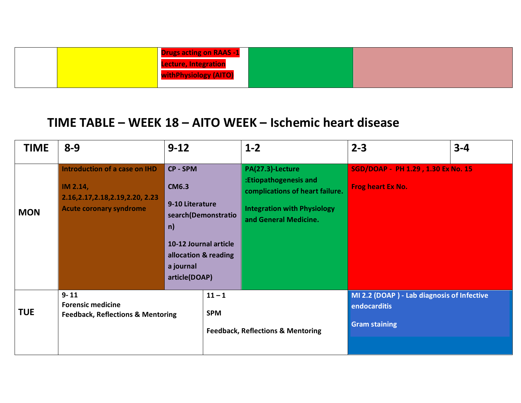| <b>Drugs acting on RAAS -1</b> |  |
|--------------------------------|--|
| <b>Lecture, Integration</b>    |  |
| withPhysiology (AITO)          |  |
|                                |  |

### **TIME TABLE – WEEK 18 – AITO WEEK – Ischemic heart disease**

| <b>TIME</b> | $8 - 9$                                                                                                           | $9 - 12$                                                                                                                         |                     | $1 - 2$                                                                                                                                     | $2 - 3$                                                                            | $3 - 4$ |
|-------------|-------------------------------------------------------------------------------------------------------------------|----------------------------------------------------------------------------------------------------------------------------------|---------------------|---------------------------------------------------------------------------------------------------------------------------------------------|------------------------------------------------------------------------------------|---------|
| <b>MON</b>  | Introduction of a case on IHD<br>IM 2.14,<br>2.16, 2.17, 2.18, 2.19, 2.20, 2.23<br><b>Acute coronary syndrome</b> | CP - SPM<br><b>CM6.3</b><br>9-10 Literature<br>n)<br>10-12 Journal article<br>allocation & reading<br>a journal<br>article(DOAP) | search(Demonstratio | PA(27.3)-Lecture<br>:Etiopathogenesis and<br>complications of heart failure.<br><b>Integration with Physiology</b><br>and General Medicine. | SGD/DOAP - PH 1.29, 1.30 Ex No. 15<br>Frog heart Ex No.                            |         |
| <b>TUE</b>  | $9 - 11$<br><b>Forensic medicine</b><br><b>Feedback, Reflections &amp; Mentoring</b>                              | $11 - 1$<br><b>SPM</b>                                                                                                           |                     | <b>Feedback, Reflections &amp; Mentoring</b>                                                                                                | MI 2.2 (DOAP) - Lab diagnosis of Infective<br>endocarditis<br><b>Gram staining</b> |         |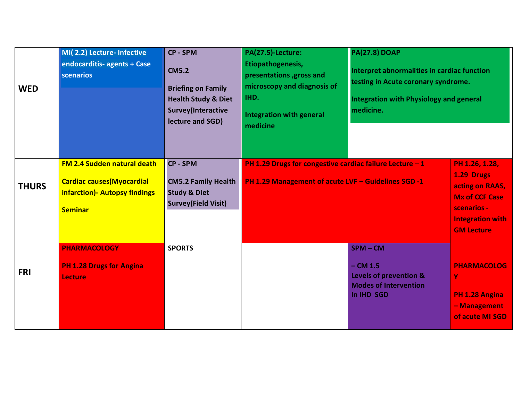| <b>WED</b>   | MI(2.2) Lecture- Infective<br>endocarditis- agents + Case<br><b>scenarios</b>                                               | <b>CP - SPM</b><br><b>CM5.2</b><br><b>Briefing on Family</b><br><b>Health Study &amp; Diet</b><br>Survey(Interactive<br>lecture and SGD) | PA(27.5)-Lecture:<br>Etiopathogenesis,<br>presentations , gross and<br>microscopy and diagnosis of<br>IHD.<br>Integration with general<br>medicine | <b>PA(27.8) DOAP</b><br>Interpret abnormalities in cardiac function<br>testing in Acute coronary syndrome.<br>Integration with Physiology and general<br>medicine. |                                                                                                                                         |
|--------------|-----------------------------------------------------------------------------------------------------------------------------|------------------------------------------------------------------------------------------------------------------------------------------|----------------------------------------------------------------------------------------------------------------------------------------------------|--------------------------------------------------------------------------------------------------------------------------------------------------------------------|-----------------------------------------------------------------------------------------------------------------------------------------|
| <b>THURS</b> | <b>FM 2.4 Sudden natural death</b><br><b>Cardiac causes (Myocardial</b><br>infarction) - Autopsy findings<br><b>Seminar</b> | <b>CP - SPM</b><br><b>CM5.2 Family Health</b><br><b>Study &amp; Diet</b><br><b>Survey(Field Visit)</b>                                   | PH 1.29 Drugs for congestive cardiac failure Lecture - 1<br>PH 1.29 Management of acute LVF - Guidelines SGD -1                                    |                                                                                                                                                                    | PH 1.26, 1.28,<br>1.29 Drugs<br>acting on RAAS,<br><b>Mx of CCF Case</b><br>scenarios -<br><b>Integration with</b><br><b>GM Lecture</b> |
| <b>FRI</b>   | <b>PHARMACOLOGY</b><br><b>PH 1.28 Drugs for Angina</b><br><b>Lecture</b>                                                    | <b>SPORTS</b>                                                                                                                            |                                                                                                                                                    | $SPM - CM$<br>$-$ CM 1.5<br>Levels of prevention &<br><b>Modes of Intervention</b><br>In IHD SGD                                                                   | <b>PHARMACOLOG</b><br>Ÿ<br>PH 1.28 Angina<br>- Management<br>of acute MI SGD                                                            |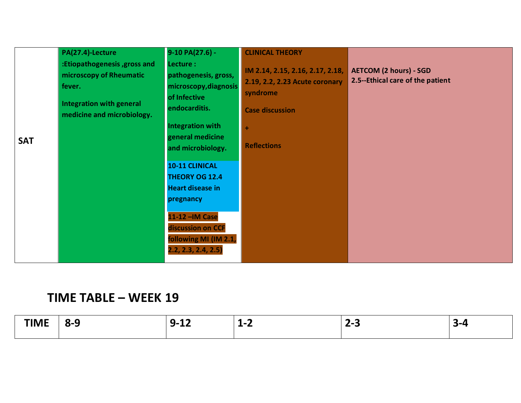|            | PA(27.4)-Lecture<br>:Etiopathogenesis, gross and<br>microscopy of Rheumatic<br>fever.<br><b>Integration with general</b><br>medicine and microbiology. | 9-10 PA(27.6) -<br>Lecture :<br>pathogenesis, gross,<br>microscopy, diagnosis<br>of Infective<br>endocarditis.                                                                                                                                    | <b>CLINICAL THEORY</b><br>IM 2.14, 2.15, 2.16, 2.17, 2.18,<br>2.19, 2.2, 2.23 Acute coronary<br>syndrome<br><b>Case discussion</b> | <b>AETCOM (2 hours) - SGD</b><br>2.5--Ethical care of the patient |
|------------|--------------------------------------------------------------------------------------------------------------------------------------------------------|---------------------------------------------------------------------------------------------------------------------------------------------------------------------------------------------------------------------------------------------------|------------------------------------------------------------------------------------------------------------------------------------|-------------------------------------------------------------------|
| <b>SAT</b> |                                                                                                                                                        | <b>Integration with</b><br>general medicine<br>and microbiology.<br><b>10-11 CLINICAL</b><br><b>THEORY OG 12.4</b><br><b>Heart disease in</b><br>pregnancy<br>11-12 - IM Case<br>discussion on CCF<br>following MI (IM 2.1,<br>2.2, 2.3, 2.4, 2.5 | ÷<br><b>Reflections</b>                                                                                                            |                                                                   |

### **TIME TABLE – WEEK 19**

| --- --<br>. <b>.</b> | ^-`<br>. . | o<br>–…<br>- 4<br>-- | $\epsilon$<br>-4<br>.<br>- - | - -<br>-<br>- - | $\sim$ |
|----------------------|------------|----------------------|------------------------------|-----------------|--------|
|                      |            |                      |                              |                 |        |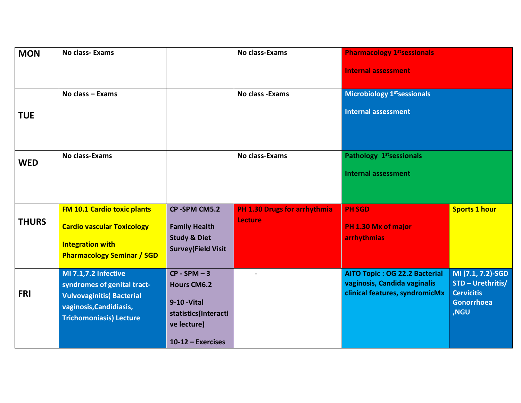| <b>MON</b>   | <b>No class-Exams</b>                                           |                                                      | <b>No class-Exams</b>                          | <b>Pharmacology 1st sessionals</b>                                 |                                        |
|--------------|-----------------------------------------------------------------|------------------------------------------------------|------------------------------------------------|--------------------------------------------------------------------|----------------------------------------|
|              |                                                                 |                                                      |                                                | <b>Internal assessment</b>                                         |                                        |
|              | No class - Exams                                                |                                                      | No class - Exams                               | <b>Microbiology 1st sessionals</b><br><b>Internal assessment</b>   |                                        |
| <b>TUE</b>   |                                                                 |                                                      |                                                |                                                                    |                                        |
| <b>WED</b>   | <b>No class-Exams</b>                                           |                                                      | No class-Exams                                 | Pathology 1 <sup>st</sup> sessionals<br><b>Internal assessment</b> |                                        |
|              |                                                                 |                                                      |                                                |                                                                    |                                        |
|              | <b>FM 10.1 Cardio toxic plants</b>                              | CP-SPM CM5.2                                         | PH 1.30 Drugs for arrhythmia<br><b>Lecture</b> | <b>PH SGD</b>                                                      | <b>Sports 1 hour</b>                   |
| <b>THURS</b> | <b>Cardio vascular Toxicology</b>                               | <b>Family Health</b>                                 |                                                | PH 1.30 Mx of major                                                |                                        |
|              | <b>Integration with</b><br><b>Pharmacology Seminar / SGD</b>    | <b>Study &amp; Diet</b><br><b>Survey(Field Visit</b> |                                                | arrhythmias                                                        |                                        |
|              | <b>MI 7.1,7.2 Infective</b>                                     | $CP - SPM - 3$                                       |                                                | AITO Topic: OG 22.2 Bacterial<br>vaginosis, Candida vaginalis      | MI (7.1, 7.2)-SGD<br>STD - Urethritis/ |
| <b>FRI</b>   | syndromes of genital tract-<br><b>Vulvovaginitis</b> (Bacterial | <b>Hours CM6.2</b>                                   |                                                | clinical features, syndromicMx                                     | <b>Cervicitis</b>                      |
|              | vaginosis, Candidiasis,                                         | <b>9-10 - Vital</b><br>statistics(Interacti          |                                                |                                                                    | <b>Gonorrhoea</b><br>,NGU              |
|              | <b>Trichomoniasis) Lecture</b>                                  | ve lecture)                                          |                                                |                                                                    |                                        |
|              |                                                                 | $10-12$ – Exercises                                  |                                                |                                                                    |                                        |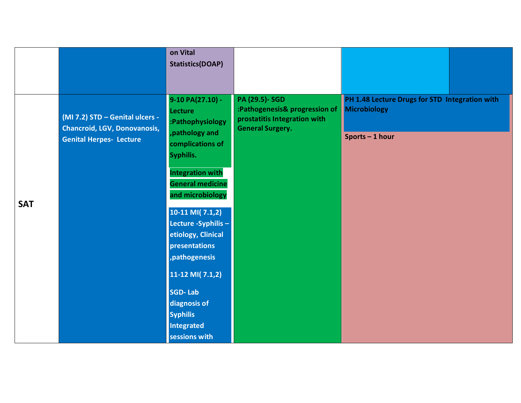|            |                                                                                                          | on Vital<br><b>Statistics(DOAP)</b>                                                                                                                                                                                                                                                                                                                                                                  |                                                                                                                   |                                                                                 |
|------------|----------------------------------------------------------------------------------------------------------|------------------------------------------------------------------------------------------------------------------------------------------------------------------------------------------------------------------------------------------------------------------------------------------------------------------------------------------------------------------------------------------------------|-------------------------------------------------------------------------------------------------------------------|---------------------------------------------------------------------------------|
| <b>SAT</b> | (MI 7.2) STD - Genital ulcers -<br><b>Chancroid, LGV, Donovanosis,</b><br><b>Genital Herpes- Lecture</b> | 9-10 PA(27.10) -<br><b>Lecture</b><br>:Pathophysiology<br>, pathology and<br>complications of<br>Syphilis.<br><b>Integration with</b><br><b>General medicine</b><br>and microbiology<br>$10-11$ MI( 7.1,2)<br>Lecture -Syphilis -<br>etiology, Clinical<br>presentations<br>, pathogenesis<br>$11-12$ MI( 7.1,2)<br><b>SGD-Lab</b><br>diagnosis of<br><b>Syphilis</b><br>Integrated<br>sessions with | <b>PA (29.5)- SGD</b><br>:Pathogenesis& progression of<br>prostatitis Integration with<br><b>General Surgery.</b> | PH 1.48 Lecture Drugs for STD Integration with<br>Microbiology<br>Sports-1 hour |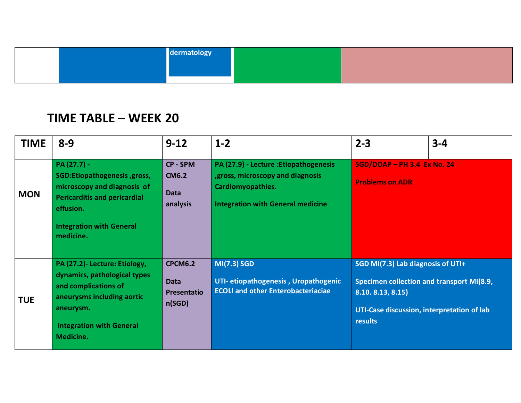|  | dermatology |  |
|--|-------------|--|
|  |             |  |
|  |             |  |

#### **TIME TABLE – WEEK 20**

| <b>TIME</b> | $8 - 9$                                                                                                                                                                          | $9 - 12$                                                      | $1 - 2$                                                                                                                                             | $2 - 3$                                                                                                                                                     | $3 - 4$ |
|-------------|----------------------------------------------------------------------------------------------------------------------------------------------------------------------------------|---------------------------------------------------------------|-----------------------------------------------------------------------------------------------------------------------------------------------------|-------------------------------------------------------------------------------------------------------------------------------------------------------------|---------|
| <b>MON</b>  | PA (27.7) -<br>SGD:Etiopathogenesis, gross,<br>microscopy and diagnosis of<br><b>Pericarditis and pericardial</b><br>effusion.<br><b>Integration with General</b><br>medicine.   | <b>CP-SPM</b><br><b>CM6.2</b><br><b>Data</b><br>analysis      | PA (27.9) - Lecture : Etiopathogenesis<br>, gross, microscopy and diagnosis<br><b>Cardiomyopathies.</b><br><b>Integration with General medicine</b> | $SGD/DOAP - PH$ 3.4 Ex No. 24<br><b>Problems on ADR</b>                                                                                                     |         |
| <b>TUE</b>  | PA (27.2)- Lecture: Etiology,<br>dynamics, pathological types<br>and complications of<br>aneurysms including aortic<br>aneurysm.<br><b>Integration with General</b><br>Medicine. | <b>CPCM6.2</b><br><b>Data</b><br><b>Presentatio</b><br>n(SGD) | <b>MI(7.3) SGD</b><br>UTI- etiopathogenesis, Uropathogenic<br><b>ECOLI and other Enterobacteriaciae</b>                                             | SGD MI(7.3) Lab diagnosis of UTI+<br>Specimen collection and transport MI(8.9,<br>8.10.8.13, 8.15)<br>UTI-Case discussion, interpretation of lab<br>results |         |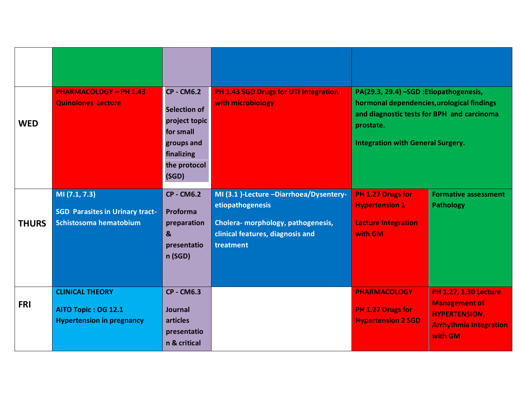| <b>WED</b>   | <b>PHARMACOLOGY - PH 1.43</b><br><b>Quinolones Lecture</b>                        | <b>CP - CM6.2</b><br><b>Selection of</b><br>project topic<br>for small<br>groups and<br>finalizing<br>the protocol<br>(SGD) | <b>PH 1.43 SGD Drugs for UTI Integration</b><br>with microbiology                                                                                  | PA(29.3, 29.4) -SGD : Etiopathogenesis,<br>hormonal dependencies, urological findings<br>and diagnostic tests for BPH and carcinoma<br>prostate.<br><b>Integration with General Surgery.</b> |                                                                                                                          |
|--------------|-----------------------------------------------------------------------------------|-----------------------------------------------------------------------------------------------------------------------------|----------------------------------------------------------------------------------------------------------------------------------------------------|----------------------------------------------------------------------------------------------------------------------------------------------------------------------------------------------|--------------------------------------------------------------------------------------------------------------------------|
| <b>THURS</b> | M(7.1, 7.3)<br><b>SGD Parasites in Urinary tract-</b><br>Schistosoma hematobium   | <b>CP - CM6.2</b><br><b>Proforma</b><br>preparation<br>$\boldsymbol{8}$<br>presentatio<br>n(SGD)                            | MI (3.1 )-Lecture -Diarrhoea/Dysentery-<br>etiopathogenesis<br>Cholera- morphology, pathogenesis,<br>clinical features, diagnosis and<br>treatment | PH 1.27 Drugs for<br><b>Hypertension 1</b><br><b>Lecture Integration</b><br>with GM                                                                                                          | <b>Formative assessment</b><br><b>Pathology</b>                                                                          |
| <b>FRI</b>   | <b>CLINICAL THEORY</b><br>AITO Topic: OG 12.1<br><b>Hypertension in pregnancy</b> | <b>CP - CM6.3</b><br><b>Journal</b><br><b>articles</b><br>presentatio<br>n & critical                                       |                                                                                                                                                    | <b>PHARMACOLOGY</b><br>PH 1.27 Drugs for<br><b>Hypertension 2 SGD</b>                                                                                                                        | <b>PH 1.27, 1.30 Lecture</b><br><b>Management of</b><br><b>HYPERTENSION,</b><br><b>Arrhythmia Integration</b><br>with GM |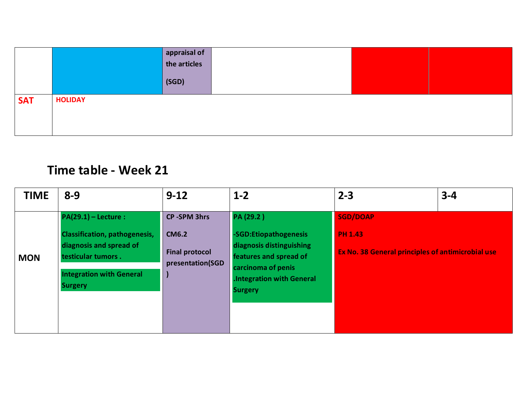|            |                | $\begin{array}{ c c }\n\hline\n\text{appraisal of} \\ \text{the articles}\n\end{array}$ |  |  |
|------------|----------------|-----------------------------------------------------------------------------------------|--|--|
|            |                | (SGD)                                                                                   |  |  |
| <b>SAT</b> | <b>HOLIDAY</b> |                                                                                         |  |  |
|            |                |                                                                                         |  |  |
|            |                |                                                                                         |  |  |

# **Time table - Week 21**

| <b>TIME</b> | $8 - 9$                                                                                                                                                             | $9 - 12$                                                                        | $1 - 2$                                                                                                                                                             | $2 - 3$                                                                                | $3 - 4$ |
|-------------|---------------------------------------------------------------------------------------------------------------------------------------------------------------------|---------------------------------------------------------------------------------|---------------------------------------------------------------------------------------------------------------------------------------------------------------------|----------------------------------------------------------------------------------------|---------|
| <b>MON</b>  | $PA(29.1) - Lecture:$<br><b>Classification, pathogenesis,</b><br>diagnosis and spread of<br>testicular tumors.<br><b>Integration with General</b><br><b>Surgery</b> | <b>CP-SPM 3hrs</b><br><b>CM6.2</b><br><b>Final protocol</b><br>presentation(SGD | PA (29.2)<br>-SGD:Etiopathogenesis<br>diagnosis distinguishing<br>features and spread of<br>carcinoma of penis<br><b>Integration with General</b><br><b>Surgery</b> | <b>SGD/DOAP</b><br><b>PH 1.43</b><br>Ex No. 38 General principles of antimicrobial use |         |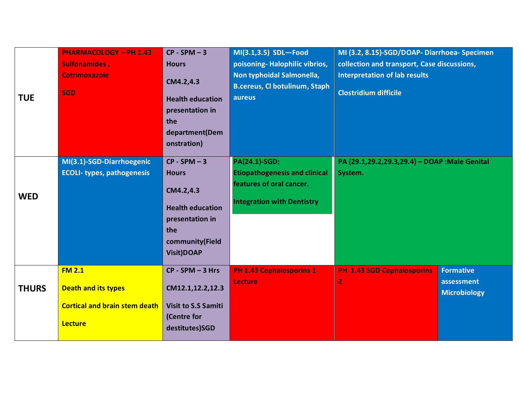| <b>TUE</b>   | <b>PHARMACOLOGY - PH 1.43</b><br>Sulfonamides,<br><b>Cotrimoxazole</b><br><b>SGD</b>                  | $CP - SPM - 3$<br><b>Hours</b><br>CM4.2,4.3<br><b>Health education</b><br>presentation in<br>the<br>department(Dem<br>onstration)        | MI(3.1,3.5) SDL-Food<br>poisoning-Halophilic vibrios,<br>Non typhoidal Salmonella,<br><b>B.cereus, Cl botulinum, Staph</b><br>aureus | MI (3.2, 8.15)-SGD/DOAP-Diarrhoea-Specimen<br>collection and transport, Case discussions,<br><b>Interpretation of lab results</b><br><b>Clostridium difficile</b> |                                                       |
|--------------|-------------------------------------------------------------------------------------------------------|------------------------------------------------------------------------------------------------------------------------------------------|--------------------------------------------------------------------------------------------------------------------------------------|-------------------------------------------------------------------------------------------------------------------------------------------------------------------|-------------------------------------------------------|
| <b>WED</b>   | MI(3.1)-SGD-Diarrhoegenic<br><b>ECOLI- types, pathogenesis</b>                                        | $CP - SPM - 3$<br><b>Hours</b><br>CM4.2,4.3<br><b>Health education</b><br>presentation in<br>the<br>community(Field<br><b>Visit)DOAP</b> | <b>PA(24.1)-SGD:</b><br><b>Etiopathogenesis and clinical</b><br>features of oral cancer.<br><b>Integration with Dentistry</b>        | PA (29.1,29.2,29.3,29.4) - DOAP : Male Genital<br>System.                                                                                                         |                                                       |
| <b>THURS</b> | <b>FM 2.1</b><br><b>Death and its types</b><br><b>Cortical and brain stem death</b><br><b>Lecture</b> | $CP - SPM - 3 Hrs$<br>CM12.1,12.2,12.3<br><b>Visit to S.S Samiti</b><br>(Centre for<br>destitutes)SGD                                    | <b>PH 1.43 Cephalosporins 1</b><br><b>Lecture</b>                                                                                    | <b>PH 1.43 SGD Cephalosporins</b><br>$\overline{2}$                                                                                                               | <b>Formative</b><br>assessment<br><b>Microbiology</b> |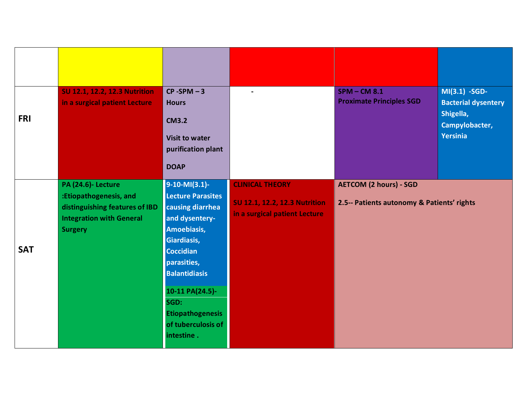| <b>FRI</b> | <b>SU 12.1, 12.2, 12.3 Nutrition</b><br>in a surgical patient Lecture<br><b>PA (24.6)- Lecture</b>            | $CP - SPM - 3$<br><b>Hours</b><br><b>CM3.2</b><br><b>Visit to water</b><br>purification plant<br><b>DOAP</b><br>$9-10-Ml(3.1)$ -                                                                                                                  | <b>CLINICAL THEORY</b>                                                | $SPM - CM 8.1$<br><b>Proximate Principles SGD</b><br><b>AETCOM (2 hours) - SGD</b> | $MI(3.1) - SGD-$<br><b>Bacterial dysentery</b><br>Shigella,<br>Campylobacter,<br>Yersinia |
|------------|---------------------------------------------------------------------------------------------------------------|---------------------------------------------------------------------------------------------------------------------------------------------------------------------------------------------------------------------------------------------------|-----------------------------------------------------------------------|------------------------------------------------------------------------------------|-------------------------------------------------------------------------------------------|
| <b>SAT</b> | :Etiopathogenesis, and<br>distinguishing features of IBD<br><b>Integration with General</b><br><b>Surgery</b> | <b>Lecture Parasites</b><br>causing diarrhea<br>and dysentery-<br>Amoebiasis,<br>Giardiasis,<br><b>Coccidian</b><br>parasities,<br><b>Balantidiasis</b><br>10-11 PA(24.5)-<br>SGD:<br><b>Etiopathogenesis</b><br>of tuberculosis of<br>intestine. | <b>SU 12.1, 12.2, 12.3 Nutrition</b><br>in a surgical patient Lecture | 2.5-- Patients autonomy & Patients' rights                                         |                                                                                           |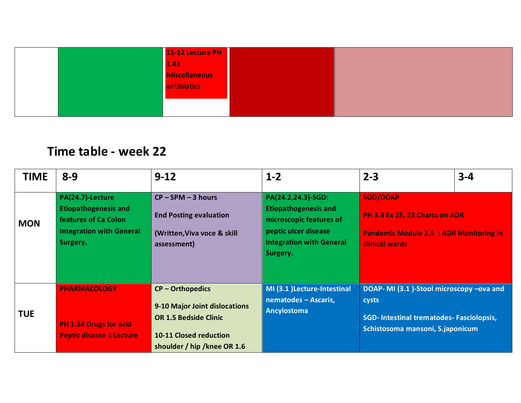| 11-12 Lecture PH     |  |
|----------------------|--|
| $1.43$               |  |
| <b>Miscellaneous</b> |  |
| <b>antibiotics</b>   |  |
|                      |  |
|                      |  |

## **Time table - week 22**

| <b>TIME</b> | $8 - 9$                                                                                                                | $9 - 12$                                                                                                                                            | $1 - 2$                                                                                                                                             | $2 - 3$                                                                                                                                  | $3 - 4$ |
|-------------|------------------------------------------------------------------------------------------------------------------------|-----------------------------------------------------------------------------------------------------------------------------------------------------|-----------------------------------------------------------------------------------------------------------------------------------------------------|------------------------------------------------------------------------------------------------------------------------------------------|---------|
| <b>MON</b>  | PA(24.7)-Lecture<br><b>Etiopathogenesis and</b><br>features of Ca Colon<br><b>Integration with General</b><br>Surgery. | $CP - SPM - 3$ hours<br><b>End Posting evaluation</b><br>(Written, Viva voce & skill<br>assessment)                                                 | PA(24.2,24.3)-SGD:<br><b>Etiopathogenesis and</b><br>microscopic features of<br>peptic ulcer disease<br><b>Integration with General</b><br>Surgery. | <b>SGD/DOAP</b><br>PH 3.4 Ex 25, 23 Charts on ADR<br><b>Pandemic Module 2.5 : ADR Monitoring in</b><br>clinical wards                    |         |
| <b>TUE</b>  | <b>PHARMACOLOGY</b><br><b>PH 1.34 Drugs for acid</b><br><b>Peptic disease 1 Lecture</b>                                | $CP - Orthopedics$<br>9-10 Major Joint dislocations<br><b>OR 1.5 Bedside Clinic</b><br><b>10-11 Closed reduction</b><br>shoulder / hip /knee OR 1.6 | MI (3.1 )Lecture-Intestinal<br>nematodes - Ascaris,<br><b>Ancylostoma</b>                                                                           | DOAP- MI (3.1)-Stool microscopy -ova and<br>cysts<br><b>SGD-Intestinal trematodes- Fasciolopsis,</b><br>Schistosoma mansoni, S.japonicum |         |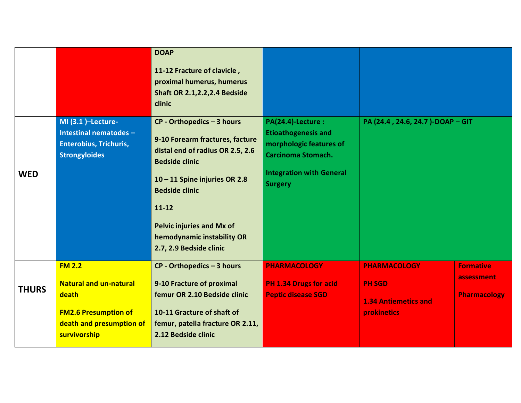|              |                                                                                                                                    | <b>DOAP</b><br>11-12 Fracture of clavicle,<br>proximal humerus, humerus<br><b>Shaft OR 2.1, 2.2, 2.4 Bedside</b><br>clinic                                                                                                                                                                     |                                                                                                                                                               |                                                                                           |                                                       |
|--------------|------------------------------------------------------------------------------------------------------------------------------------|------------------------------------------------------------------------------------------------------------------------------------------------------------------------------------------------------------------------------------------------------------------------------------------------|---------------------------------------------------------------------------------------------------------------------------------------------------------------|-------------------------------------------------------------------------------------------|-------------------------------------------------------|
| <b>WED</b>   | MI (3.1 )-Lecture-<br>Intestinal nematodes -<br><b>Enterobius, Trichuris,</b><br><b>Strongyloides</b>                              | $CP - Orthopedics - 3 hours$<br>9-10 Forearm fractures, facture<br>distal end of radius OR 2.5, 2.6<br><b>Bedside clinic</b><br>10-11 Spine injuries OR 2.8<br><b>Bedside clinic</b><br>$11 - 12$<br><b>Pelvic injuries and Mx of</b><br>hemodynamic instability OR<br>2.7, 2.9 Bedside clinic | PA(24.4)-Lecture :<br><b>Etioathogenesis and</b><br>morphologic features of<br><b>Carcinoma Stomach.</b><br><b>Integration with General</b><br><b>Surgery</b> | PA (24.4, 24.6, 24.7)-DOAP-GIT                                                            |                                                       |
| <b>THURS</b> | <b>FM 2.2</b><br><b>Natural and un-natural</b><br>death<br><b>FM2.6 Presumption of</b><br>death and presumption of<br>survivorship | $CP - Orthopedics - 3 hours$<br>9-10 Fracture of proximal<br>femur OR 2.10 Bedside clinic<br>10-11 Gracture of shaft of<br>femur, patella fracture OR 2.11,<br>2.12 Bedside clinic                                                                                                             | <b>PHARMACOLOGY</b><br><b>PH 1.34 Drugs for acid</b><br><b>Peptic disease SGD</b>                                                                             | <b>PHARMACOLOGY</b><br><b>PH SGD</b><br><b>1.34 Antiemetics and</b><br><b>prokinetics</b> | <b>Formative</b><br>assessment<br><b>Pharmacology</b> |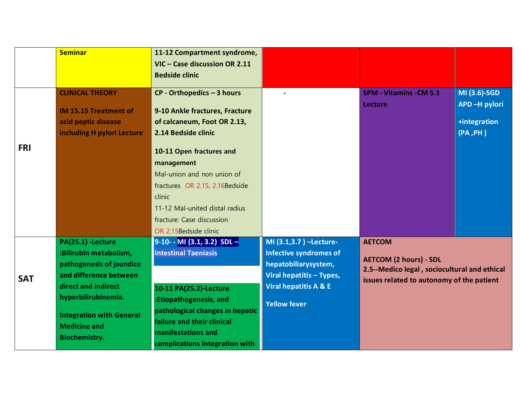|            | <b>Seminar</b>                                         | 11-12 Compartment syndrome,<br>VIC - Case discussion OR 2.11 |                                                         |                                              |              |
|------------|--------------------------------------------------------|--------------------------------------------------------------|---------------------------------------------------------|----------------------------------------------|--------------|
|            |                                                        | <b>Bedside clinic</b>                                        |                                                         |                                              |              |
|            | <b>CLINICAL THEORY</b>                                 | $CP - Orthopedics - 3 hours$                                 |                                                         | <b>SPM - Vitamins - CM 5.1</b>               | MI (3.6)-SGD |
|            | <b>IM 15.15 Treatment of</b>                           | 9-10 Ankle fractures, Fracture                               |                                                         | Lecture                                      | APD-H pylori |
|            | acid peptic disease                                    | of calcaneum, Foot OR 2.13,                                  |                                                         |                                              | +integration |
|            | including H pylori Lecture                             | 2.14 Bedside clinic                                          |                                                         |                                              | (PA, PH)     |
| <b>FRI</b> |                                                        | 10-11 Open fractures and                                     |                                                         |                                              |              |
|            |                                                        | management                                                   |                                                         |                                              |              |
|            |                                                        | Mal-union and non union of                                   |                                                         |                                              |              |
|            |                                                        | fractures OR 2.15, 2.16Bedside                               |                                                         |                                              |              |
|            |                                                        | clinic                                                       |                                                         |                                              |              |
|            |                                                        | 11-12 Mal-united distal radius                               |                                                         |                                              |              |
|            |                                                        | fracture: Case discussion                                    |                                                         |                                              |              |
|            |                                                        | OR 2.15Bedside clinic                                        |                                                         |                                              |              |
|            | PA(25.1) - Lecture<br>:Bilirubin metabolism,           | $9-10-$ MI (3.1, 3.2) SDL-<br><b>Intestinal Taeniasis</b>    | MI (3.1,3.7) -Lecture-<br><b>Infective syndromes of</b> | <b>AETCOM</b>                                |              |
|            | pathogenesis of jaundice                               |                                                              | hepatobiliarysystem,                                    | <b>AETCOM (2 hours) - SDL</b>                |              |
|            | and difference between                                 |                                                              | <b>Viral hepatitis - Types,</b>                         | 2.5--Medico legal, sociocultural and ethical |              |
| <b>SAT</b> | direct and indirect                                    | 10-11 PA(25.2)-Lecture                                       | Viral hepatitis A & E                                   | issues related to autonomy of the patient    |              |
|            | hyperbilirubinemia.                                    | :Etiopathogenesis, and                                       |                                                         |                                              |              |
|            |                                                        | pathological changes in hepatic                              | <b>Yellow fever</b>                                     |                                              |              |
|            | <b>Integration with General</b><br><b>Medicine and</b> | failure and their clinical                                   |                                                         |                                              |              |
|            | <b>Biochemistry.</b>                                   | manifestations and                                           |                                                         |                                              |              |
|            |                                                        | complications Integration with                               |                                                         |                                              |              |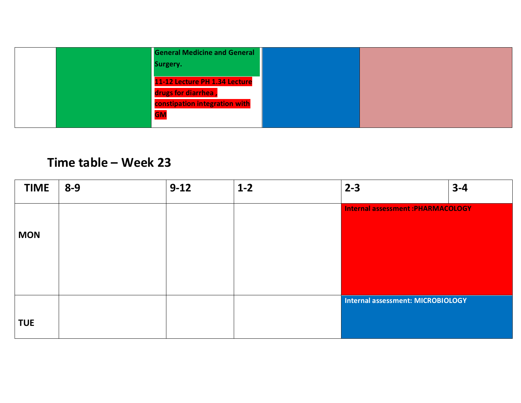| <b>General Medicine and General</b> |  |
|-------------------------------------|--|
| Surgery.                            |  |
| 11-12 Lecture PH 1.34 Lecture       |  |
| drugs for diarrhea,                 |  |
| constipation integration with       |  |
| <b>GM</b>                           |  |

# **Time table – Week 23**

| <b>TIME</b> | $8 - 9$ | $9 - 12$ | $1-2$ | $3 - 4$<br>$2 - 3$                        |  |
|-------------|---------|----------|-------|-------------------------------------------|--|
|             |         |          |       | <b>Internal assessment : PHARMACOLOGY</b> |  |
| <b>MON</b>  |         |          |       |                                           |  |
|             |         |          |       |                                           |  |
|             |         |          |       |                                           |  |
|             |         |          |       | Internal assessment: MICROBIOLOGY         |  |
| <b>TUE</b>  |         |          |       |                                           |  |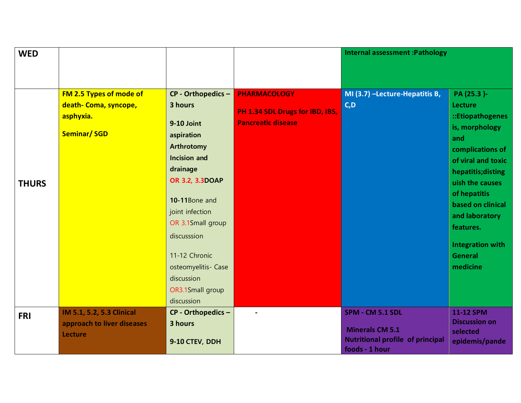| <b>WED</b>   |                            |                                          |                                                              | <b>Internal assessment : Pathology</b>                    |                         |
|--------------|----------------------------|------------------------------------------|--------------------------------------------------------------|-----------------------------------------------------------|-------------------------|
|              |                            |                                          |                                                              |                                                           |                         |
|              |                            |                                          |                                                              |                                                           |                         |
|              | FM 2.5 Types of mode of    | CP - Orthopedics -                       | <b>PHARMACOLOGY</b>                                          | MI (3.7) -Lecture-Hepatitis B,                            | PA (25.3)-              |
|              | death- Coma, syncope,      | 3 hours                                  |                                                              | C, D                                                      | Lecture                 |
|              | asphyxia.                  |                                          | PH 1.34 SDL Drugs for IBD, IBS,<br><b>Pancreatic disease</b> |                                                           | ::Etiopathogenes        |
|              | <b>Seminar/SGD</b>         | 9-10 Joint                               |                                                              |                                                           | is, morphology          |
|              |                            | aspiration                               |                                                              |                                                           | and                     |
|              |                            | <b>Arthrotomy</b><br><b>Incision and</b> |                                                              |                                                           | complications of        |
|              |                            |                                          |                                                              |                                                           | of viral and toxic      |
|              |                            | drainage                                 |                                                              |                                                           | hepatitis; disting      |
| <b>THURS</b> |                            | OR 3.2, 3.3DOAP                          |                                                              |                                                           | uish the causes         |
|              |                            | 10-11Bone and                            |                                                              |                                                           | of hepatitis            |
|              |                            | joint infection                          |                                                              |                                                           | based on clinical       |
|              |                            | OR 3.1Small group                        |                                                              |                                                           | and laboratory          |
|              |                            | discusssion                              |                                                              |                                                           | features.               |
|              |                            |                                          |                                                              |                                                           | <b>Integration with</b> |
|              |                            | 11-12 Chronic                            |                                                              |                                                           | <b>General</b>          |
|              |                            | osteomyelitis- Case                      |                                                              |                                                           | medicine                |
|              |                            | discussion                               |                                                              |                                                           |                         |
|              |                            | OR3.1Small group                         |                                                              |                                                           |                         |
|              |                            | discussion                               |                                                              |                                                           |                         |
| <b>FRI</b>   | IM 5.1, 5.2, 5.3 Clinical  | CP - Orthopedics -                       |                                                              | SPM - CM 5.1 SDL                                          | 11-12 SPM               |
|              | approach to liver diseases | 3 hours                                  |                                                              |                                                           | <b>Discussion on</b>    |
|              | <b>Lecture</b>             |                                          |                                                              | <b>Minerals CM 5.1</b>                                    | selected                |
|              |                            | 9-10 CTEV, DDH                           |                                                              | <b>Nutritional profile of principal</b><br>foods - 1 hour | epidemis/pande          |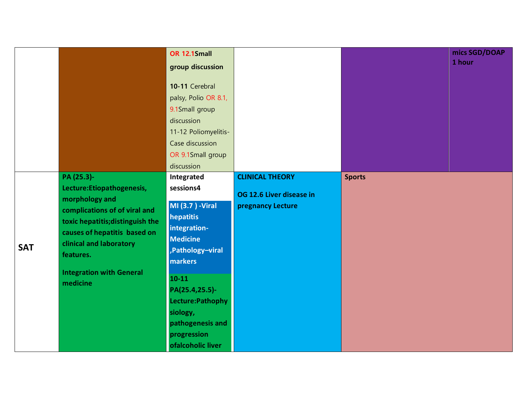|            |                                                                                                                                                                                                                                                        | OR 12.1Small                                                                                                                                                                                                                                              |                                                                         |               | mics SGD/DOAP |
|------------|--------------------------------------------------------------------------------------------------------------------------------------------------------------------------------------------------------------------------------------------------------|-----------------------------------------------------------------------------------------------------------------------------------------------------------------------------------------------------------------------------------------------------------|-------------------------------------------------------------------------|---------------|---------------|
|            |                                                                                                                                                                                                                                                        | group discussion                                                                                                                                                                                                                                          |                                                                         |               | 1 hour        |
|            |                                                                                                                                                                                                                                                        | 10-11 Cerebral<br>palsy, Polio OR 8.1,<br>9.1Small group<br>discussion<br>11-12 Poliomyelitis-<br>Case discussion<br>OR 9.1Small group<br>discussion                                                                                                      |                                                                         |               |               |
| <b>SAT</b> | PA (25.3)-<br>Lecture: Etiopathogenesis,<br>morphology and<br>complications of of viral and<br>toxic hepatitis; distinguish the<br>causes of hepatitis based on<br>clinical and laboratory<br>features.<br><b>Integration with General</b><br>medicine | Integrated<br>sessions4<br><b>MI</b> (3.7 ) -Viral<br>hepatitis<br>integration-<br><b>Medicine</b><br>,Pathology-viral<br>markers<br>$10 - 11$<br>PA(25.4,25.5)-<br>Lecture: Pathophy<br>siology,<br>pathogenesis and<br>progression<br>ofalcoholic liver | <b>CLINICAL THEORY</b><br>OG 12.6 Liver disease in<br>pregnancy Lecture | <b>Sports</b> |               |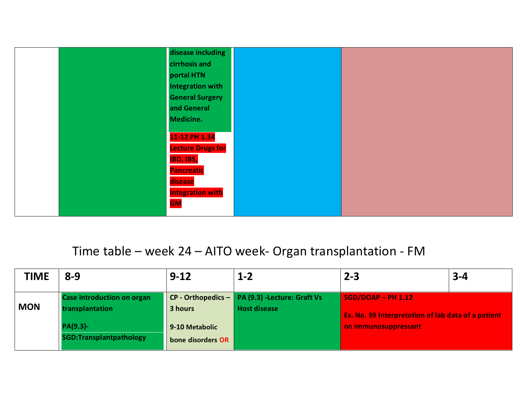

## Time table – week 24 – AITO week- Organ transplantation - FM

| <b>TIME</b> | $8 - 9$                                              | $9 - 12$                            | $1 - 2$                                                                  | $2 - 3$                                                                    | $3 - 4$ |
|-------------|------------------------------------------------------|-------------------------------------|--------------------------------------------------------------------------|----------------------------------------------------------------------------|---------|
| <b>MON</b>  | <b>Case introduction on organ</b><br>transplantation | 3 hours                             | CP - Orthopedics $-$ PA (9.3) - Lecture: Graft Vs<br><b>Host disease</b> | $SGD/DOAP - PH$ 1.12<br>Ex. No. 39 Interpretation of lab data of a patient |         |
|             | PA(9.3)-<br><b>SGD:Transplantpathology</b>           | 9-10 Metabolic<br>bone disorders OR |                                                                          | on immunosuppressant                                                       |         |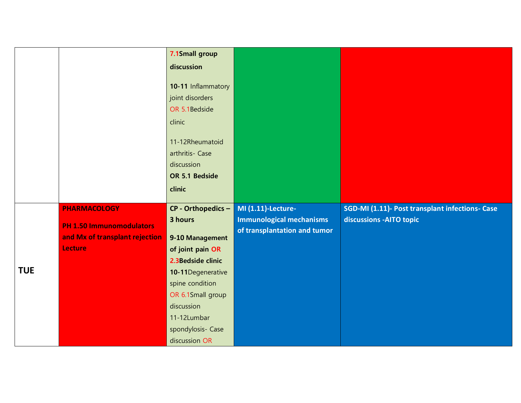|            |                                 | 7.1Small group                                                                                                                                   |                                 |                                                 |
|------------|---------------------------------|--------------------------------------------------------------------------------------------------------------------------------------------------|---------------------------------|-------------------------------------------------|
|            |                                 | discussion                                                                                                                                       |                                 |                                                 |
|            |                                 | 10-11 Inflammatory<br>joint disorders<br>OR 5.1Bedside<br>clinic<br>11-12Rheumatoid<br>arthritis- Case<br>discussion<br>OR 5.1 Bedside<br>clinic |                                 |                                                 |
|            | <b>PHARMACOLOGY</b>             | CP - Orthopedics -                                                                                                                               | <b>MI (1.11)-Lecture-</b>       | SGD-MI (1.11)- Post transplant infections- Case |
|            |                                 | 3 hours                                                                                                                                          | <b>Immunological mechanisms</b> | discussions - AITO topic                        |
|            |                                 |                                                                                                                                                  |                                 |                                                 |
|            | <b>PH 1.50 Immunomodulators</b> |                                                                                                                                                  | of transplantation and tumor    |                                                 |
|            | and Mx of transplant rejection  | 9-10 Management                                                                                                                                  |                                 |                                                 |
|            | <b>Lecture</b>                  | of joint pain OR                                                                                                                                 |                                 |                                                 |
|            |                                 | 2.3Bedside clinic                                                                                                                                |                                 |                                                 |
| <b>TUE</b> |                                 | 10-11Degenerative                                                                                                                                |                                 |                                                 |
|            |                                 | spine condition<br>OR 6.1Small group                                                                                                             |                                 |                                                 |
|            |                                 | discussion                                                                                                                                       |                                 |                                                 |
|            |                                 | 11-12Lumbar                                                                                                                                      |                                 |                                                 |
|            |                                 | spondylosis- Case                                                                                                                                |                                 |                                                 |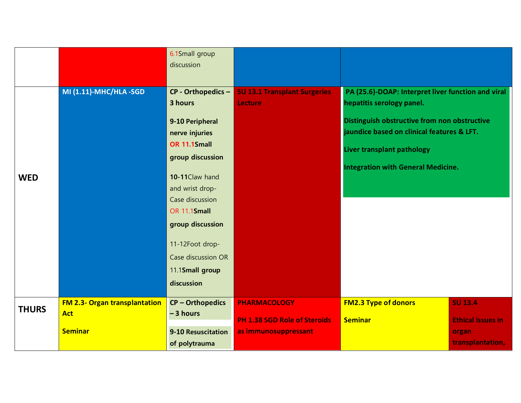|              |                                      | 6.1Small group<br>discussion        |                                                       |                                                                                            |                           |
|--------------|--------------------------------------|-------------------------------------|-------------------------------------------------------|--------------------------------------------------------------------------------------------|---------------------------|
|              |                                      |                                     |                                                       |                                                                                            |                           |
|              | <b>MI (1.11)-MHC/HLA -SGD</b>        | CP - Orthopedics -<br>3 hours       | <b>SU 13.1 Transplant Surgeries</b><br><b>Lecture</b> | PA (25.6)-DOAP: Interpret liver function and viral<br>hepatitis serology panel.            |                           |
|              |                                      | 9-10 Peripheral                     |                                                       | Distinguish obstructive from non obstructive<br>jaundice based on clinical features & LFT. |                           |
|              |                                      | nerve injuries<br>OR 11.1Small      |                                                       |                                                                                            |                           |
|              |                                      | group discussion                    |                                                       | Liver transplant pathology                                                                 |                           |
| <b>WED</b>   |                                      | 10-11Claw hand<br>and wrist drop-   |                                                       | <b>Integration with General Medicine.</b>                                                  |                           |
|              |                                      | Case discussion                     |                                                       |                                                                                            |                           |
|              |                                      | OR 11.1Small                        |                                                       |                                                                                            |                           |
|              |                                      | group discussion                    |                                                       |                                                                                            |                           |
|              |                                      | 11-12Foot drop-                     |                                                       |                                                                                            |                           |
|              |                                      | Case discussion OR                  |                                                       |                                                                                            |                           |
|              |                                      | 11.1Small group                     |                                                       |                                                                                            |                           |
|              |                                      | discussion                          |                                                       |                                                                                            |                           |
| <b>THURS</b> | <b>FM 2.3- Organ transplantation</b> | <b>CP-Orthopedics</b>               | <b>PHARMACOLOGY</b>                                   | <b>FM2.3 Type of donors</b>                                                                | <b>SU 13.4</b>            |
|              | <b>Act</b>                           | $-3$ hours                          | <b>PH 1.38 SGD Role of Steroids</b>                   | <b>Seminar</b>                                                                             | <b>Ethical issues in</b>  |
|              | <b>Seminar</b>                       | 9-10 Resuscitation<br>of polytrauma | as immunosuppressant                                  |                                                                                            | organ<br>transplantation, |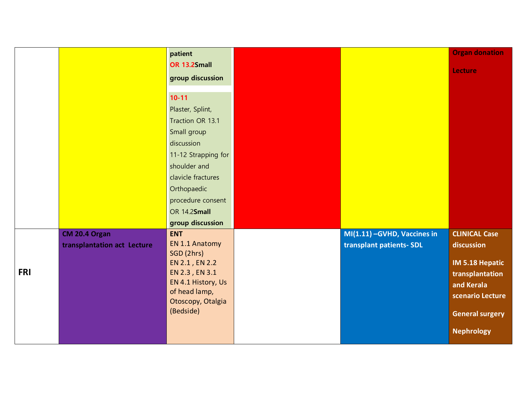|            |                             | patient                        |                              | <b>Organ donation</b>  |
|------------|-----------------------------|--------------------------------|------------------------------|------------------------|
|            |                             | OR 13.2Small                   |                              | <b>Lecture</b>         |
|            |                             | group discussion               |                              |                        |
|            |                             | $10 - 11$                      |                              |                        |
|            |                             | Plaster, Splint,               |                              |                        |
|            |                             | Traction OR 13.1               |                              |                        |
|            |                             | Small group                    |                              |                        |
|            |                             | discussion                     |                              |                        |
|            |                             | 11-12 Strapping for            |                              |                        |
|            |                             | shoulder and                   |                              |                        |
|            |                             | clavicle fractures             |                              |                        |
|            |                             | Orthopaedic                    |                              |                        |
|            |                             | procedure consent              |                              |                        |
|            |                             | OR 14.2Small                   |                              |                        |
|            |                             | group discussion               |                              |                        |
|            | CM 20.4 Organ               | <b>ENT</b>                     | MI(1.11) - GVHD, Vaccines in | <b>CLINICAL Case</b>   |
|            | transplantation act Lecture | EN 1.1 Anatomy<br>SGD (2hrs)   | transplant patients- SDL     | discussion             |
|            |                             | EN 2.1, EN 2.2                 |                              | IM 5.18 Hepatic        |
| <b>FRI</b> |                             | EN 2.3, EN 3.1                 |                              | transplantation        |
|            |                             | EN 4.1 History, Us             |                              | and Kerala             |
|            |                             | of head lamp,                  |                              | scenario Lecture       |
|            |                             | Otoscopy, Otalgia<br>(Bedside) |                              |                        |
|            |                             |                                |                              | <b>General surgery</b> |
|            |                             |                                |                              | <b>Nephrology</b>      |
|            |                             |                                |                              |                        |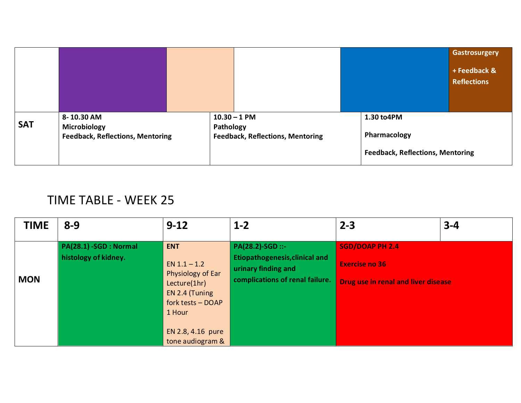|            |                                                                       |           |                                                           |                                                                       | <b>Gastrosurgery</b><br>+ Feedback &<br><b>Reflections</b> |
|------------|-----------------------------------------------------------------------|-----------|-----------------------------------------------------------|-----------------------------------------------------------------------|------------------------------------------------------------|
| <b>SAT</b> | 8-10.30 AM<br>Microbiology<br><b>Feedback, Reflections, Mentoring</b> | Pathology | $10.30 - 1$ PM<br><b>Feedback, Reflections, Mentoring</b> | 1.30 to4PM<br>Pharmacology<br><b>Feedback, Reflections, Mentoring</b> |                                                            |

# TIME TABLE - WEEK 25

| <b>TIME</b> | $8 - 9$                                        | $9 - 12$                                                                                                                                                    | $1 - 2$                                                                                                             | $2 - 3$                                                                                | $3 - 4$ |
|-------------|------------------------------------------------|-------------------------------------------------------------------------------------------------------------------------------------------------------------|---------------------------------------------------------------------------------------------------------------------|----------------------------------------------------------------------------------------|---------|
| <b>MON</b>  | PA(28.1) -SGD : Normal<br>histology of kidney. | <b>ENT</b><br>EN $1.1 - 1.2$<br>Physiology of Ear<br>Lecture(1hr)<br>EN 2.4 (Tuning<br>fork tests - DOAP<br>1 Hour<br>EN 2.8, 4.16 pure<br>tone audiogram & | PA(28.2)-SGD ::-<br><b>Etiopathogenesis, clinical and</b><br>urinary finding and<br>complications of renal failure. | <b>SGD/DOAP PH 2.4</b><br><b>Exercise no 36</b><br>Drug use in renal and liver disease |         |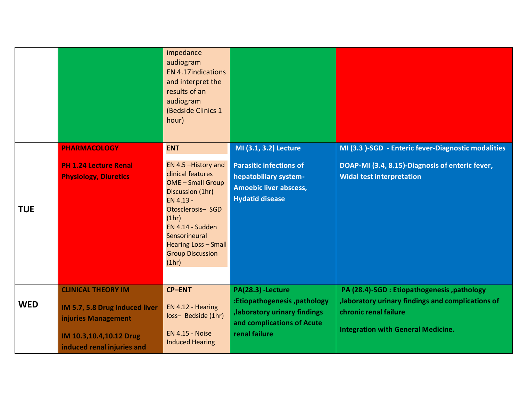|            |                                                              | impedance<br>audiogram<br><b>EN 4.17indications</b><br>and interpret the<br>results of an<br>audiogram<br>(Bedside Clinics 1<br>hour)                                                                                                        |                                                                                                                    |                                                                                     |
|------------|--------------------------------------------------------------|----------------------------------------------------------------------------------------------------------------------------------------------------------------------------------------------------------------------------------------------|--------------------------------------------------------------------------------------------------------------------|-------------------------------------------------------------------------------------|
|            | <b>PHARMACOLOGY</b>                                          | <b>ENT</b>                                                                                                                                                                                                                                   | MI (3.1, 3.2) Lecture                                                                                              | MI (3.3 )-SGD - Enteric fever-Diagnostic modalities                                 |
| <b>TUE</b> | <b>PH 1.24 Lecture Renal</b><br><b>Physiology, Diuretics</b> | EN 4.5 - History and<br>clinical features<br><b>OME</b> - Small Group<br>Discussion (1hr)<br>EN 4.13 -<br>Otosclerosis- SGD<br>(1hr)<br>EN 4.14 - Sudden<br>Sensorineural<br><b>Hearing Loss - Small</b><br><b>Group Discussion</b><br>(1hr) | <b>Parasitic infections of</b><br>hepatobiliary system-<br><b>Amoebic liver abscess,</b><br><b>Hydatid disease</b> | DOAP-MI (3.4, 8.15)-Diagnosis of enteric fever,<br><b>Widal test interpretation</b> |
|            | <b>CLINICAL THEORY IM</b>                                    | <b>CP-ENT</b>                                                                                                                                                                                                                                | PA(28.3) -Lecture                                                                                                  | PA (28.4)-SGD : Etiopathogenesis, pathology                                         |
| <b>WED</b> | IM 5.7, 5.8 Drug induced liver<br>injuries Management        | EN 4.12 - Hearing<br>loss- Bedside (1hr)                                                                                                                                                                                                     | :Etiopathogenesis, pathology<br>, laboratory urinary findings<br>and complications of Acute                        | , laboratory urinary findings and complications of<br>chronic renal failure         |
|            | IM 10.3,10.4,10.12 Drug<br>induced renal injuries and        | <b>EN 4.15 - Noise</b><br><b>Induced Hearing</b>                                                                                                                                                                                             | renal failure                                                                                                      | <b>Integration with General Medicine.</b>                                           |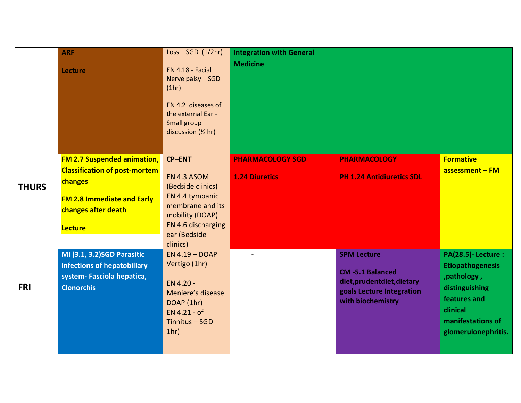|              | <b>ARF</b>                                                                                                                                                          | $Loss - SGD (1/2hr)$                                                                                                                                          | <b>Integration with General</b>                  |                                                                                                                               |                                                                                                                                                               |
|--------------|---------------------------------------------------------------------------------------------------------------------------------------------------------------------|---------------------------------------------------------------------------------------------------------------------------------------------------------------|--------------------------------------------------|-------------------------------------------------------------------------------------------------------------------------------|---------------------------------------------------------------------------------------------------------------------------------------------------------------|
|              | <b>Lecture</b>                                                                                                                                                      | EN 4.18 - Facial<br>Nerve palsy-SGD<br>(1hr)<br>EN 4.2 diseases of<br>the external Ear -<br>Small group<br>discussion $($ 2 hr)                               | <b>Medicine</b>                                  |                                                                                                                               |                                                                                                                                                               |
| <b>THURS</b> | <b>FM 2.7 Suspended animation,</b><br><b>Classification of post-mortem</b><br>changes<br><b>FM 2.8 Immediate and Early</b><br>changes after death<br><b>Lecture</b> | <b>CP-ENT</b><br>EN 4.3 ASOM<br>(Bedside clinics)<br>EN 4.4 tympanic<br>membrane and its<br>mobility (DOAP)<br>EN 4.6 discharging<br>ear (Bedside<br>clinics) | <b>PHARMACOLOGY SGD</b><br><b>1.24 Diuretics</b> | <b>PHARMACOLOGY</b><br><b>PH 1.24 Antidiuretics SDL</b>                                                                       | <b>Formative</b><br>assessment - FM                                                                                                                           |
| <b>FRI</b>   | MI (3.1, 3.2) SGD Parasitic<br>infections of hepatobiliary<br>system- Fasciola hepatica,<br><b>Clonorchis</b>                                                       | $EN 4.19 - DOAP$<br>Vertigo (1hr)<br>EN 4.20 -<br>Meniere's disease<br>DOAP (1hr)<br>EN 4.21 - of<br>Tinnitus - SGD<br>1hr)                                   |                                                  | <b>SPM Lecture</b><br><b>CM-5.1 Balanced</b><br>diet, prudent diet, dietary<br>goals Lecture Integration<br>with biochemistry | <b>PA(28.5)-Lecture:</b><br><b>Etiopathogenesis</b><br>, pathology,<br>distinguishing<br>features and<br>clinical<br>manifestations of<br>glomerulonephritis. |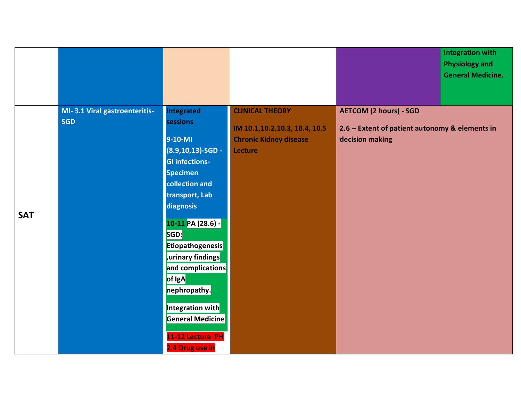|            |                                             |                                                                                                                                                                                                                                                                                                                                                                           |                                                                                                       |                                                                                                     | <b>Integration with</b><br><b>Physiology and</b><br><b>General Medicine.</b> |
|------------|---------------------------------------------|---------------------------------------------------------------------------------------------------------------------------------------------------------------------------------------------------------------------------------------------------------------------------------------------------------------------------------------------------------------------------|-------------------------------------------------------------------------------------------------------|-----------------------------------------------------------------------------------------------------|------------------------------------------------------------------------------|
| <b>SAT</b> | MI-3.1 Viral gastroenteritis-<br><b>SGD</b> | <b>Integrated</b><br>sessions<br>9-10-MI<br>$(8.9, 10, 13)$ -SGD -<br><b>GI infections-</b><br><b>Specimen</b><br>collection and<br>transport, Lab<br>diagnosis<br>10-11 PA (28.6) -<br>SGD:<br><b>Etiopathogenesis</b><br>urinary findings<br>and complications<br>of IgA<br>nephropathy.<br>Integration with<br>General Medicine<br>11-12 Lecture PH<br>2.4 Drug use in | <b>CLINICAL THEORY</b><br>IM 10.1, 10.2, 10.3, 10.4, 10.5<br><b>Chronic Kidney disease</b><br>Lecture | <b>AETCOM (2 hours) - SGD</b><br>2.6 -- Extent of patient autonomy & elements in<br>decision making |                                                                              |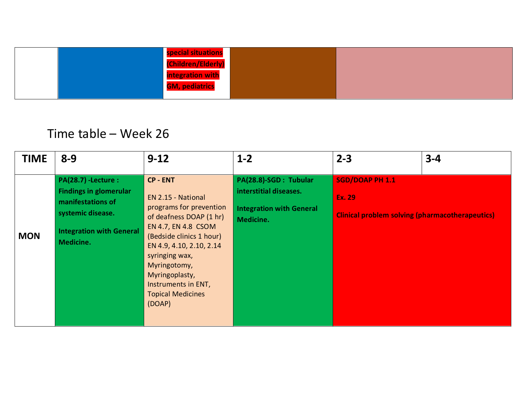| special situations    |  |
|-----------------------|--|
| (Children/Elderly)    |  |
| integration with      |  |
| <b>GM, pediatrics</b> |  |
|                       |  |

# Time table – Week 26

| <b>TIME</b> | $8 - 9$                                                                                                                                              | $9 - 12$                                                                                                                                                                                                                                                                                           | $1 - 2$                                                                                         | $2 - 3$                                                                             | $3 - 4$ |
|-------------|------------------------------------------------------------------------------------------------------------------------------------------------------|----------------------------------------------------------------------------------------------------------------------------------------------------------------------------------------------------------------------------------------------------------------------------------------------------|-------------------------------------------------------------------------------------------------|-------------------------------------------------------------------------------------|---------|
| <b>MON</b>  | <b>PA(28.7) -Lecture:</b><br><b>Findings in glomerular</b><br>manifestations of<br>systemic disease.<br><b>Integration with General</b><br>Medicine. | <b>CP - ENT</b><br><b>EN 2.15 - National</b><br>programs for prevention<br>of deafness DOAP (1 hr)<br>EN 4.7, EN 4.8 CSOM<br>(Bedside clinics 1 hour)<br>EN 4.9, 4.10, 2.10, 2.14<br>syringing wax,<br>Myringotomy,<br>Myringoplasty,<br>Instruments in ENT,<br><b>Topical Medicines</b><br>(DOAP) | PA(28.8)-SGD: Tubular<br>interstitial diseases.<br><b>Integration with General</b><br>Medicine. | SGD/DOAP PH 1.1<br>Ex. 29<br><b>Clinical problem solving (pharmacotherapeutics)</b> |         |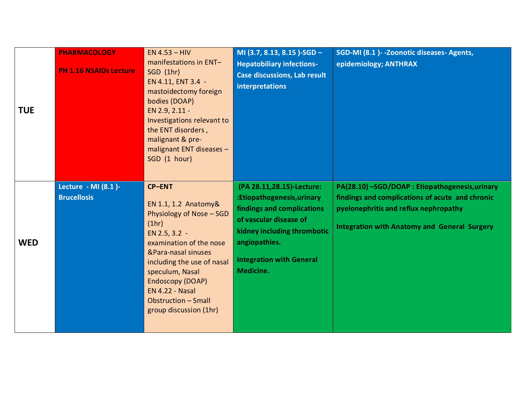| <b>TUE</b> | <b>PHARMACOLOGY</b><br><b>PH 1.16 NSAIDs Lecture</b> | $EN 4.53 - HIV$<br>manifestations in ENT-<br>SGD(1hr)<br>EN 4.11, ENT 3.4 -<br>mastoidectomy foreign<br>bodies (DOAP)<br>EN 2.9, 2.11 -<br>Investigations relevant to<br>the ENT disorders,<br>malignant & pre-<br>malignant ENT diseases -<br>SGD (1 hour)                                          | MI (3.7, 8.13, 8.15)-SGD -<br><b>Hepatobiliary infections-</b><br><b>Case discussions, Lab result</b><br>interpretations                                                                                        | SGD-MI (8.1) - - Zoonotic diseases - Agents,<br>epidemiology; ANTHRAX                                                                                                                              |
|------------|------------------------------------------------------|------------------------------------------------------------------------------------------------------------------------------------------------------------------------------------------------------------------------------------------------------------------------------------------------------|-----------------------------------------------------------------------------------------------------------------------------------------------------------------------------------------------------------------|----------------------------------------------------------------------------------------------------------------------------------------------------------------------------------------------------|
| <b>WED</b> | Lecture - MI (8.1)-<br><b>Brucellosis</b>            | <b>CP-ENT</b><br>EN 1.1, 1.2 Anatomy&<br>Physiology of Nose - SGD<br>(1hr)<br>EN 2.5, 3.2 -<br>examination of the nose<br>&Para-nasal sinuses<br>including the use of nasal<br>speculum, Nasal<br>Endoscopy (DOAP)<br><b>EN 4.22 - Nasal</b><br><b>Obstruction - Small</b><br>group discussion (1hr) | (PA 28.11,28.15)-Lecture:<br>:Etiopathogenesis, urinary<br>findings and complications<br>of vascular disease of<br>kidney including thrombotic<br>angiopathies.<br><b>Integration with General</b><br>Medicine. | PA(28.10) -SGD/DOAP : Etiopathogenesis, urinary<br>findings and complications of acute and chronic<br>pyelonephritis and reflux nephropathy<br><b>Integration with Anatomy and General Surgery</b> |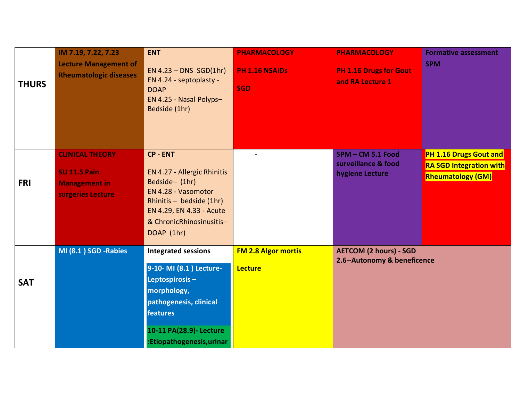| <b>THURS</b> | IM 7.19, 7.22, 7.23<br><b>Lecture Management of</b><br><b>Rheumatologic diseases</b>       | <b>ENT</b><br>$EN 4.23 - DNS SGD(1hr)$<br>EN 4.24 - septoplasty -<br><b>DOAP</b><br>EN 4.25 - Nasal Polyps-<br>Bedside (1hr)                                                                | <b>PHARMACOLOGY</b><br>PH 1.16 NSAIDs<br><b>SGD</b> | <b>PHARMACOLOGY</b><br>PH 1.16 Drugs for Gout<br>and RA Lecture 1 | <b>Formative assessment</b><br><b>SPM</b>                                            |
|--------------|--------------------------------------------------------------------------------------------|---------------------------------------------------------------------------------------------------------------------------------------------------------------------------------------------|-----------------------------------------------------|-------------------------------------------------------------------|--------------------------------------------------------------------------------------|
| <b>FRI</b>   | <b>CLINICAL THEORY</b><br><b>SU 11.5 Pain</b><br><b>Management in</b><br>surgeries Lecture | <b>CP - ENT</b><br>EN 4.27 - Allergic Rhinitis<br>Bedside- (1hr)<br>EN 4.28 - Vasomotor<br>Rhinitis - bedside (1hr)<br>EN 4.29, EN 4.33 - Acute<br>& ChronicRhinosinusitis-<br>DOAP (1hr)   |                                                     | SPM-CM 5.1 Food<br>surveillance & food<br>hygiene Lecture         | PH 1.16 Drugs Gout and<br><b>RA SGD Integration with</b><br><b>Rheumatology (GM)</b> |
| <b>SAT</b>   | MI (8.1) SGD -Rabies                                                                       | <b>Integrated sessions</b><br>9-10- MI (8.1) Lecture-<br>Leptospirosis-<br>morphology,<br>pathogenesis, clinical<br><b>features</b><br>10-11 PA(28.9)- Lecture<br>:Etiopathogenesis, urinar | <b>FM 2.8 Algor mortis</b><br><b>Lecture</b>        | <b>AETCOM (2 hours) - SGD</b><br>2.6--Autonomy & beneficence      |                                                                                      |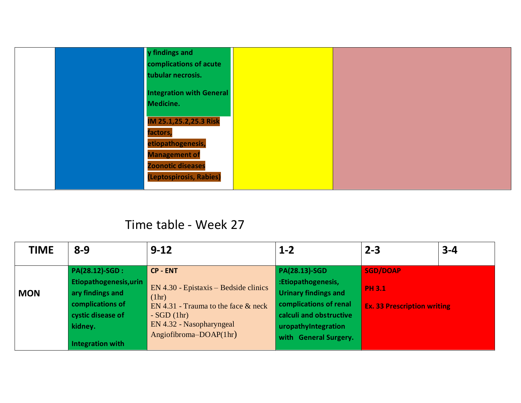|  | y findings and                  |  |
|--|---------------------------------|--|
|  | complications of acute          |  |
|  | tubular necrosis.               |  |
|  | <b>Integration with General</b> |  |
|  | Medicine.                       |  |
|  | IM 25.1,25.2,25.3 Risk          |  |
|  | factors,                        |  |
|  | etiopathogenesis,               |  |
|  | <b>Management of</b>            |  |
|  | <b>Zoonotic diseases</b>        |  |
|  | (Leptospirosis, Rabies)         |  |
|  |                                 |  |

### Time table - Week 27

| <b>TIME</b> | $8 - 9$                                                                                                                               | $9 - 12$                                                                                                                                                                          | $1 - 2$                                                                                                                                                                        | $2 - 3$                                                                | $3 - 4$ |
|-------------|---------------------------------------------------------------------------------------------------------------------------------------|-----------------------------------------------------------------------------------------------------------------------------------------------------------------------------------|--------------------------------------------------------------------------------------------------------------------------------------------------------------------------------|------------------------------------------------------------------------|---------|
| <b>MON</b>  | PA(28.12)-SGD :<br>Etiopathogenesis, urin<br>ary findings and<br>complications of<br>cystic disease of<br>kidney.<br>Integration with | <b>CP - ENT</b><br>$EN$ 4.30 - Epistaxis – Bedside clinics<br>(1hr)<br>EN 4.31 - Trauma to the face $&$ neck<br>$-SGD(1hr)$<br>EN 4.32 - Nasopharyngeal<br>Angiofibroma-DOAP(1hr) | <b>PA(28.13)-SGD</b><br>:Etiopathogenesis,<br><b>Urinary findings and</b><br>complications of renal<br>calculi and obstructive<br>uropathyIntegration<br>with General Surgery. | <b>SGD/DOAP</b><br><b>PH 3.1</b><br><b>Ex. 33 Prescription writing</b> |         |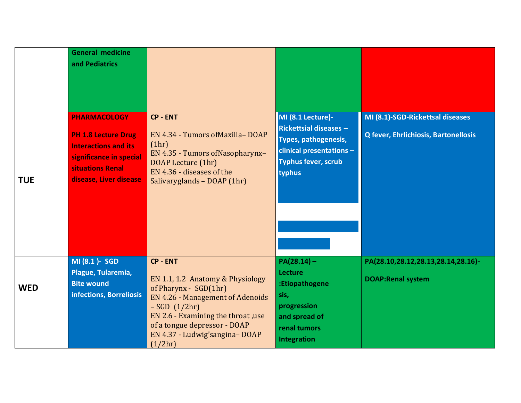|            | <b>General medicine</b><br>and Pediatrics                                                                                                                 |                                                                                                                                                                                                                                                             |                                                                                                                                                         |                                                                          |
|------------|-----------------------------------------------------------------------------------------------------------------------------------------------------------|-------------------------------------------------------------------------------------------------------------------------------------------------------------------------------------------------------------------------------------------------------------|---------------------------------------------------------------------------------------------------------------------------------------------------------|--------------------------------------------------------------------------|
| <b>TUE</b> | <b>PHARMACOLOGY</b><br><b>PH 1.8 Lecture Drug</b><br><b>Interactions and its</b><br>significance in special<br>situations Renal<br>disease, Liver disease | <b>CP - ENT</b><br>EN 4.34 - Tumors of Maxilla-DOAP<br>(1hr)<br>EN 4.35 - Tumors of Nasopharynx-<br>DOAP Lecture (1hr)<br>EN 4.36 - diseases of the<br>Salivaryglands - DOAP (1hr)                                                                          | MI (8.1 Lecture)-<br><b>Rickettsial diseases -</b><br><b>Types, pathogenesis,</b><br>clinical presentations $-$<br><b>Typhus fever, scrub</b><br>typhus | MI (8.1)-SGD-Rickettsal diseases<br>Q fever, Ehrlichiosis, Bartonellosis |
| <b>WED</b> | MI (8.1 )- SGD<br>Plague, Tularemia,<br><b>Bite wound</b><br>infections, Borreliosis                                                                      | <b>CP - ENT</b><br>EN 1.1, 1.2 Anatomy & Physiology<br>of Pharynx - SGD(1hr)<br><b>EN 4.26 - Management of Adenoids</b><br>$-SGD(1/2hr)$<br>EN 2.6 - Examining the throat , use<br>of a tongue depressor - DOAP<br>EN 4.37 - Ludwig'sangina-DOAP<br>(1/2hr) | $PA(28.14) -$<br><b>Lecture</b><br>:Etiopathogene<br>sis,<br>progression<br>and spread of<br>renal tumors<br><b>Integration</b>                         | PA(28.10,28.12,28.13,28.14,28.16)-<br><b>DOAP:Renal system</b>           |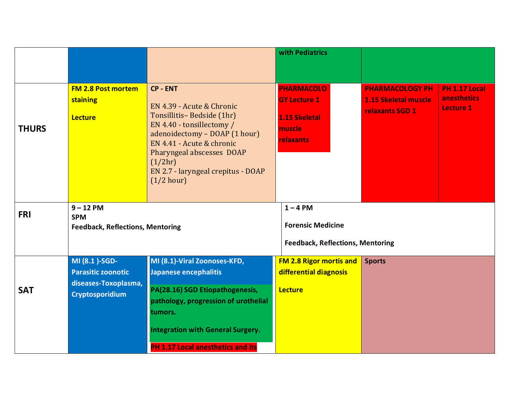|              |                                                                                                                                                                                                                                                                                                                                     |                                                                                                                                                                                                                                                                  | with Pediatrics                                                                         |                                                                          |                                                  |
|--------------|-------------------------------------------------------------------------------------------------------------------------------------------------------------------------------------------------------------------------------------------------------------------------------------------------------------------------------------|------------------------------------------------------------------------------------------------------------------------------------------------------------------------------------------------------------------------------------------------------------------|-----------------------------------------------------------------------------------------|--------------------------------------------------------------------------|--------------------------------------------------|
| <b>THURS</b> | <b>FM 2.8 Post mortem</b><br>staining<br><b>Lecture</b>                                                                                                                                                                                                                                                                             | <b>CP - ENT</b><br>EN 4.39 - Acute & Chronic<br>Tonsillitis-Bedside (1hr)<br>EN 4.40 - tonsillectomy /<br>adenoidectomy - DOAP (1 hour)<br>EN 4.41 - Acute & chronic<br>Pharyngeal abscesses DOAP<br>(1/2hr)<br>EN 2.7 - laryngeal crepitus - DOAP<br>(1/2 hour) | <b>PHARMACOLO</b><br><b>GY Lecture 1</b><br>1.15 Skeletal<br>muscle<br><b>relaxants</b> | <b>PHARMACOLOGY PH</b><br><b>1.15 Skeletal muscle</b><br>relaxants SGD 1 | <b>PH 1.17 Local</b><br>anesthetics<br>Lecture 1 |
| <b>FRI</b>   | $9 - 12$ PM<br><b>SPM</b><br><b>Feedback, Reflections, Mentoring</b>                                                                                                                                                                                                                                                                |                                                                                                                                                                                                                                                                  | $1 - 4$ PM<br><b>Forensic Medicine</b><br><b>Feedback, Reflections, Mentoring</b>       |                                                                          |                                                  |
| <b>SAT</b>   | MI (8.1)-SGD-<br>MI (8.1)-Viral Zoonoses-KFD,<br>Japanese encephalitis<br><b>Parasitic zoonotic</b><br>diseases-Toxoplasma,<br>PA(28.16) SGD Etiopathogenesis,<br><b>Cryptosporidium</b><br>pathology, progression of urothelial<br>tumors.<br><b>Integration with General Surgery.</b><br><b>PH 1.17 Local anesthetics and its</b> |                                                                                                                                                                                                                                                                  | <b>FM 2.8 Rigor mortis and</b><br>differential diagnosis<br><b>Lecture</b>              | <b>Sports</b>                                                            |                                                  |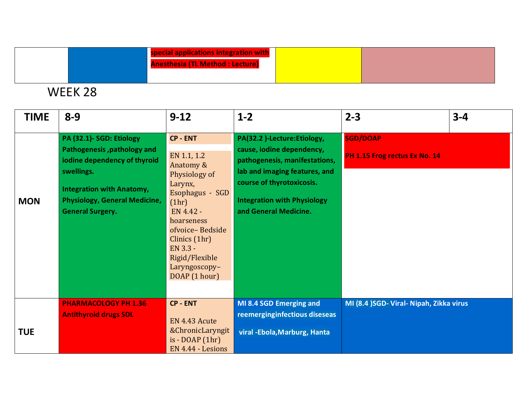|  | special applications integration with<br><b>Anesthesia (TL Method: Lecture)</b> |  |
|--|---------------------------------------------------------------------------------|--|
|  |                                                                                 |  |

## WEEK 28

| <b>TIME</b> | $8 - 9$                                                                                                                                                                                                      | $9 - 12$                                                                                                                                                                                                                           | $1 - 2$                                                                                                                                                                                                               | $2 - 3$                                          | $3 - 4$ |
|-------------|--------------------------------------------------------------------------------------------------------------------------------------------------------------------------------------------------------------|------------------------------------------------------------------------------------------------------------------------------------------------------------------------------------------------------------------------------------|-----------------------------------------------------------------------------------------------------------------------------------------------------------------------------------------------------------------------|--------------------------------------------------|---------|
| <b>MON</b>  | PA (32.1)- SGD: Etiology<br>Pathogenesis, pathology and<br>iodine dependency of thyroid<br>swellings.<br><b>Integration with Anatomy,</b><br><b>Physiology, General Medicine,</b><br><b>General Surgery.</b> | <b>CP - ENT</b><br>EN 1.1, 1.2<br>Anatomy &<br>Physiology of<br>Larynx,<br>Esophagus - SGD<br>(1hr)<br>EN 4.42 -<br>hoarseness<br>ofvoice-Bedside<br>Clinics (1hr)<br>EN 3.3 -<br>Rigid/Flexible<br>Laryngoscopy-<br>DOAP (1 hour) | PA(32.2)-Lecture:Etiology,<br>cause, iodine dependency,<br>pathogenesis, manifestations,<br>lab and imaging features, and<br>course of thyrotoxicosis.<br><b>Integration with Physiology</b><br>and General Medicine. | <b>SGD/DOAP</b><br>PH 1.15 Frog rectus Ex No. 14 |         |
| <b>TUE</b>  | <b>PHARMACOLOGY PH 1.36</b><br><b>Antithyroid drugs SDL</b>                                                                                                                                                  | <b>CP - ENT</b><br>EN 4.43 Acute<br>& Chronic Laryngit<br>$is - DOAP(1hr)$<br>EN 4.44 - Lesions                                                                                                                                    | MI 8.4 SGD Emerging and<br>reemerginginfectious diseseas<br>viral - Ebola, Marburg, Hanta                                                                                                                             | MI (8.4 )SGD- Viral- Nipah, Zikka virus          |         |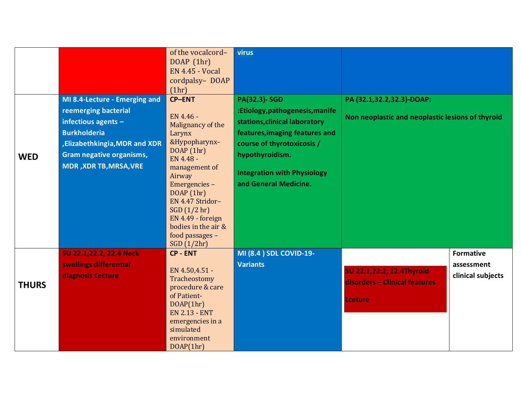| Non neoplastic and neoplastic lesions of thyroid |
|--------------------------------------------------|
|                                                  |
|                                                  |
|                                                  |
|                                                  |
|                                                  |
|                                                  |
|                                                  |
|                                                  |
|                                                  |
|                                                  |
|                                                  |
| <b>Formative</b>                                 |
| assessment                                       |
| clinical subjects                                |
|                                                  |
|                                                  |
|                                                  |
|                                                  |
|                                                  |
|                                                  |
|                                                  |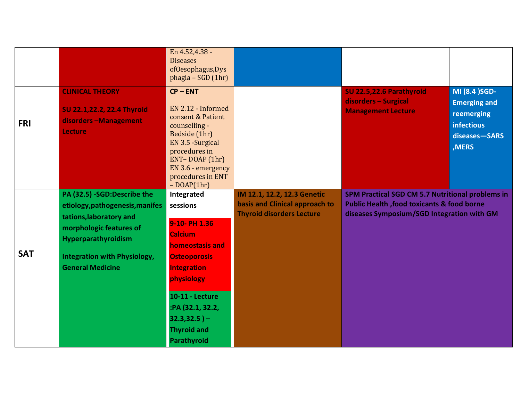|            |                                                                                                                                                                                                               | En 4.52,4.38 -<br><b>Diseases</b><br>ofOesophagus, Dys<br>phagia - SGD (1hr)                                                                                                                                                                        |                                                                                                   |                                                                                                                                                          |                                                                                                    |
|------------|---------------------------------------------------------------------------------------------------------------------------------------------------------------------------------------------------------------|-----------------------------------------------------------------------------------------------------------------------------------------------------------------------------------------------------------------------------------------------------|---------------------------------------------------------------------------------------------------|----------------------------------------------------------------------------------------------------------------------------------------------------------|----------------------------------------------------------------------------------------------------|
| <b>FRI</b> | <b>CLINICAL THEORY</b><br>SU 22.1,22.2, 22.4 Thyroid<br>disorders-Management<br>Lecture                                                                                                                       | $CP - ENT$<br>EN 2.12 - Informed<br>consent & Patient<br>counselling -<br>Bedside (1hr)<br>EN 3.5 - Surgical<br>procedures in<br>ENT-DOAP (1hr)<br>EN 3.6 - emergency<br>procedures in ENT<br>$-DOAP(1hr)$                                          |                                                                                                   | SU 22.5,22.6 Parathyroid<br>disorders - Surgical<br><b>Management Lecture</b>                                                                            | MI (8.4 ) SGD-<br><b>Emerging and</b><br>reemerging<br><b>infectious</b><br>diseases-SARS<br>,MERS |
| <b>SAT</b> | PA (32.5) -SGD:Describe the<br>etiology, pathogenesis, manifes<br>tations, laboratory and<br>morphologic features of<br>Hyperparathyroidism<br><b>Integration with Physiology,</b><br><b>General Medicine</b> | Integrated<br>sessions<br>9-10-PH 1.36<br><b>Calcium</b><br><b>homeostasis and</b><br><b>Osteoporosis</b><br><b>Integration</b><br>physiology<br><b>10-11 - Lecture</b><br>:PA (32.1, 32.2,<br>$32.3,32.5$ ) –<br><b>Thyroid and</b><br>Parathyroid | IM 12.1, 12.2, 12.3 Genetic<br>basis and Clinical approach to<br><b>Thyroid disorders Lecture</b> | SPM Practical SGD CM 5.7 Nutritional problems in<br><b>Public Health , food toxicants &amp; food borne</b><br>diseases Symposium/SGD Integration with GM |                                                                                                    |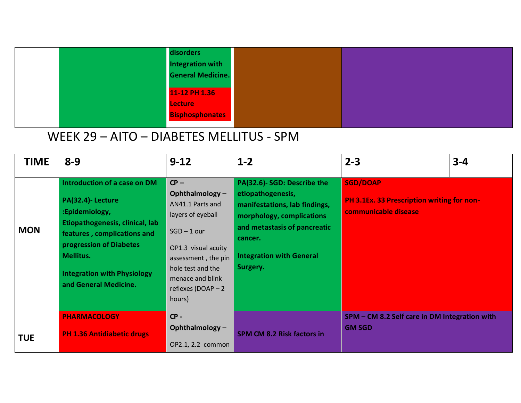|  | disorders              |  |
|--|------------------------|--|
|  | Integration with       |  |
|  | General Medicine.      |  |
|  |                        |  |
|  | 11-12 PH 1.36          |  |
|  | <b>Lecture</b>         |  |
|  | <b>Bisphosphonates</b> |  |
|  |                        |  |

# WEEK 29 – AITO – DIABETES MELLITUS - SPM

| <b>TIME</b> | $8 - 9$                                                                                                                                                                                                                                      | $9 - 12$                                                                                                                                                                                                  | $1 - 2$                                                                                                                                                                                                  | $2 - 3$                                                                                      | $3 - 4$ |
|-------------|----------------------------------------------------------------------------------------------------------------------------------------------------------------------------------------------------------------------------------------------|-----------------------------------------------------------------------------------------------------------------------------------------------------------------------------------------------------------|----------------------------------------------------------------------------------------------------------------------------------------------------------------------------------------------------------|----------------------------------------------------------------------------------------------|---------|
| <b>MON</b>  | Introduction of a case on DM<br>PA(32.4)- Lecture<br>:Epidemiology,<br>Etiopathogenesis, clinical, lab<br>features, complications and<br>progression of Diabetes<br>Mellitus.<br><b>Integration with Physiology</b><br>and General Medicine. | $CP -$<br>Ophthalmology-<br>AN41.1 Parts and<br>layers of eyeball<br>$SGD - 1$ our<br>OP1.3 visual acuity<br>assessment, the pin<br>hole test and the<br>menace and blink<br>reflexes (DOAP - 2<br>hours) | PA(32.6)- SGD: Describe the<br>etiopathogenesis,<br>manifestations, lab findings,<br>morphology, complications<br>and metastasis of pancreatic<br>cancer.<br><b>Integration with General</b><br>Surgery. | <b>SGD/DOAP</b><br><b>PH 3.1Ex. 33 Prescription writing for non-</b><br>communicable disease |         |
| <b>TUE</b>  | <b>PHARMACOLOGY</b><br><b>PH 1.36 Antidiabetic drugs</b>                                                                                                                                                                                     | $CP -$<br>Ophthalmology-<br>OP2.1, 2.2 common                                                                                                                                                             | <b>SPM CM 8.2 Risk factors in</b>                                                                                                                                                                        | SPM - CM 8.2 Self care in DM Integration with<br><b>GM SGD</b>                               |         |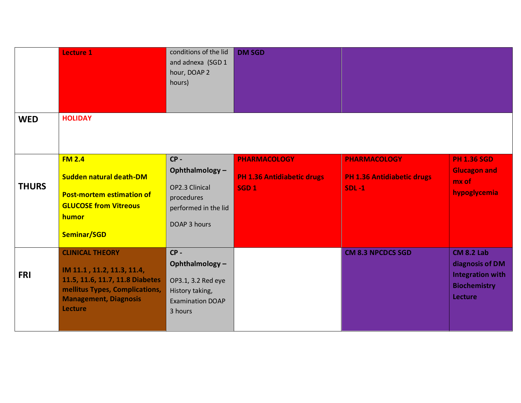|              | <b>Lecture 1</b>                                                                                                                                                     | conditions of the lid<br>and adnexa (SGD 1<br>hour, DOAP 2<br>hours)                                    | <b>DM SGD</b>                                                                |                                                                          |                                                                                                   |
|--------------|----------------------------------------------------------------------------------------------------------------------------------------------------------------------|---------------------------------------------------------------------------------------------------------|------------------------------------------------------------------------------|--------------------------------------------------------------------------|---------------------------------------------------------------------------------------------------|
| <b>WED</b>   | <b>HOLIDAY</b>                                                                                                                                                       |                                                                                                         |                                                                              |                                                                          |                                                                                                   |
| <b>THURS</b> | <b>FM 2.4</b><br><b>Sudden natural death-DM</b><br><b>Post-mortem estimation of</b><br><b>GLUCOSE from Vitreous</b><br>humor<br>Seminar/SGD                          | $CP -$<br>Ophthalmology-<br>OP2.3 Clinical<br>procedures<br>performed in the lid<br>DOAP 3 hours        | <b>PHARMACOLOGY</b><br><b>PH 1.36 Antidiabetic drugs</b><br>SGD <sub>1</sub> | <b>PHARMACOLOGY</b><br><b>PH 1.36 Antidiabetic drugs</b><br><b>SDL-1</b> | <b>PH 1.36 SGD</b><br><b>Glucagon and</b><br>mx of<br>hypoglycemia                                |
| <b>FRI</b>   | <b>CLINICAL THEORY</b><br>IM 11.1, 11.2, 11.3, 11.4,<br>11.5, 11.6, 11.7, 11.8 Diabetes<br>mellitus Types, Complications,<br><b>Management, Diagnosis</b><br>Lecture | $CP -$<br>Ophthalmology-<br>OP3.1, 3.2 Red eye<br>History taking,<br><b>Examination DOAP</b><br>3 hours |                                                                              | <b>CM 8.3 NPCDCS SGD</b>                                                 | <b>CM 8.2 Lab</b><br>diagnosis of DM<br><b>Integration with</b><br><b>Biochemistry</b><br>Lecture |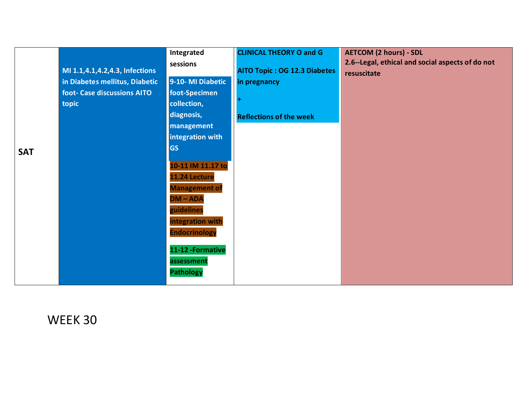|            |                                | Integrated           | <b>CLINICAL THEORY O and G</b>      | <b>AETCOM (2 hours) - SDL</b>                    |
|------------|--------------------------------|----------------------|-------------------------------------|--------------------------------------------------|
|            |                                | sessions             |                                     | 2.6--Legal, ethical and social aspects of do not |
|            | MI 1.1,4.1,4.2,4.3, Infections |                      | <b>AITO Topic: OG 12.3 Diabetes</b> | resuscitate                                      |
|            | in Diabetes mellitus, Diabetic | 9-10-MI Diabetic     | in pregnancy                        |                                                  |
|            | foot- Case discussions AITO    | foot-Specimen        |                                     |                                                  |
|            | topic                          | collection,          |                                     |                                                  |
|            |                                | diagnosis,           | <b>Reflections of the week</b>      |                                                  |
|            |                                | management           |                                     |                                                  |
|            |                                | integration with     |                                     |                                                  |
| <b>SAT</b> |                                | <b>GS</b>            |                                     |                                                  |
|            |                                |                      |                                     |                                                  |
|            |                                | 10-11 IM 11.17 to    |                                     |                                                  |
|            |                                | 11.24 Lecture        |                                     |                                                  |
|            |                                | <b>Management of</b> |                                     |                                                  |
|            |                                | $DM - ADA$           |                                     |                                                  |
|            |                                | guidelines           |                                     |                                                  |
|            |                                | integration with     |                                     |                                                  |
|            |                                | <b>Endocrinology</b> |                                     |                                                  |
|            |                                |                      |                                     |                                                  |
|            |                                | 11-12 - Formative    |                                     |                                                  |
|            |                                | assessment           |                                     |                                                  |
|            |                                | <b>Pathology</b>     |                                     |                                                  |
|            |                                |                      |                                     |                                                  |

WEEK 30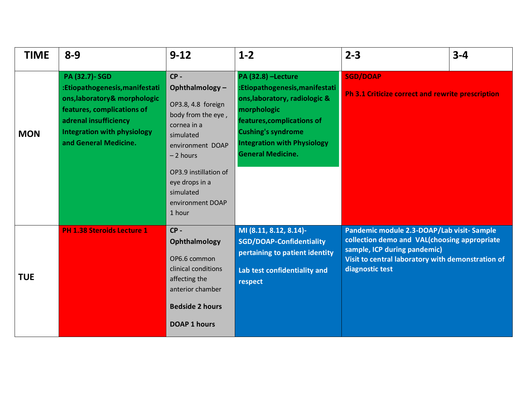| <b>TIME</b> | $8 - 9$                                                                                                                                                                                                      | $9 - 12$                                                                                                                                                                                                                 | $1 - 2$                                                                                                                                                                                                                           | $2 - 3$                                                                                                                                                                                           | $3 - 4$ |
|-------------|--------------------------------------------------------------------------------------------------------------------------------------------------------------------------------------------------------------|--------------------------------------------------------------------------------------------------------------------------------------------------------------------------------------------------------------------------|-----------------------------------------------------------------------------------------------------------------------------------------------------------------------------------------------------------------------------------|---------------------------------------------------------------------------------------------------------------------------------------------------------------------------------------------------|---------|
| <b>MON</b>  | <b>PA (32.7)-SGD</b><br>:Etiopathogenesis, manifestati<br>ons, laboratory& morphologic<br>features, complications of<br>adrenal insufficiency<br><b>Integration with physiology</b><br>and General Medicine. | $CP -$<br>Ophthalmology-<br>OP3.8, 4.8 foreign<br>body from the eye,<br>cornea in a<br>simulated<br>environment DOAP<br>$-2$ hours<br>OP3.9 instillation of<br>eye drops in a<br>simulated<br>environment DOAP<br>1 hour | PA (32.8) -Lecture<br>:Etiopathogenesis, manifestati<br>ons, laboratory, radiologic &<br>morphologic<br>features, complications of<br><b>Cushing's syndrome</b><br><b>Integration with Physiology</b><br><b>General Medicine.</b> | <b>SGD/DOAP</b><br><b>Ph 3.1 Criticize correct and rewrite prescription</b>                                                                                                                       |         |
| <b>TUE</b>  | <b>PH 1.38 Steroids Lecture 1</b>                                                                                                                                                                            | $CP -$<br>Ophthalmology<br>OP6.6 common<br>clinical conditions<br>affecting the<br>anterior chamber<br><b>Bedside 2 hours</b><br><b>DOAP 1 hours</b>                                                                     | MI (8.11, 8.12, 8.14)-<br><b>SGD/DOAP-Confidentiality</b><br>pertaining to patient identity<br>Lab test confidentiality and<br>respect                                                                                            | Pandemic module 2.3-DOAP/Lab visit-Sample<br>collection demo and VAL(choosing appropriate<br>sample, ICP during pandemic)<br>Visit to central laboratory with demonstration of<br>diagnostic test |         |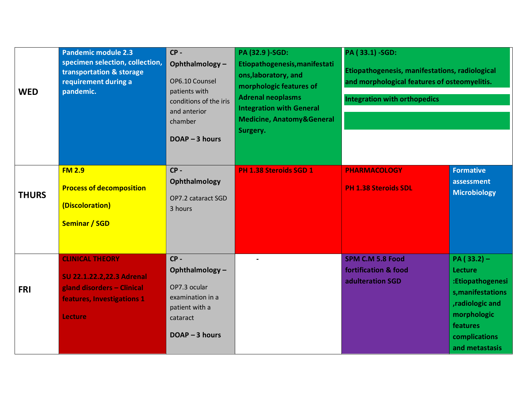| <b>WED</b>   | <b>Pandemic module 2.3</b><br>specimen selection, collection,<br>transportation & storage<br>requirement during a<br>pandemic.    | $CP -$<br>Ophthalmology-<br>OP6.10 Counsel<br>patients with<br>conditions of the iris<br>and anterior<br>chamber<br>$DOAP - 3 hours$ | PA (32.9 )-SGD:<br>Etiopathogenesis, manifestati<br>ons, laboratory, and<br>morphologic features of<br><b>Adrenal neoplasms</b><br><b>Integration with General</b><br><b>Medicine, Anatomy&amp;General</b><br>Surgery. | PA (33.1) -SGD:<br>Etiopathogenesis, manifestations, radiological<br>and morphological features of osteomyelitis.<br><b>Integration with orthopedics</b> |                                                                                                                                                           |
|--------------|-----------------------------------------------------------------------------------------------------------------------------------|--------------------------------------------------------------------------------------------------------------------------------------|------------------------------------------------------------------------------------------------------------------------------------------------------------------------------------------------------------------------|----------------------------------------------------------------------------------------------------------------------------------------------------------|-----------------------------------------------------------------------------------------------------------------------------------------------------------|
| <b>THURS</b> | <b>FM 2.9</b><br><b>Process of decomposition</b><br>(Discoloration)<br><b>Seminar / SGD</b>                                       | $CP -$<br>Ophthalmology<br>OP7.2 cataract SGD<br>3 hours                                                                             | PH 1.38 Steroids SGD 1                                                                                                                                                                                                 | <b>PHARMACOLOGY</b><br><b>PH 1.38 Steroids SDL</b>                                                                                                       | <b>Formative</b><br>assessment<br><b>Microbiology</b>                                                                                                     |
| <b>FRI</b>   | <b>CLINICAL THEORY</b><br>SU 22.1.22.2,22.3 Adrenal<br>gland disorders - Clinical<br>features, Investigations 1<br><b>Lecture</b> | $CP -$<br>Ophthalmology-<br>OP7.3 ocular<br>examination in a<br>patient with a<br>cataract<br>$DOAP - 3 hours$                       | $\blacksquare$                                                                                                                                                                                                         | <b>SPM C.M 5.8 Food</b><br>fortification & food<br>adulteration SGD                                                                                      | $PA(33.2) -$<br><b>Lecture</b><br>:Etiopathogenesi<br>s, manifestations<br>, radiologic and<br>morphologic<br>features<br>complications<br>and metastasis |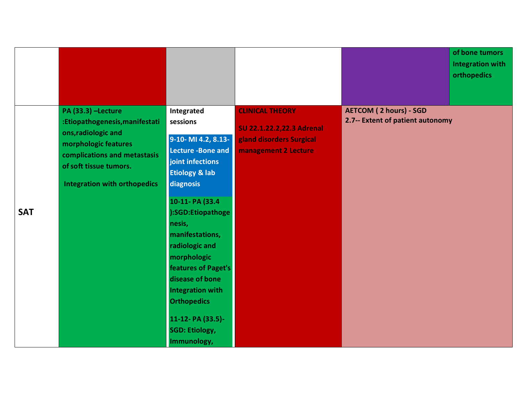|            |                                                                                                                                                                                                             |                                                                                                                                                                                                                                                                                                                                                                                                        |                                                                                                         | of bone tumors<br>Integration with<br>orthopedics                 |
|------------|-------------------------------------------------------------------------------------------------------------------------------------------------------------------------------------------------------------|--------------------------------------------------------------------------------------------------------------------------------------------------------------------------------------------------------------------------------------------------------------------------------------------------------------------------------------------------------------------------------------------------------|---------------------------------------------------------------------------------------------------------|-------------------------------------------------------------------|
| <b>SAT</b> | <b>PA (33.3) -Lecture</b><br>:Etiopathogenesis, manifestati<br>ons, radiologic and<br>morphologic features<br>complications and metastasis<br>of soft tissue tumors.<br><b>Integration with orthopedics</b> | Integrated<br>sessions<br>9-10- MI 4.2, 8.13-<br><b>Lecture - Bone and</b><br>joint infections<br><b>Etiology &amp; lab</b><br>diagnosis<br>10-11- PA (33.4<br>):SGD:Etiopathoge<br>nesis,<br>manifestations,<br>radiologic and<br>morphologic<br>features of Paget's<br>disease of bone<br><b>Integration with</b><br><b>Orthopedics</b><br>11-12- PA (33.5)-<br><b>SGD: Etiology,</b><br>Immunology, | <b>CLINICAL THEORY</b><br>SU 22.1.22.2,22.3 Adrenal<br>gland disorders Surgical<br>management 2 Lecture | <b>AETCOM (2 hours) - SGD</b><br>2.7-- Extent of patient autonomy |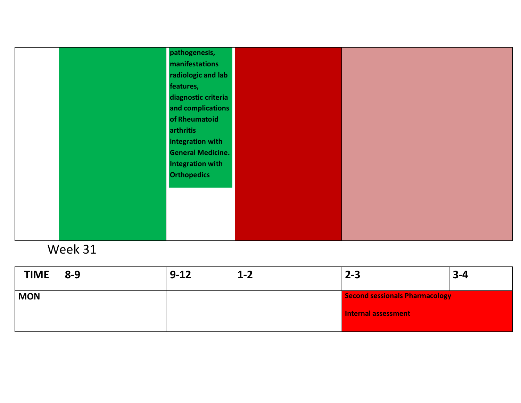| pathogenesis,            |  |
|--------------------------|--|
| manifestations           |  |
| radiologic and lab       |  |
| features,                |  |
|                          |  |
| diagnostic criteria      |  |
| and complications        |  |
| of Rheumatoid            |  |
| arthritis                |  |
| integration with         |  |
| <b>General Medicine.</b> |  |
| <b>Integration with</b>  |  |
| <b>Orthopedics</b>       |  |
|                          |  |
|                          |  |
|                          |  |
|                          |  |
|                          |  |
|                          |  |
|                          |  |

| <b>TIME</b> | $8 - 9$ | $9 - 12$ | $1 - 2$ | $2 - 3$                        | $3 - 4$ |
|-------------|---------|----------|---------|--------------------------------|---------|
| <b>MON</b>  |         |          |         | Second sessionals Pharmacology |         |
|             |         |          |         | <b>Internal assessment</b>     |         |
|             |         |          |         |                                |         |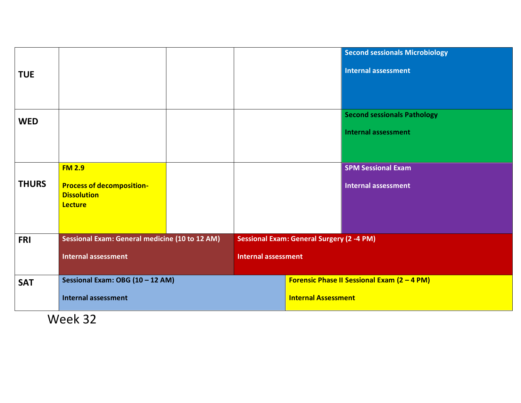| <b>TUE</b>   |                                                                          |  |                            |                                                  | <b>Second sessionals Microbiology</b><br><b>Internal assessment</b> |
|--------------|--------------------------------------------------------------------------|--|----------------------------|--------------------------------------------------|---------------------------------------------------------------------|
| <b>WED</b>   |                                                                          |  |                            |                                                  | <b>Second sessionals Pathology</b><br><b>Internal assessment</b>    |
|              | <b>FM 2.9</b>                                                            |  |                            |                                                  | <b>SPM Sessional Exam</b>                                           |
| <b>THURS</b> | <b>Process of decomposition-</b><br><b>Dissolution</b><br><b>Lecture</b> |  |                            |                                                  | <b>Internal assessment</b>                                          |
| <b>FRI</b>   | <b>Sessional Exam: General medicine (10 to 12 AM)</b>                    |  |                            | <b>Sessional Exam: General Surgery (2 -4 PM)</b> |                                                                     |
|              | <b>Internal assessment</b>                                               |  | <b>Internal assessment</b> |                                                  |                                                                     |
| <b>SAT</b>   | Sessional Exam: OBG (10 - 12 AM)                                         |  |                            |                                                  | Forensic Phase II Sessional Exam (2 - 4 PM)                         |
|              | <b>Internal assessment</b>                                               |  |                            | <b>Internal Assessment</b>                       |                                                                     |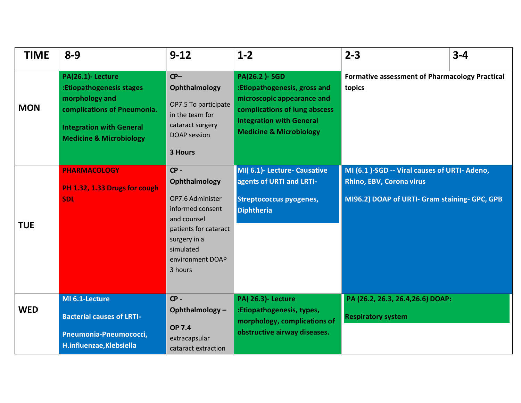| <b>TIME</b> | $8 - 9$                                                                                                                                                                | $9 - 12$                                                                                                                                                            | $1 - 2$                                                                                                                                                                                     | $2 - 3$                                                                                                                    | $3 - 4$ |
|-------------|------------------------------------------------------------------------------------------------------------------------------------------------------------------------|---------------------------------------------------------------------------------------------------------------------------------------------------------------------|---------------------------------------------------------------------------------------------------------------------------------------------------------------------------------------------|----------------------------------------------------------------------------------------------------------------------------|---------|
| <b>MON</b>  | PA(26.1)-Lecture<br>:Etiopathogenesis stages<br>morphology and<br>complications of Pneumonia.<br><b>Integration with General</b><br><b>Medicine &amp; Microbiology</b> | $CP-$<br>Ophthalmology<br>OP7.5 To participate<br>in the team for<br>cataract surgery<br><b>DOAP</b> session<br><b>3 Hours</b>                                      | <b>PA(26.2)-SGD</b><br>:Etiopathogenesis, gross and<br>microscopic appearance and<br>complications of lung abscess<br><b>Integration with General</b><br><b>Medicine &amp; Microbiology</b> | <b>Formative assessment of Pharmacology Practical</b><br>topics                                                            |         |
| <b>TUE</b>  | <b>PHARMACOLOGY</b><br>PH 1.32, 1.33 Drugs for cough<br><b>SDL</b>                                                                                                     | $CP -$<br>Ophthalmology<br>OP7.6 Administer<br>informed consent<br>and counsel<br>patients for cataract<br>surgery in a<br>simulated<br>environment DOAP<br>3 hours | MI(6.1)- Lecture- Causative<br>agents of URTI and LRTI-<br><b>Streptococcus pyogenes,</b><br><b>Diphtheria</b>                                                                              | MI (6.1 )-SGD -- Viral causes of URTI- Adeno,<br>Rhino, EBV, Corona virus<br>MI96.2) DOAP of URTI- Gram staining- GPC, GPB |         |
| <b>WED</b>  | MI 6.1-Lecture<br><b>Bacterial causes of LRTI-</b><br>Pneumonia-Pneumococci,<br>H.influenzae, Klebsiella                                                               | $CP -$<br>Ophthalmology-<br><b>OP 7.4</b><br>extracapsular<br>cataract extraction                                                                                   | <b>PA(26.3)-Lecture</b><br>:Etiopathogenesis, types,<br>morphology, complications of<br>obstructive airway diseases.                                                                        | PA (26.2, 26.3, 26.4, 26.6) DOAP:<br><b>Respiratory system</b>                                                             |         |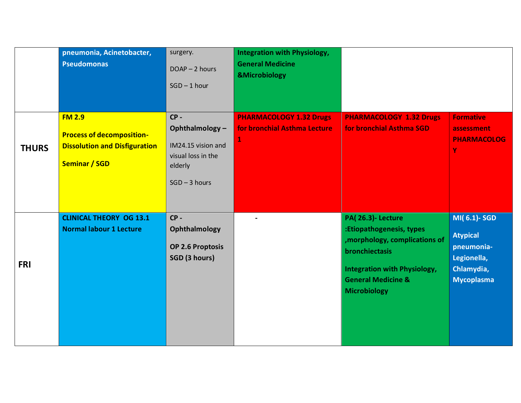|              | pneumonia, Acinetobacter,<br><b>Pseudomonas</b>                                                                   | surgery.<br>DOAP-2 hours<br>$SGD - 1$ hour                                                         | <b>Integration with Physiology,</b><br><b>General Medicine</b><br><b>&amp;Microbiology</b> |                                                                                                                                                                                                        |                                                                                                |
|--------------|-------------------------------------------------------------------------------------------------------------------|----------------------------------------------------------------------------------------------------|--------------------------------------------------------------------------------------------|--------------------------------------------------------------------------------------------------------------------------------------------------------------------------------------------------------|------------------------------------------------------------------------------------------------|
| <b>THURS</b> | <b>FM 2.9</b><br><b>Process of decomposition-</b><br><b>Dissolution and Disfiguration</b><br><b>Seminar / SGD</b> | $CP -$<br>Ophthalmology-<br>IM24.15 vision and<br>visual loss in the<br>elderly<br>$SGD - 3 hours$ | <b>PHARMACOLOGY 1.32 Drugs</b><br>for bronchial Asthma Lecture                             | <b>PHARMACOLOGY 1.32 Drugs</b><br>for bronchial Asthma SGD                                                                                                                                             | <b>Formative</b><br>assessment<br><b>PHARMACOLOG</b><br>Y                                      |
| <b>FRI</b>   | <b>CLINICAL THEORY OG 13.1</b><br><b>Normal labour 1 Lecture</b>                                                  | $CP -$<br>Ophthalmology<br>OP 2.6 Proptosis<br>SGD (3 hours)                                       |                                                                                            | <b>PA(26.3)-Lecture</b><br>:Etiopathogenesis, types<br>, morphology, complications of<br>bronchiectasis<br><b>Integration with Physiology,</b><br><b>General Medicine &amp;</b><br><b>Microbiology</b> | MI(6.1)-SGD<br><b>Atypical</b><br>pneumonia-<br>Legionella,<br>Chlamydia,<br><b>Mycoplasma</b> |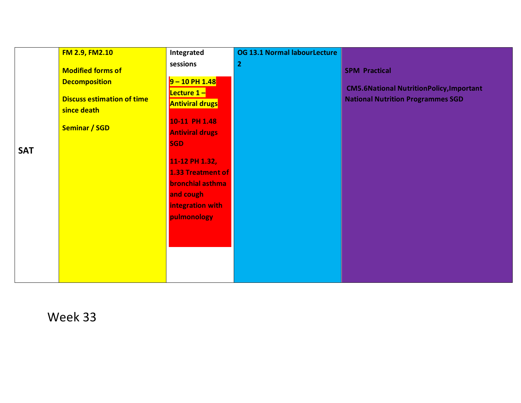|            | <b>FM 2.9, FM2.10</b>                            | Integrated                                          | <b>OG 13.1 Normal labourLecture</b> |                                                                                             |
|------------|--------------------------------------------------|-----------------------------------------------------|-------------------------------------|---------------------------------------------------------------------------------------------|
|            | <b>Modified forms of</b>                         | sessions                                            | $\mathbf{2}$                        | <b>SPM Practical</b>                                                                        |
|            | <b>Decomposition</b>                             | $9 - 10$ PH $1.48$                                  |                                     |                                                                                             |
|            | <b>Discuss estimation of time</b><br>since death | <b>Lecture 1-</b><br><b>Antiviral drugs</b>         |                                     | <b>CM5.6National NutritionPolicy, Important</b><br><b>National Nutrition Programmes SGD</b> |
|            | <b>Seminar / SGD</b>                             | 10-11 PH 1.48<br><b>Antiviral drugs</b>             |                                     |                                                                                             |
| <b>SAT</b> |                                                  | <b>SGD</b>                                          |                                     |                                                                                             |
|            |                                                  | 11-12 PH 1.32,                                      |                                     |                                                                                             |
|            |                                                  | <b>1.33 Treatment of</b><br><b>bronchial asthma</b> |                                     |                                                                                             |
|            |                                                  | and cough                                           |                                     |                                                                                             |
|            |                                                  | integration with                                    |                                     |                                                                                             |
|            |                                                  | pulmonology                                         |                                     |                                                                                             |
|            |                                                  |                                                     |                                     |                                                                                             |
|            |                                                  |                                                     |                                     |                                                                                             |
|            |                                                  |                                                     |                                     |                                                                                             |
|            |                                                  |                                                     |                                     |                                                                                             |
|            |                                                  |                                                     |                                     |                                                                                             |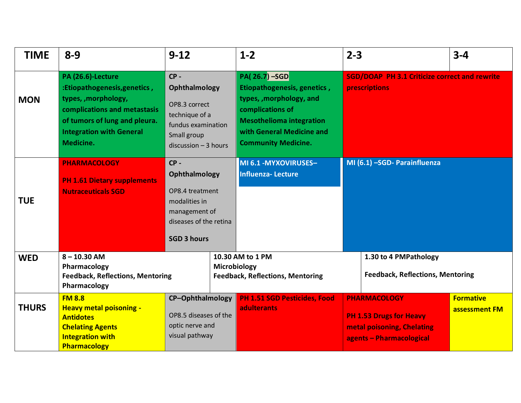| <b>TIME</b>  | $8 - 9$                                                                                                                                                                                    | $9 - 12$                                                                                                                     | $1 - 2$                                                                                                                                                                                           | $2 - 3$                                                                                                         | $3 - 4$                           |
|--------------|--------------------------------------------------------------------------------------------------------------------------------------------------------------------------------------------|------------------------------------------------------------------------------------------------------------------------------|---------------------------------------------------------------------------------------------------------------------------------------------------------------------------------------------------|-----------------------------------------------------------------------------------------------------------------|-----------------------------------|
| <b>MON</b>   | PA (26.6)-Lecture<br>:Etiopathogenesis, genetics,<br>types, , morphology,<br>complications and metastasis<br>of tumors of lung and pleura.<br><b>Integration with General</b><br>Medicine. | $CP -$<br>Ophthalmology<br>OP8.3 correct<br>technique of a<br>fundus examination<br>Small group<br>$discussion - 3 hours$    | <b>PA(26.7) -SGD</b><br>Etiopathogenesis, genetics,<br>types, , morphology, and<br>complications of<br><b>Mesothelioma integration</b><br>with General Medicine and<br><b>Community Medicine.</b> | <b>SGD/DOAP PH 3.1 Criticize correct and rewrite</b><br>prescriptions                                           |                                   |
| <b>TUE</b>   | <b>PHARMACOLOGY</b><br><b>PH 1.61 Dietary supplements</b><br><b>Nutraceuticals SGD</b>                                                                                                     | $CP -$<br>Ophthalmology<br>OP8.4 treatment<br>modalities in<br>management of<br>diseases of the retina<br><b>SGD 3 hours</b> | MI 6.1 - MYXOVIRUSES-<br><b>Influenza-Lecture</b>                                                                                                                                                 | MI (6.1) -SGD- Parainfluenza                                                                                    |                                   |
| <b>WED</b>   | $8 - 10.30$ AM<br>Pharmacology<br><b>Feedback, Reflections, Mentoring</b><br>Pharmacology                                                                                                  |                                                                                                                              | 10.30 AM to 1 PM<br>Microbiology<br><b>Feedback, Reflections, Mentoring</b>                                                                                                                       | 1.30 to 4 PMPathology<br><b>Feedback, Reflections, Mentoring</b>                                                |                                   |
| <b>THURS</b> | <b>FM 8.8</b><br><b>Heavy metal poisoning -</b><br><b>Antidotes</b><br><b>Chelating Agents</b><br><b>Integration with</b><br>Pharmacology                                                  | CP-Ophthalmology<br>OP8.5 diseases of the<br>optic nerve and<br>visual pathway                                               | <b>PH 1.51 SGD Pesticides, Food</b><br><b>adulterants</b>                                                                                                                                         | <b>PHARMACOLOGY</b><br><b>PH 1.53 Drugs for Heavy</b><br>metal poisoning, Chelating<br>agents - Pharmacological | <b>Formative</b><br>assessment FM |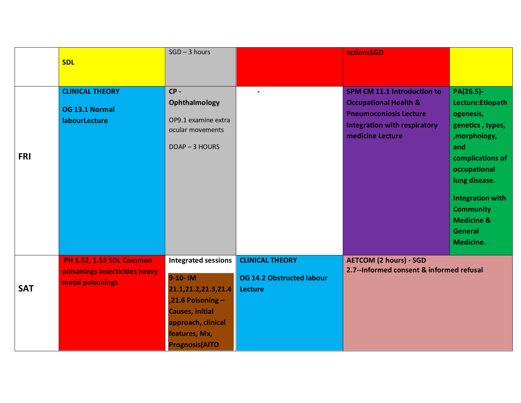|            |                                 | $SGD - 3 hours$            |                                  | actionsSGD                               |                               |
|------------|---------------------------------|----------------------------|----------------------------------|------------------------------------------|-------------------------------|
|            | <b>SDL</b>                      |                            |                                  |                                          |                               |
|            |                                 |                            |                                  |                                          |                               |
|            | <b>CLINICAL THEORY</b>          | $CP -$                     |                                  | <b>SPM CM 11.1 Introduction to</b>       | PA(26.5)-                     |
|            | OG 13.1 Normal                  | Ophthalmology              |                                  | <b>Occupational Health &amp;</b>         | Lecture: Etiopath             |
|            | labourLecture                   | OP9.1 examine extra        |                                  | <b>Pneumoconiosis Lecture</b>            | ogenesis,                     |
|            |                                 | ocular movements           |                                  | <b>Integration with respiratory</b>      | genetics, types,              |
|            |                                 |                            |                                  | medicine Lecture                         | ,morphology,                  |
| <b>FRI</b> |                                 | DOAP-3 HOURS               |                                  |                                          | and                           |
|            |                                 |                            |                                  |                                          | complications of              |
|            |                                 |                            |                                  |                                          | occupational<br>lung disease. |
|            |                                 |                            |                                  |                                          |                               |
|            |                                 |                            |                                  |                                          | <b>Integration with</b>       |
|            |                                 |                            |                                  |                                          | <b>Community</b>              |
|            |                                 |                            |                                  |                                          | <b>Medicine &amp;</b>         |
|            |                                 |                            |                                  |                                          | <b>General</b>                |
|            |                                 |                            |                                  |                                          | Medicine.                     |
|            | <b>PH 1.52, 1.53 SDL Common</b> | <b>Integrated sessions</b> | <b>CLINICAL THEORY</b>           | <b>AETCOM (2 hours) - SGD</b>            |                               |
|            | poisonings insecticides heavy   | 9-10-IM                    | <b>OG 14.2 Obstructed labour</b> | 2.7--Informed consent & informed refusal |                               |
| <b>SAT</b> | metal poisonings                | 21.1,21.2,21.3,21.4        | Lecture                          |                                          |                               |
|            |                                 | $,21.6$ Poisoning -        |                                  |                                          |                               |
|            |                                 | <b>Causes, initial</b>     |                                  |                                          |                               |
|            |                                 | approach, clinical         |                                  |                                          |                               |
|            |                                 | features, Mx,              |                                  |                                          |                               |
|            |                                 | <b>Prognosis(AITO</b>      |                                  |                                          |                               |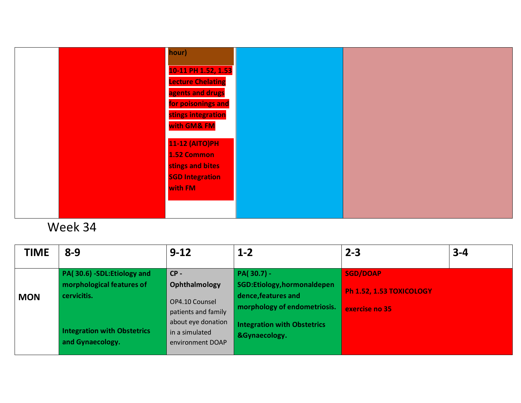| hour)                    |  |
|--------------------------|--|
|                          |  |
| 10-11 PH 1.52, 1.53      |  |
| <b>Lecture Chelating</b> |  |
| agents and drugs         |  |
| for poisonings and       |  |
| stings integration       |  |
| with GM& FM              |  |
| <b>11-12 (AITO)PH</b>    |  |
| 1.52 Common              |  |
| stings and bites         |  |
| <b>SGD Integration</b>   |  |
| with FM                  |  |
|                          |  |
|                          |  |
|                          |  |

| TIME       | $8 - 9$                                                                                                                          | $9 - 12$                                                                                                                     | $1 - 2$                                                                                                                                                  | $2 - 3$                                                       | $3 - 4$ |
|------------|----------------------------------------------------------------------------------------------------------------------------------|------------------------------------------------------------------------------------------------------------------------------|----------------------------------------------------------------------------------------------------------------------------------------------------------|---------------------------------------------------------------|---------|
| <b>MON</b> | PA(30.6) -SDL:Etiology and<br>morphological features of<br>cervicitis.<br><b>Integration with Obstetrics</b><br>and Gynaecology. | $CP -$<br>Ophthalmology<br>OP4.10 Counsel<br>patients and family<br>about eye donation<br>in a simulated<br>environment DOAP | $PA(30.7) -$<br>SGD:Etiology,hormonaldepen<br>dence, features and<br>morphology of endometriosis.<br><b>Integration with Obstetrics</b><br>&Gynaecology. | <b>SGD/DOAP</b><br>Ph 1.52, 1.53 TOXICOLOGY<br>exercise no 35 |         |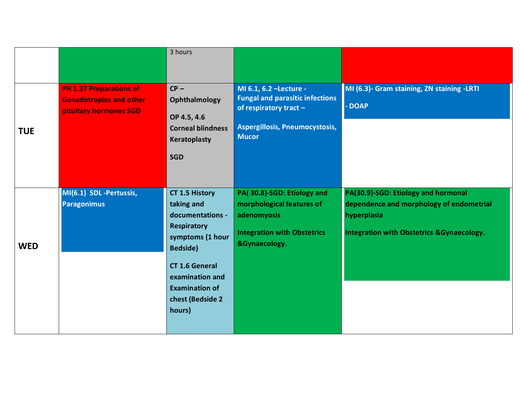|            |                                                                                            | 3 hours                                                                                                                                                                                                                  |                                                                                                                                               |                                                                                                                                                         |
|------------|--------------------------------------------------------------------------------------------|--------------------------------------------------------------------------------------------------------------------------------------------------------------------------------------------------------------------------|-----------------------------------------------------------------------------------------------------------------------------------------------|---------------------------------------------------------------------------------------------------------------------------------------------------------|
|            |                                                                                            |                                                                                                                                                                                                                          |                                                                                                                                               |                                                                                                                                                         |
| <b>TUE</b> | <b>PH 1.37 Preparations of</b><br><b>Gonadotropins and other</b><br>pituitary hormones SGD | $CP -$<br>Ophthalmology<br>OP 4.5, 4.6<br><b>Corneal blindness</b><br>Keratoplasty<br><b>SGD</b>                                                                                                                         | MI 6.1, 6.2 - Lecture -<br><b>Fungal and parasitic infections</b><br>of respiratory tract -<br>Aspergillosis, Pneumocystosis,<br><b>Mucor</b> | MI (6.3)- Gram staining, ZN staining -LRTI<br>- DOAP                                                                                                    |
| <b>WED</b> | MI(6.1) SDL -Pertussis,<br><b>Paragonimus</b>                                              | <b>CT 1.5 History</b><br>taking and<br>documentations -<br><b>Respiratory</b><br>symptoms (1 hour<br><b>Bedside</b> )<br><b>CT 1.6 General</b><br>examination and<br><b>Examination of</b><br>chest (Bedside 2<br>hours) | PA(30.8)-SGD: Etiology and<br>morphological features of<br>adenomyosis<br><b>Integration with Obstetrics</b><br>&Gynaecology.                 | PA(30.9)-SGD: Etiology and hormonal<br>dependence and morphology of endometrial<br>hyperplasia<br><b>Integration with Obstetrics &amp; Gynaecology.</b> |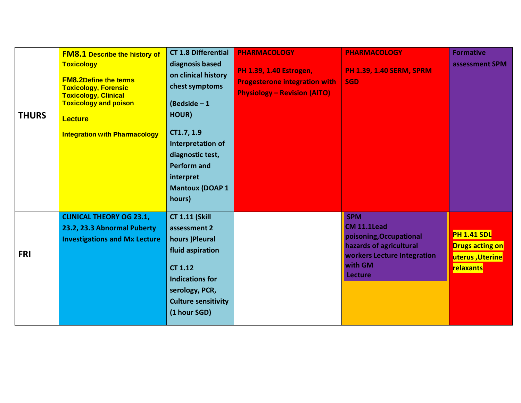| <b>THURS</b> | <b>FM8.1 Describe the history of</b><br><b>Toxicology</b><br><b>FM8.2Define the terms</b><br><b>Toxicology, Forensic</b><br><b>Toxicology, Clinical</b><br><b>Toxicology and poison</b><br><b>Lecture</b><br><b>Integration with Pharmacology</b> | <b>CT 1.8 Differential</b><br>diagnosis based<br>on clinical history<br>chest symptoms<br>(Bedside $-1$<br>HOUR)<br>CT1.7, 1.9<br>Interpretation of<br>diagnostic test,<br><b>Perform and</b><br>interpret<br><b>Mantoux (DOAP 1</b><br>hours) | <b>PHARMACOLOGY</b><br><b>PH 1.39, 1.40 Estrogen,</b><br><b>Progesterone integration with</b><br><b>Physiology - Revision (AITO)</b> | <b>PHARMACOLOGY</b><br><b>PH 1.39, 1.40 SERM, SPRM</b><br><b>SGD</b>                                                                        | <b>Formative</b><br>assessment SPM                                           |
|--------------|---------------------------------------------------------------------------------------------------------------------------------------------------------------------------------------------------------------------------------------------------|------------------------------------------------------------------------------------------------------------------------------------------------------------------------------------------------------------------------------------------------|--------------------------------------------------------------------------------------------------------------------------------------|---------------------------------------------------------------------------------------------------------------------------------------------|------------------------------------------------------------------------------|
| <b>FRI</b>   | <b>CLINICAL THEORY OG 23.1,</b><br>23.2, 23.3 Abnormal Puberty<br><b>Investigations and Mx Lecture</b>                                                                                                                                            | <b>CT 1.11 (Skill</b><br>assessment 2<br>hours )Pleural<br>fluid aspiration<br><b>CT 1.12</b><br><b>Indications for</b><br>serology, PCR,<br><b>Culture sensitivity</b><br>(1 hour SGD)                                                        |                                                                                                                                      | <b>SPM</b><br>CM 11.1Lead<br>poisoning, Occupational<br>hazards of agricultural<br>workers Lecture Integration<br>with GM<br><b>Lecture</b> | <b>PH 1.41 SDL</b><br><b>Drugs acting on</b><br>uterus, Uterine<br>relaxants |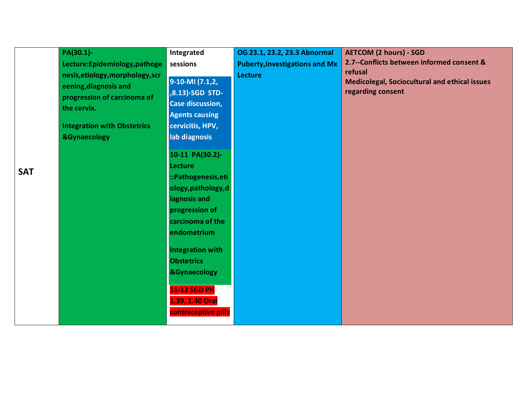|            | PA(30.1)-<br>Lecture: Epidemiology, pathoge<br>nesis, etiology, morphology, scr<br>eening, diagnosis and | Integrated<br>sessions<br>9-10-MI (7.1,2,                                               | OG 23.1, 23.2, 23.3 Abnormal<br><b>Puberty, Investigations and Mx</b><br><b>Lecture</b> | <b>AETCOM (2 hours) - SGD</b><br>2.7--Conflicts between informed consent &<br>refusal<br>Medicolegal, Sociocultural and ethical issues |
|------------|----------------------------------------------------------------------------------------------------------|-----------------------------------------------------------------------------------------|-----------------------------------------------------------------------------------------|----------------------------------------------------------------------------------------------------------------------------------------|
|            | progression of carcinoma of<br>the cervix.<br><b>Integration with Obstetrics</b>                         | ,8.13)-SGD STD-<br><b>Case discussion,</b><br><b>Agents causing</b><br>cervicitis, HPV, |                                                                                         | regarding consent                                                                                                                      |
|            | <b>&amp;Gynaecology</b>                                                                                  | lab diagnosis                                                                           |                                                                                         |                                                                                                                                        |
| <b>SAT</b> |                                                                                                          | 10-11 PA(30.2)-<br><b>Lecture</b><br>::Pathogenesis, eti                                |                                                                                         |                                                                                                                                        |
|            |                                                                                                          | ology, pathology, d<br>iagnosis and<br>progression of                                   |                                                                                         |                                                                                                                                        |
|            |                                                                                                          | carcinoma of the<br>endometrium                                                         |                                                                                         |                                                                                                                                        |
|            |                                                                                                          | <b>Integration with</b><br><b>Obstetrics</b><br><b>&amp;Gynaecology</b>                 |                                                                                         |                                                                                                                                        |
|            |                                                                                                          | <b>11-12 SGD PH</b><br>1.39, 1.40 Oral<br>contraceptive pills                           |                                                                                         |                                                                                                                                        |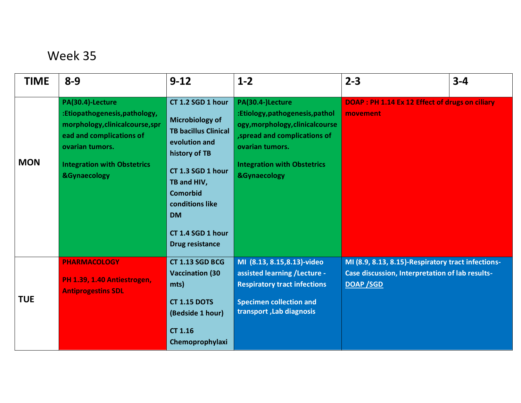| <b>TIME</b> | $8 - 9$                                                                                                                                                                                              | $9 - 12$                                                                                                                                                                                                                                    | $1 - 2$                                                                                                                                                                                                    | $2 - 3$                                                                                                                   | $3 - 4$ |
|-------------|------------------------------------------------------------------------------------------------------------------------------------------------------------------------------------------------------|---------------------------------------------------------------------------------------------------------------------------------------------------------------------------------------------------------------------------------------------|------------------------------------------------------------------------------------------------------------------------------------------------------------------------------------------------------------|---------------------------------------------------------------------------------------------------------------------------|---------|
| <b>MON</b>  | PA(30.4)-Lecture<br>:Etiopathogenesis,pathology,<br>morphology, clinical course, spr<br>ead and complications of<br>ovarian tumors.<br><b>Integration with Obstetrics</b><br><b>&amp;Gynaecology</b> | CT 1.2 SGD 1 hour<br>Microbiology of<br><b>TB bacillus Clinical</b><br>evolution and<br>history of TB<br>CT 1.3 SGD 1 hour<br>TB and HIV,<br><b>Comorbid</b><br>conditions like<br><b>DM</b><br>CT 1.4 SGD 1 hour<br><b>Drug resistance</b> | PA(30.4-)Lecture<br>:Etiology,pathogenesis,pathol<br>ogy, morphology, clinical course<br>, spread and complications of<br>ovarian tumors.<br><b>Integration with Obstetrics</b><br><b>&amp;Gynaecology</b> | DOAP : PH 1.14 Ex 12 Effect of drugs on ciliary<br>movement                                                               |         |
| <b>TUE</b>  | <b>PHARMACOLOGY</b><br>PH 1.39, 1.40 Antiestrogen,<br><b>Antiprogestins SDL</b>                                                                                                                      | <b>CT 1.13 SGD BCG</b><br><b>Vaccination (30</b><br>mts)<br><b>CT 1.15 DOTS</b><br>(Bedside 1 hour)<br><b>CT 1.16</b><br>Chemoprophylaxi                                                                                                    | MI (8.13, 8.15, 8.13)-video<br>assisted learning /Lecture -<br><b>Respiratory tract infections</b><br><b>Specimen collection and</b><br>transport, Lab diagnosis                                           | MI (8.9, 8.13, 8.15)-Respiratory tract infections-<br>Case discussion, Interpretation of lab results-<br><b>DOAP /SGD</b> |         |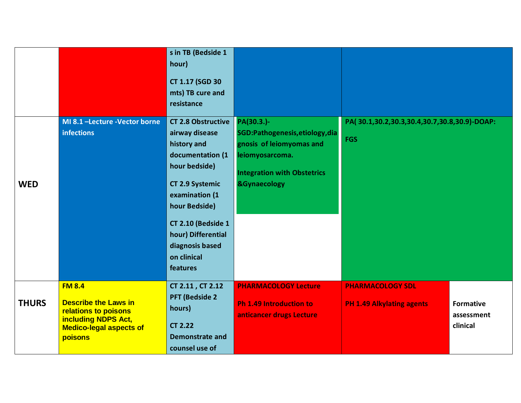|              |                                                                                                                                                 | s in TB (Bedside 1<br>hour)<br><b>CT 1.17 (SGD 30</b><br>mts) TB cure and<br>resistance                                                                                                                                                                |                                                                                                                                                               |                                                             |                                            |
|--------------|-------------------------------------------------------------------------------------------------------------------------------------------------|--------------------------------------------------------------------------------------------------------------------------------------------------------------------------------------------------------------------------------------------------------|---------------------------------------------------------------------------------------------------------------------------------------------------------------|-------------------------------------------------------------|--------------------------------------------|
| <b>WED</b>   | MI 8.1 -Lecture -Vector borne<br><b>infections</b>                                                                                              | <b>CT 2.8 Obstructive</b><br>airway disease<br>history and<br>documentation (1<br>hour bedside)<br><b>CT 2.9 Systemic</b><br>examination (1<br>hour Bedside)<br>CT 2.10 (Bedside 1<br>hour) Differential<br>diagnosis based<br>on clinical<br>features | PA(30.3.)-<br>SGD:Pathogenesis, etiology, dia<br>gnosis of leiomyomas and<br>leiomyosarcoma.<br><b>Integration with Obstetrics</b><br><b>&amp;Gynaecology</b> | PA(30.1,30.2,30.3,30.4,30.7,30.8,30.9)-DOAP:<br><b>FGS</b>  |                                            |
| <b>THURS</b> | <b>FM 8.4</b><br><b>Describe the Laws in</b><br>relations to poisons<br><b>including NDPS Act,</b><br><b>Medico-legal aspects of</b><br>poisons | CT 2.11, CT 2.12<br><b>PFT (Bedside 2)</b><br>hours)<br><b>CT 2.22</b><br><b>Demonstrate and</b><br>counsel use of                                                                                                                                     | <b>PHARMACOLOGY Lecture</b><br><b>Ph 1.49 Introduction to</b><br>anticancer drugs Lecture                                                                     | <b>PHARMACOLOGY SDL</b><br><b>PH 1.49 Alkylating agents</b> | <b>Formative</b><br>assessment<br>clinical |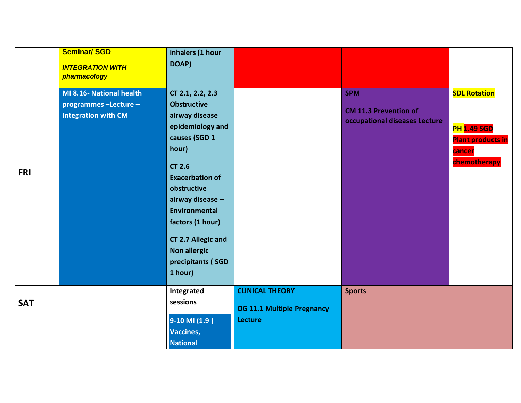|            | <b>Seminar/SGD</b><br><b>INTEGRATION WITH</b><br>pharmacology                   | inhalers (1 hour<br>DOAP)                                                                                                                                                                                                                                                                                     |                                                                               |                                                                             |                                                                                                 |
|------------|---------------------------------------------------------------------------------|---------------------------------------------------------------------------------------------------------------------------------------------------------------------------------------------------------------------------------------------------------------------------------------------------------------|-------------------------------------------------------------------------------|-----------------------------------------------------------------------------|-------------------------------------------------------------------------------------------------|
| <b>FRI</b> | MI 8.16- National health<br>programmes -Lecture -<br><b>Integration with CM</b> | CT 2.1, 2.2, 2.3<br><b>Obstructive</b><br>airway disease<br>epidemiology and<br>causes (SGD 1<br>hour)<br><b>CT 2.6</b><br><b>Exacerbation of</b><br>obstructive<br>airway disease -<br>Environmental<br>factors (1 hour)<br><b>CT 2.7 Allegic and</b><br><b>Non allergic</b><br>precipitants (SGD<br>1 hour) |                                                                               | <b>SPM</b><br><b>CM 11.3 Prevention of</b><br>occupational diseases Lecture | <b>SDL Rotation</b><br><b>PH 1.49 SGD</b><br><b>Plant products in</b><br>cancer<br>chemotherapy |
| <b>SAT</b> |                                                                                 | Integrated<br>sessions<br>9-10 MI (1.9)<br><b>Vaccines,</b><br><b>National</b>                                                                                                                                                                                                                                | <b>CLINICAL THEORY</b><br><b>OG 11.1 Multiple Pregnancy</b><br><b>Lecture</b> | <b>Sports</b>                                                               |                                                                                                 |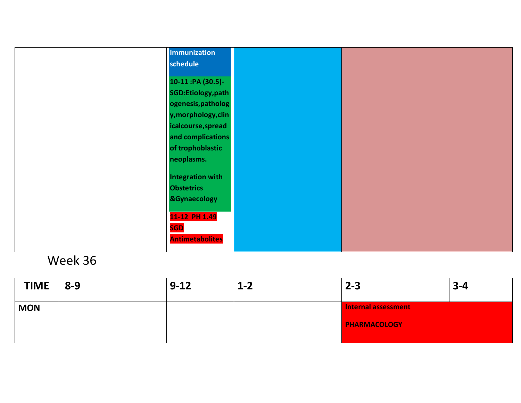|  | Immunization            |  |
|--|-------------------------|--|
|  | schedule                |  |
|  |                         |  |
|  | 10-11 :PA (30.5)-       |  |
|  | SGD:Etiology,path       |  |
|  | ogenesis, patholog      |  |
|  | y, morphology, clin     |  |
|  | icalcourse, spread      |  |
|  | and complications       |  |
|  | of trophoblastic        |  |
|  | neoplasms.              |  |
|  |                         |  |
|  | <b>Integration with</b> |  |
|  | <b>Obstetrics</b>       |  |
|  | <b>&amp;Gynaecology</b> |  |
|  |                         |  |
|  | 11-12 PH 1.49           |  |
|  | <b>SGD</b>              |  |
|  | <b>Antimetabolites</b>  |  |
|  |                         |  |

| <b>TIME</b> | $8 - 9$ | $9 - 12$ | $1 - 2$ | $2 - 3$             | $3 - 4$ |
|-------------|---------|----------|---------|---------------------|---------|
| <b>MON</b>  |         |          |         | Internal assessment |         |
|             |         |          |         | <b>PHARMACOLOGY</b> |         |
|             |         |          |         |                     |         |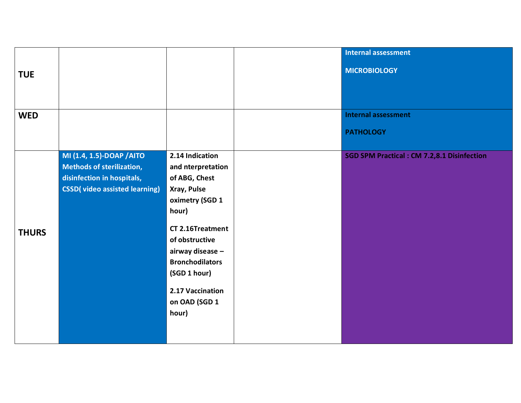|              |                                                                                                                                      |                                                                                                                                                                                                                                                    | <b>Internal assessment</b>                         |
|--------------|--------------------------------------------------------------------------------------------------------------------------------------|----------------------------------------------------------------------------------------------------------------------------------------------------------------------------------------------------------------------------------------------------|----------------------------------------------------|
| <b>TUE</b>   |                                                                                                                                      |                                                                                                                                                                                                                                                    | <b>MICROBIOLOGY</b>                                |
| <b>WED</b>   |                                                                                                                                      |                                                                                                                                                                                                                                                    | <b>Internal assessment</b>                         |
|              |                                                                                                                                      |                                                                                                                                                                                                                                                    | <b>PATHOLOGY</b>                                   |
| <b>THURS</b> | MI (1.4, 1.5)-DOAP / AITO<br><b>Methods of sterilization,</b><br>disinfection in hospitals,<br><b>CSSD</b> (video assisted learning) | 2.14 Indication<br>and nterpretation<br>of ABG, Chest<br>Xray, Pulse<br>oximetry (SGD 1<br>hour)<br>CT 2.16Treatment<br>of obstructive<br>airway disease -<br><b>Bronchodilators</b><br>(SGD 1 hour)<br>2.17 Vaccination<br>on OAD (SGD 1<br>hour) | <b>SGD SPM Practical : CM 7.2,8.1 Disinfection</b> |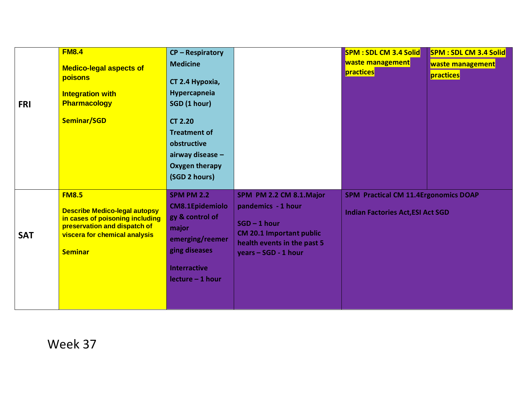|            | <b>FM8.4</b>                                                                                                                                                               | <b>CP-Respiratory</b>                                                                                                                                    |                                                                                                                                                           | <b>SPM: SDL CM 3.4 Solid</b>                                                            | <b>SPM: SDL CM 3.4 Solid</b> |
|------------|----------------------------------------------------------------------------------------------------------------------------------------------------------------------------|----------------------------------------------------------------------------------------------------------------------------------------------------------|-----------------------------------------------------------------------------------------------------------------------------------------------------------|-----------------------------------------------------------------------------------------|------------------------------|
|            | <b>Medico-legal aspects of</b>                                                                                                                                             | <b>Medicine</b>                                                                                                                                          |                                                                                                                                                           | waste management                                                                        | waste management             |
|            | poisons                                                                                                                                                                    | CT 2.4 Hypoxia,                                                                                                                                          |                                                                                                                                                           | practices                                                                               | practices                    |
|            | <b>Integration with</b>                                                                                                                                                    | Hypercapneia                                                                                                                                             |                                                                                                                                                           |                                                                                         |                              |
| <b>FRI</b> | <b>Pharmacology</b>                                                                                                                                                        | SGD (1 hour)                                                                                                                                             |                                                                                                                                                           |                                                                                         |                              |
|            | Seminar/SGD                                                                                                                                                                | <b>CT 2.20</b><br><b>Treatment of</b><br>obstructive<br>airway disease -<br><b>Oxygen therapy</b><br>(SGD 2 hours)                                       |                                                                                                                                                           |                                                                                         |                              |
| <b>SAT</b> | <b>FM8.5</b><br><b>Describe Medico-legal autopsy</b><br>in cases of poisoning including<br>preservation and dispatch of<br>viscera for chemical analysis<br><b>Seminar</b> | <b>SPM PM 2.2</b><br><b>CM8.1Epidemiolo</b><br>gy & control of<br>major<br>emerging/reemer<br>ging diseases<br><b>Interractive</b><br>$lecture - 1 hour$ | SPM PM 2.2 CM 8.1.Major<br>pandemics - 1 hour<br>$SGD - 1 hour$<br><b>CM 20.1 Important public</b><br>health events in the past 5<br>vears - SGD - 1 hour | <b>SPM Practical CM 11.4Ergonomics DOAP</b><br><b>Indian Factories Act, ESI Act SGD</b> |                              |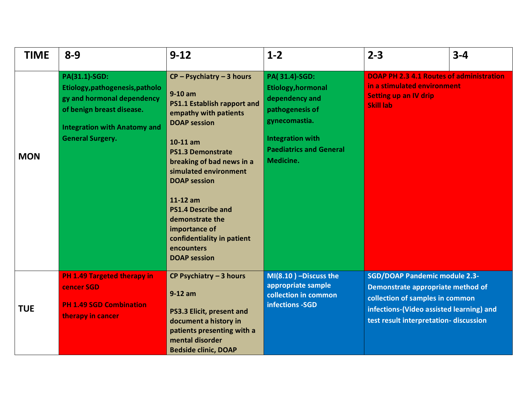| <b>TIME</b> | $8 - 9$                                                                                                                                                                              | $9 - 12$                                                                                                                                                                                                                                                                                                                                                                                       | $1-2$                                                                                                                                                                      | $2 - 3$                                                                                                                                                                                           | $3 - 4$ |
|-------------|--------------------------------------------------------------------------------------------------------------------------------------------------------------------------------------|------------------------------------------------------------------------------------------------------------------------------------------------------------------------------------------------------------------------------------------------------------------------------------------------------------------------------------------------------------------------------------------------|----------------------------------------------------------------------------------------------------------------------------------------------------------------------------|---------------------------------------------------------------------------------------------------------------------------------------------------------------------------------------------------|---------|
| <b>MON</b>  | <b>PA(31.1)-SGD:</b><br>Etiology, pathogenesis, patholo<br>gy and hormonal dependency<br>of benign breast disease.<br><b>Integration with Anatomy and</b><br><b>General Surgery.</b> | $CP - Psychiatry - 3 hours$<br>$9-10$ am<br>PS1.1 Establish rapport and<br>empathy with patients<br><b>DOAP</b> session<br>$10-11$ am<br><b>PS1.3 Demonstrate</b><br>breaking of bad news in a<br>simulated environment<br><b>DOAP</b> session<br>11-12 am<br><b>PS1.4 Describe and</b><br>demonstrate the<br>importance of<br>confidentiality in patient<br>encounters<br><b>DOAP</b> session | PA(31.4)-SGD:<br><b>Etiology, hormonal</b><br>dependency and<br>pathogenesis of<br>gynecomastia.<br><b>Integration with</b><br><b>Paediatrics and General</b><br>Medicine. | <b>DOAP PH 2.3 4.1 Routes of administration</b><br>in a stimulated environment<br><b>Setting up an IV drip</b><br><b>Skill lab</b>                                                                |         |
| <b>TUE</b>  | PH 1.49 Targeted therapy in<br>cencer SGD<br><b>PH 1.49 SGD Combination</b><br>therapy in cancer                                                                                     | CP Psychiatry $-3$ hours<br>$9-12$ am<br>PS3.3 Elicit, present and<br>document a history in<br>patients presenting with a<br>mental disorder<br><b>Bedside clinic, DOAP</b>                                                                                                                                                                                                                    | $MI(8.10)$ -Discuss the<br>appropriate sample<br>collection in common<br>infections -SGD                                                                                   | <b>SGD/DOAP Pandemic module 2.3-</b><br>Demonstrate appropriate method of<br>collection of samples in common<br>infections-(Video assisted learning) and<br>test result interpretation-discussion |         |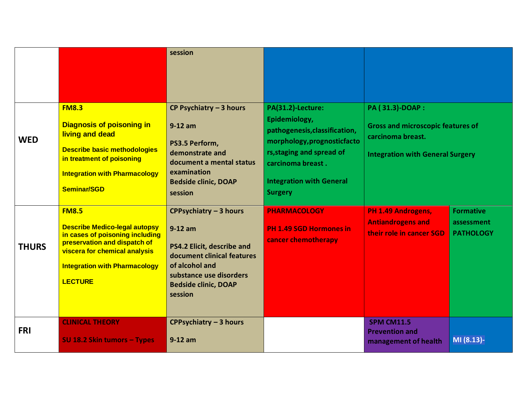|              |                                                                                                                                                                                                                    | session                                                                                                                                                                                |                                                                                                                                                                                                           |                                                                                                                             |                                                    |
|--------------|--------------------------------------------------------------------------------------------------------------------------------------------------------------------------------------------------------------------|----------------------------------------------------------------------------------------------------------------------------------------------------------------------------------------|-----------------------------------------------------------------------------------------------------------------------------------------------------------------------------------------------------------|-----------------------------------------------------------------------------------------------------------------------------|----------------------------------------------------|
| <b>WED</b>   | <b>FM8.3</b><br><b>Diagnosis of poisoning in</b><br>living and dead<br><b>Describe basic methodologies</b><br>in treatment of poisoning<br><b>Integration with Pharmacology</b><br><b>Seminar/SGD</b>              | CP Psychiatry $-3$ hours<br>$9-12$ am<br>PS3.5 Perform,<br>demonstrate and<br>document a mental status<br>examination<br><b>Bedside clinic, DOAP</b><br>session                        | PA(31.2)-Lecture:<br>Epidemiology,<br>pathogenesis, classification,<br>morphology, prognosticfacto<br>rs, staging and spread of<br>carcinoma breast.<br><b>Integration with General</b><br><b>Surgery</b> | PA (31.3)-DOAP:<br><b>Gross and microscopic features of</b><br>carcinoma breast.<br><b>Integration with General Surgery</b> |                                                    |
| <b>THURS</b> | <b>FM8.5</b><br><b>Describe Medico-legal autopsy</b><br>in cases of poisoning including<br>preservation and dispatch of<br>viscera for chemical analysis<br><b>Integration with Pharmacology</b><br><b>LECTURE</b> | CPPsychiatry - 3 hours<br>$9-12$ am<br>PS4.2 Elicit, describe and<br>document clinical features<br>of alcohol and<br>substance use disorders<br><b>Bedside clinic, DOAP</b><br>session | <b>PHARMACOLOGY</b><br><b>PH 1.49 SGD Hormones in</b><br>cancer chemotherapy                                                                                                                              | PH 1.49 Androgens,<br><b>Antiandrogens and</b><br>their role in cancer SGD                                                  | <b>Formative</b><br>assessment<br><b>PATHOLOGY</b> |
| <b>FRI</b>   | <b>CLINICAL THEORY</b><br>SU 18.2 Skin tumors - Types                                                                                                                                                              | <b>CPPsychiatry - 3 hours</b><br>$9-12$ am                                                                                                                                             |                                                                                                                                                                                                           | <b>SPM CM11.5</b><br><b>Prevention and</b><br>management of health                                                          | MI (8.13)-                                         |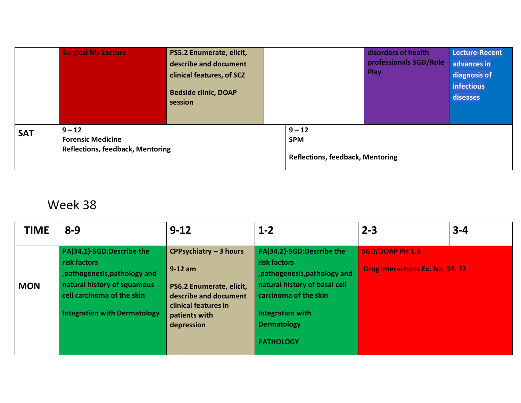|            | $9 - 12$                                                            | describe and document<br>clinical features, of SCZ<br><b>Bedside clinic, DOAP</b><br>session | Play<br>$9 - 12$                                      |  | professionals SGD/Role | advances in<br>diagnosis of<br>infectious<br>diseases |
|------------|---------------------------------------------------------------------|----------------------------------------------------------------------------------------------|-------------------------------------------------------|--|------------------------|-------------------------------------------------------|
| <b>SAT</b> | <b>Forensic Medicine</b><br><b>Reflections, feedback, Mentoring</b> |                                                                                              | <b>SPM</b><br><b>Reflections, feedback, Mentoring</b> |  |                        |                                                       |

| <b>TIME</b> | $8 - 9$                                                                                                                                                                        | $9 - 12$                                                                                                                                               | $1 - 2$                                                                                                                                                                                                   | $2 - 3$                                                           | $3 - 4$ |
|-------------|--------------------------------------------------------------------------------------------------------------------------------------------------------------------------------|--------------------------------------------------------------------------------------------------------------------------------------------------------|-----------------------------------------------------------------------------------------------------------------------------------------------------------------------------------------------------------|-------------------------------------------------------------------|---------|
| <b>MON</b>  | PA(34.1)-SGD:Describe the<br>risk factors<br>, pathogenesis, pathology and<br>natural history of squamous<br>cell carcinoma of the skin<br><b>Integration with Dermatology</b> | <b>CPPsychiatry - 3 hours</b><br>$9-12$ am<br>PS6.2 Enumerate, elicit,<br>describe and document<br>clinical features in<br>patients with<br>depression | PA(34.2)-SGD:Describe the<br>risk factors<br>, pathogenesis, pathology and<br>natural history of basal cell<br>carcinoma of the skin<br><b>Integration with</b><br><b>Dermatology</b><br><b>PATHOLOGY</b> | <b>SGD/DOAP PH 1.8</b><br><b>Drug interactions Ex. No. 34, 32</b> |         |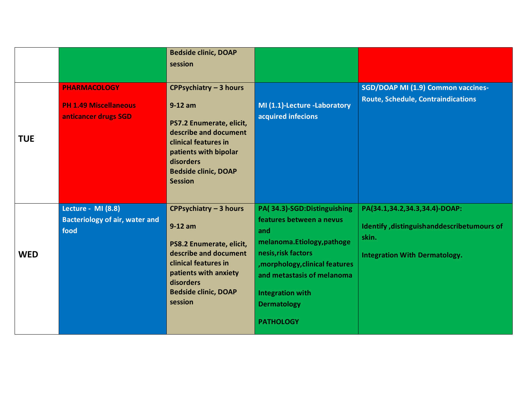|            |                                                                             | <b>Bedside clinic, DOAP</b><br>session                                                                                                                                                                         |                                                                                                                                                                                                                                                          |                                                                                                                              |
|------------|-----------------------------------------------------------------------------|----------------------------------------------------------------------------------------------------------------------------------------------------------------------------------------------------------------|----------------------------------------------------------------------------------------------------------------------------------------------------------------------------------------------------------------------------------------------------------|------------------------------------------------------------------------------------------------------------------------------|
| <b>TUE</b> | <b>PHARMACOLOGY</b><br><b>PH 1.49 Miscellaneous</b><br>anticancer drugs SGD | <b>CPPsychiatry - 3 hours</b><br>$9-12$ am<br>PS7.2 Enumerate, elicit,<br>describe and document<br>clinical features in<br>patients with bipolar<br>disorders<br><b>Bedside clinic, DOAP</b><br><b>Session</b> | MI (1.1)-Lecture -Laboratory<br>acquired infecions                                                                                                                                                                                                       | SGD/DOAP MI (1.9) Common vaccines-<br><b>Route, Schedule, Contraindications</b>                                              |
| <b>WED</b> | Lecture - MI (8.8)<br><b>Bacteriology of air, water and</b><br>food         | CPPsychiatry - 3 hours<br>$9-12$ am<br>PS8.2 Enumerate, elicit,<br>describe and document<br>clinical features in<br>patients with anxiety<br>disorders<br><b>Bedside clinic, DOAP</b><br>session               | PA(34.3)-SGD:Distinguishing<br>features between a nevus<br>and<br>melanoma.Etiology,pathoge<br>nesis, risk factors<br>, morphology, clinical features<br>and metastasis of melanoma<br><b>Integration with</b><br><b>Dermatology</b><br><b>PATHOLOGY</b> | PA(34.1,34.2,34.3,34.4)-DOAP:<br>Identify, distinguishanddescribetumours of<br>skin.<br><b>Integration With Dermatology.</b> |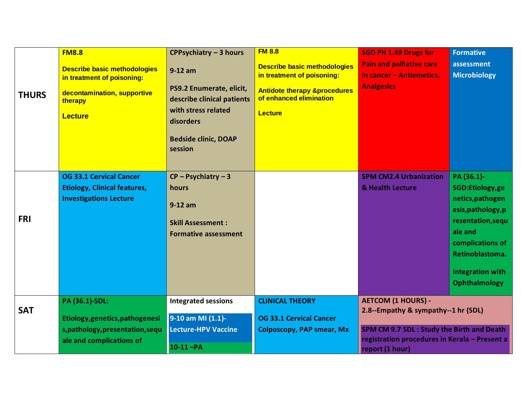| <b>THURS</b> | <b>FM8.8</b><br><b>Describe basic methodologies</b><br>in treatment of poisoning:<br>decontamination, supportive<br>therapy<br><b>Lecture</b> | CPPsychiatry - 3 hours<br>$9-12$ am<br>PS9.2 Enumerate, elicit,<br>describe clinical patients<br>with stress related<br>disorders<br><b>Bedside clinic, DOAP</b><br>session | <b>FM 8.8</b><br><b>Describe basic methodologies</b><br>in treatment of poisoning:<br><b>Antidote therapy &amp;procedures</b><br>of enhanced elimination<br><b>Lecture</b> | <b>SGD PH 1.49 Drugs for</b><br><b>Pain and palliative care</b><br>in cancer - Antiemetics,<br><b>Analgesics</b>                                                                  | <b>Formative</b><br>assessment<br><b>Microbiology</b>                                                                                                                                             |
|--------------|-----------------------------------------------------------------------------------------------------------------------------------------------|-----------------------------------------------------------------------------------------------------------------------------------------------------------------------------|----------------------------------------------------------------------------------------------------------------------------------------------------------------------------|-----------------------------------------------------------------------------------------------------------------------------------------------------------------------------------|---------------------------------------------------------------------------------------------------------------------------------------------------------------------------------------------------|
| <b>FRI</b>   | <b>OG 33.1 Cervical Cancer</b><br><b>Etiology, Clinical features,</b><br><b>Investigations Lecture</b>                                        | $CP - P$ sychiatry - 3<br>hours<br>$9-12$ am<br><b>Skill Assessment:</b><br><b>Formative assessment</b>                                                                     |                                                                                                                                                                            | <b>SPM CM2.4 Urbanization</b><br>& Health Lecture                                                                                                                                 | PA (36.1)-<br>SGD:Etiology,ge<br>netics, pathogen<br>esis, pathology, p<br>resentation, sequ<br>ale and<br>complications of<br>Retinoblastoma.<br><b>Integration with</b><br><b>Ophthalmology</b> |
| <b>SAT</b>   | PA (36.1)-SDL:<br>Etiology, genetics, pathogenesi<br>s, pathology, presentation, sequ<br>ale and complications of                             | <b>Integrated sessions</b><br>9-10 am MI (1.1)-<br><b>Lecture-HPV Vaccine</b><br>$10-11 - PA$                                                                               | <b>CLINICAL THEORY</b><br><b>OG 33.1 Cervical Cancer</b><br><b>Colposcopy, PAP smear, Mx</b>                                                                               | <b>AETCOM (1 HOURS) -</b><br>2.8--Empathy & sympathy--1 hr (SDL)<br>SPM CM 9.7 SDL: Study the Birth and Death<br>registration procedures in Kerala - Present a<br>report (1 hour) |                                                                                                                                                                                                   |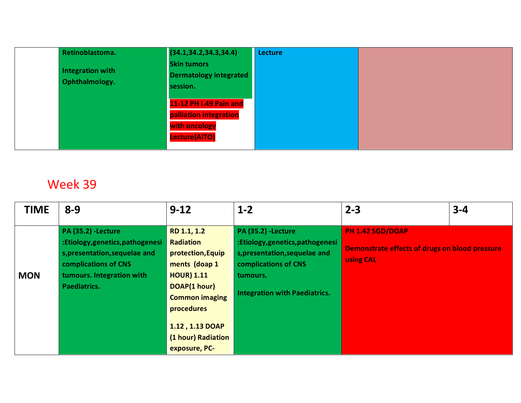| Retinoblastoma.                    | (34.1, 34.2, 34.3, 34.4)                                                           | <b>Lecture</b> |  |
|------------------------------------|------------------------------------------------------------------------------------|----------------|--|
| Integration with<br>Ophthalmology. | <b>Skin tumors</b><br><b>Dermatology integrated</b><br>session.                    |                |  |
|                                    | 11-12 PH I.49 Pain and<br>palliation integration<br>with oncology<br>Lecture(AITO) |                |  |

| <b>TIME</b> | $8 - 9$                                                                                                                                                           | $9 - 12$                                                                                                                                                                                                    | $1 - 2$                                                                                                                                                                  | $2 - 3$                                                                         | $3 - 4$ |
|-------------|-------------------------------------------------------------------------------------------------------------------------------------------------------------------|-------------------------------------------------------------------------------------------------------------------------------------------------------------------------------------------------------------|--------------------------------------------------------------------------------------------------------------------------------------------------------------------------|---------------------------------------------------------------------------------|---------|
| <b>MON</b>  | <b>PA (35.2) -Lecture</b><br>:Etiology,genetics,pathogenesi<br>s, presentation, sequelae and<br>complications of CNS<br>tumours. Integration with<br>Paediatrics. | RD 1.1, 1.2<br><b>Radiation</b><br>protection, Equip<br>ments (doap 1<br><b>HOUR) 1.11</b><br>DOAP(1 hour)<br><b>Common imaging</b><br>procedures<br>1.12, 1.13 DOAP<br>(1 hour) Radiation<br>exposure, PC- | <b>PA (35.2) -Lecture</b><br>:Etiology,genetics,pathogenesi<br>s, presentation, sequelae and<br>complications of CNS<br>tumours.<br><b>Integration with Paediatrics.</b> | PH 1.42 SGD/DOAP<br>Demonstrate effects of drugs on blood pressure<br>using CAL |         |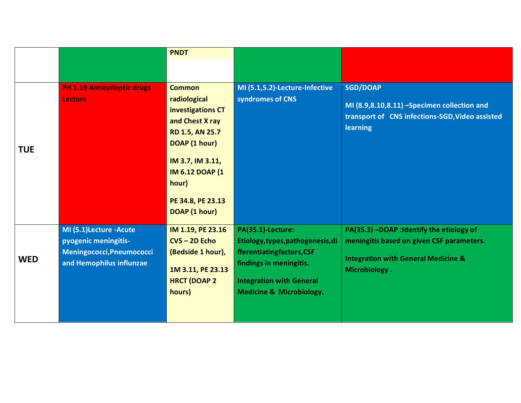|            |                                                                                                         | <b>PNDT</b>                                                                                                                                                                                                    |                                                                                                                                                                                          |                                                                                                                                                           |
|------------|---------------------------------------------------------------------------------------------------------|----------------------------------------------------------------------------------------------------------------------------------------------------------------------------------------------------------------|------------------------------------------------------------------------------------------------------------------------------------------------------------------------------------------|-----------------------------------------------------------------------------------------------------------------------------------------------------------|
|            |                                                                                                         |                                                                                                                                                                                                                |                                                                                                                                                                                          |                                                                                                                                                           |
| <b>TUE</b> | <b>PH 1.19 Antiepileptic drugs</b><br><b>Lecture</b>                                                    | <b>Common</b><br>radiological<br>investigations CT<br>and Chest X ray<br><b>RD 1.5, AN 25.7</b><br>DOAP (1 hour)<br>IM 3.7, IM 3.11,<br><b>IM 6.12 DOAP (1)</b><br>hour)<br>PE 34.8, PE 23.13<br>DOAP (1 hour) | MI (5.1,5.2)-Lecture-Infective<br>syndromes of CNS                                                                                                                                       | <b>SGD/DOAP</b><br>MI (8.9,8.10,8.11) -Specimen collection and<br>transport of CNS infections-SGD, Video assisted<br>learning                             |
| <b>WED</b> | MI (5.1)Lecture -Acute<br>pyogenic meningitis-<br>Meningococci, Pneumococci<br>and Hemophilus influnzae | IM 1.19, PE 23.16<br>$CVS - 2D$ Echo<br>(Bedside 1 hour),<br>1M 3.11, PE 23.13<br><b>HRCT (DOAP 2</b><br>hours)                                                                                                | PA(35.1)-Lecture:<br>Etiology, types, pathogenesis, di<br>fferentiatingfactors, CSF<br>findings in meningitis.<br><b>Integration with General</b><br><b>Medicine &amp; Microbiology.</b> | PA(35.3) -DOAP : Identify the etiology of<br>meningitis based on given CSF parameters.<br><b>Integration with General Medicine &amp;</b><br>Microbiology. |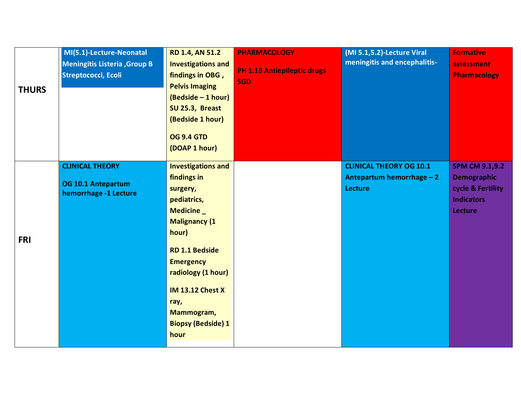| <b>THURS</b> | MI(5.1)-Lecture-Neonatal<br><b>Meningitis Listeria, Group B</b><br>Streptococci, Ecoli | <b>RD 1.4, AN 51.2</b><br><b>Investigations and</b><br>findings in OBG,<br><b>Pelvis Imaging</b><br>(Bedside - 1 hour)<br>SU 25.3, Breast<br>(Bedside 1 hour)<br><b>OG 9.4 GTD</b><br>(DOAP 1 hour)                                                                        | <b>PHARMACOLOGY</b><br><b>PH 1.19 Antiepileptic drugs</b><br><b>SGD</b> | (MI 5.1,5.2)-Lecture Viral<br>meningitis and encephalitis-                    | <b>Formative</b><br>assessment<br><b>Pharmacology</b>                                            |
|--------------|----------------------------------------------------------------------------------------|----------------------------------------------------------------------------------------------------------------------------------------------------------------------------------------------------------------------------------------------------------------------------|-------------------------------------------------------------------------|-------------------------------------------------------------------------------|--------------------------------------------------------------------------------------------------|
| <b>FRI</b>   | <b>CLINICAL THEORY</b><br>OG 10.1 Antepartum<br>hemorrhage -1 Lecture                  | <b>Investigations and</b><br>findings in<br>surgery,<br>pediatrics,<br>Medicine_<br><b>Malignancy (1</b><br>hour)<br><b>RD 1.1 Bedside</b><br><b>Emergency</b><br>radiology (1 hour)<br><b>IM 13.12 Chest X</b><br>ray,<br>Mammogram,<br><b>Biopsy (Bedside) 1</b><br>hour |                                                                         | <b>CLINICAL THEORY OG 10.1</b><br>Antepartum hemorrhage - 2<br><b>Lecture</b> | <b>SPM CM 9.1,9.2</b><br><b>Demographic</b><br>cycle & Fertility<br><b>Indicators</b><br>Lecture |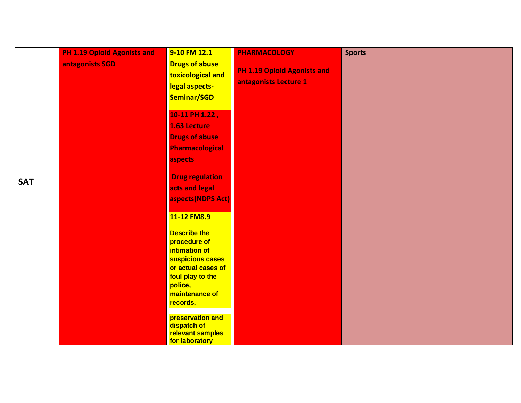|            | <b>PH 1.19 Opioid Agonists and</b> | 9-10 FM 12.1                                                                                                                                                               | <b>PHARMACOLOGY</b>                                         | <b>Sports</b> |
|------------|------------------------------------|----------------------------------------------------------------------------------------------------------------------------------------------------------------------------|-------------------------------------------------------------|---------------|
|            | antagonists SGD                    | <b>Drugs of abuse</b><br>toxicological and<br>legal aspects-<br>Seminar/SGD                                                                                                | <b>PH 1.19 Opioid Agonists and</b><br>antagonists Lecture 1 |               |
|            |                                    | 10-11 PH 1.22,<br>1.63 Lecture<br><b>Drugs of abuse</b><br><b>Pharmacological</b><br>aspects                                                                               |                                                             |               |
| <b>SAT</b> |                                    | <b>Drug regulation</b><br>acts and legal<br>aspects(NDPS Act)                                                                                                              |                                                             |               |
|            |                                    | 11-12 FM8.9<br><b>Describe the</b><br>procedure of<br>intimation of<br>suspicious cases<br>or actual cases of<br>foul play to the<br>police,<br>maintenance of<br>records, |                                                             |               |
|            |                                    | preservation and<br>dispatch of<br>relevant samples<br>for laboratory                                                                                                      |                                                             |               |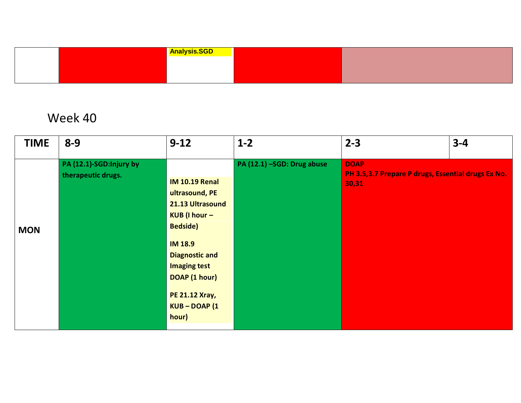|  | <b>Analysis.SGD</b> |  |  |
|--|---------------------|--|--|
|  |                     |  |  |
|  |                     |  |  |
|  |                     |  |  |

| <b>TIME</b> | $8 - 9$                                       | $9 - 12$                                                                                                                                                                                                                             | $1-2$                      | $2 - 3$                                                                    | $3 - 4$ |
|-------------|-----------------------------------------------|--------------------------------------------------------------------------------------------------------------------------------------------------------------------------------------------------------------------------------------|----------------------------|----------------------------------------------------------------------------|---------|
| <b>MON</b>  | PA (12.1)-SGD:Injury by<br>therapeutic drugs. | <b>IM 10.19 Renal</b><br>ultrasound, PE<br>21.13 Ultrasound<br>KUB (I hour -<br><b>Bedside</b> )<br><b>IM 18.9</b><br><b>Diagnostic and</b><br><b>Imaging test</b><br>DOAP (1 hour)<br><b>PE 21.12 Xray,</b><br>KUB-DOAP (1<br>hour) | PA (12.1) -SGD: Drug abuse | <b>DOAP</b><br>PH 3.5,3.7 Prepare P drugs, Essential drugs Ex No.<br>30,31 |         |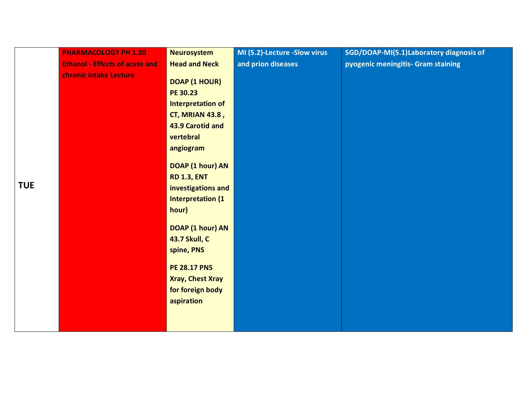| <b>Ethanol - Effects of acute and</b><br><b>Head and Neck</b><br>and prion diseases<br>pyogenic meningitis- Gram staining<br>chronic intake Lecture<br>DOAP (1 HOUR)<br>PE 30.23<br>Interpretation of<br><b>CT, MRIAN 43.8,</b><br>43.9 Carotid and<br>vertebral<br>angiogram<br>DOAP (1 hour) AN | SGD/DOAP-MI(5.1)Laboratory diagnosis of |
|---------------------------------------------------------------------------------------------------------------------------------------------------------------------------------------------------------------------------------------------------------------------------------------------------|-----------------------------------------|
|                                                                                                                                                                                                                                                                                                   |                                         |
| <b>RD 1.3, ENT</b><br><b>TUE</b><br>investigations and<br><b>Interpretation (1)</b><br>hour)<br>DOAP (1 hour) AN<br><b>43.7 Skull, C</b><br>spine, PNS<br><b>PE 28.17 PNS</b>                                                                                                                     |                                         |
| <b>Xray, Chest Xray</b><br>for foreign body                                                                                                                                                                                                                                                       |                                         |
| aspiration                                                                                                                                                                                                                                                                                        |                                         |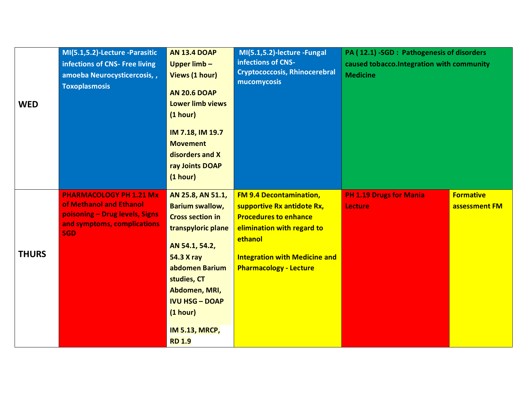| <b>WED</b>   | MI(5.1,5.2)-Lecture -Parasitic<br>infections of CNS- Free living<br>amoeba Neurocysticercosis,,<br><b>Toxoplasmosis</b>                  | <b>AN 13.4 DOAP</b><br>Upper $limb -$<br>Views (1 hour)<br><b>AN 20.6 DOAP</b><br><b>Lower limb views</b><br>(1 hour)<br>IM 7.18, IM 19.7<br><b>Movement</b><br>disorders and X<br>ray Joints DOAP<br>(1 hour)                                                       | MI(5.1,5.2)-lecture - Fungal<br>infections of CNS-<br><b>Cryptococcosis, Rhinocerebral</b><br>mucomycosis                                                                                                      | PA (12.1) -SGD : Pathogenesis of disorders<br>caused tobacco. Integration with community<br><b>Medicine</b> |                                   |
|--------------|------------------------------------------------------------------------------------------------------------------------------------------|----------------------------------------------------------------------------------------------------------------------------------------------------------------------------------------------------------------------------------------------------------------------|----------------------------------------------------------------------------------------------------------------------------------------------------------------------------------------------------------------|-------------------------------------------------------------------------------------------------------------|-----------------------------------|
| <b>THURS</b> | <b>PHARMACOLOGY PH 1.21 Mx</b><br>of Methanol and Ethanol<br>poisoning - Drug levels, Signs<br>and symptoms, complications<br><b>SGD</b> | AN 25.8, AN 51.1,<br><b>Barium swallow,</b><br><b>Cross section in</b><br>transpyloric plane<br>AN 54.1, 54.2,<br><b>54.3 X ray</b><br>abdomen Barium<br>studies, CT<br>Abdomen, MRI,<br><b>IVU HSG - DOAP</b><br>(1 hour)<br><b>IM 5.13, MRCP,</b><br><b>RD 1.9</b> | <b>FM 9.4 Decontamination,</b><br>supportive Rx antidote Rx,<br><b>Procedures to enhance</b><br>elimination with regard to<br>ethanol<br><b>Integration with Medicine and</b><br><b>Pharmacology - Lecture</b> | <b>PH 1.19 Drugs for Mania</b><br><b>Lecture</b>                                                            | <b>Formative</b><br>assessment FM |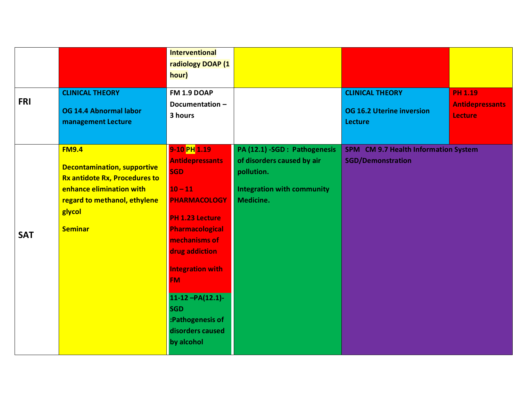| <b>FRI</b> | <b>CLINICAL THEORY</b><br>OG 14.4 Abnormal labor<br>management Lecture                                                                                                      | <b>Interventional</b><br>radiology DOAP (1<br>hour)<br>FM 1.9 DOAP<br>Documentation-<br>3 hours                                                                                                                                                                                                            |                                                                                                                             | <b>CLINICAL THEORY</b><br><b>OG 16.2 Uterine inversion</b><br><b>Lecture</b> | <b>PH 1.19</b><br><b>Antidepressants</b><br><b>Lecture</b> |
|------------|-----------------------------------------------------------------------------------------------------------------------------------------------------------------------------|------------------------------------------------------------------------------------------------------------------------------------------------------------------------------------------------------------------------------------------------------------------------------------------------------------|-----------------------------------------------------------------------------------------------------------------------------|------------------------------------------------------------------------------|------------------------------------------------------------|
| <b>SAT</b> | <b>FM9.4</b><br><b>Decontamination, supportive</b><br>Rx antidote Rx, Procedures to<br>enhance elimination with<br>regard to methanol, ethylene<br>glycol<br><b>Seminar</b> | 9-10 PH 1.19<br><b>Antidepressants</b><br><b>SGD</b><br>$10 - 11$<br><b>PHARMACOLOGY</b><br>PH 1.23 Lecture<br><b>Pharmacological</b><br>mechanisms of<br>drug addiction<br><b>Integration with</b><br><b>FM</b><br>$11-12 - PA(12.1)$<br><b>SGD</b><br>:Pathogenesis of<br>disorders caused<br>by alcohol | PA (12.1) -SGD : Pathogenesis<br>of disorders caused by air<br>pollution.<br><b>Integration with community</b><br>Medicine. | SPM CM 9.7 Health Information System<br><b>SGD/Demonstration</b>             |                                                            |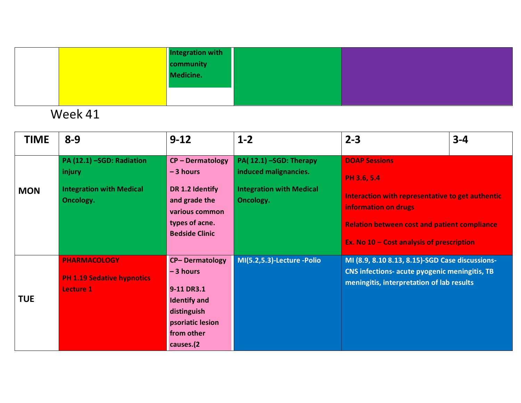| Integration with<br>community |  |
|-------------------------------|--|
|                               |  |
| Medicine.                     |  |
|                               |  |
|                               |  |

| <b>TIME</b> | $8 - 9$                                                                             | $9 - 12$                                                                                                                               | $1 - 2$                                                                                         | $2 - 3$                                                                                                                                                                                                             | $3 - 4$ |
|-------------|-------------------------------------------------------------------------------------|----------------------------------------------------------------------------------------------------------------------------------------|-------------------------------------------------------------------------------------------------|---------------------------------------------------------------------------------------------------------------------------------------------------------------------------------------------------------------------|---------|
| <b>MON</b>  | PA (12.1) -SGD: Radiation<br>injury<br><b>Integration with Medical</b><br>Oncology. | $CP - Dermatology$<br>$-3$ hours<br>DR 1.2 Identify<br>and grade the<br>various common<br>types of acne.<br><b>Bedside Clinic</b>      | PA(12.1) -SGD: Therapy<br>induced malignancies.<br><b>Integration with Medical</b><br>Oncology. | <b>DOAP Sessions</b><br>PH 3.6, 5.4<br>Interaction with representative to get authentic<br>information on drugs<br><b>Relation between cost and patient compliance</b><br>Ex. No 10 - Cost analysis of prescription |         |
| <b>TUE</b>  | <b>PHARMACOLOGY</b><br><b>PH 1.19 Sedative hypnotics</b><br>Lecture 1               | <b>CP-Dermatology</b><br>$-3$ hours<br>9-11 DR3.1<br><b>Identify and</b><br>distinguish<br>psoriatic lesion<br>from other<br>causes.(2 | MI(5.2,5.3)-Lecture -Polio                                                                      | MI (8.9, 8.10 8.13, 8.15)-SGD Case discussions-<br><b>CNS infections- acute pyogenic meningitis, TB</b><br>meningitis, interpretation of lab results                                                                |         |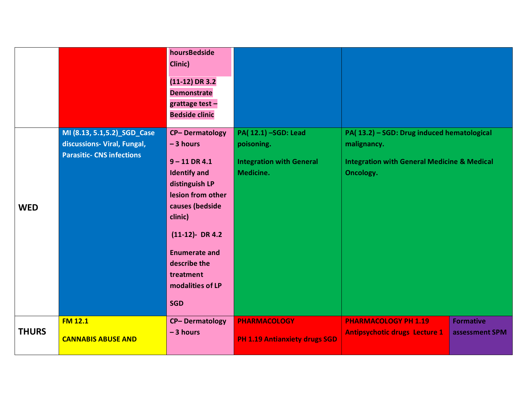|              |                                                                                                 | hoursBedside<br>Clinic)<br>$(11-12)$ DR 3.2<br><b>Demonstrate</b><br>grattage test $-$<br><b>Bedside clinic</b>                                                                                                                                                 |                                                                                   |                                                                                                                                         |                                    |
|--------------|-------------------------------------------------------------------------------------------------|-----------------------------------------------------------------------------------------------------------------------------------------------------------------------------------------------------------------------------------------------------------------|-----------------------------------------------------------------------------------|-----------------------------------------------------------------------------------------------------------------------------------------|------------------------------------|
| <b>WED</b>   | MI (8.13, 5.1, 5.2)_SGD_Case<br>discussions- Viral, Fungal,<br><b>Parasitic- CNS infections</b> | <b>CP-Dermatology</b><br>$-3$ hours<br>$9 - 11$ DR 4.1<br><b>Identify and</b><br>distinguish LP<br>lesion from other<br>causes (bedside<br>clinic)<br>$(11-12)$ - DR 4.2<br><b>Enumerate and</b><br>describe the<br>treatment<br>modalities of LP<br><b>SGD</b> | PA(12.1) -SGD: Lead<br>poisoning.<br><b>Integration with General</b><br>Medicine. | PA(13.2) - SGD: Drug induced hematological<br>malignancy.<br><b>Integration with General Medicine &amp; Medical</b><br><b>Oncology.</b> |                                    |
| <b>THURS</b> | <b>FM 12.1</b><br><b>CANNABIS ABUSE AND</b>                                                     | <b>CP-Dermatology</b><br>$-3$ hours                                                                                                                                                                                                                             | <b>PHARMACOLOGY</b><br><b>PH 1.19 Antianxiety drugs SGD</b>                       | <b>PHARMACOLOGY PH 1.19</b><br><b>Antipsychotic drugs Lecture 1</b>                                                                     | <b>Formative</b><br>assessment SPM |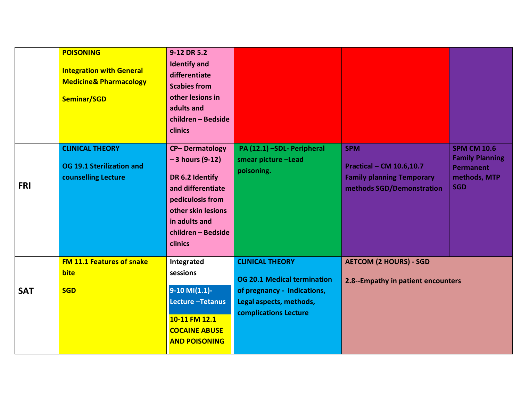|            | <b>POISONING</b><br><b>Integration with General</b><br><b>Medicine&amp; Pharmacology</b><br>Seminar/SGD | 9-12 DR 5.2<br><b>Identify and</b><br>differentiate<br><b>Scabies from</b><br>other lesions in<br>adults and<br>children - Bedside<br>clinics                                  |                                                                                                                                                 |                                                                                                                |                                                                                                |
|------------|---------------------------------------------------------------------------------------------------------|--------------------------------------------------------------------------------------------------------------------------------------------------------------------------------|-------------------------------------------------------------------------------------------------------------------------------------------------|----------------------------------------------------------------------------------------------------------------|------------------------------------------------------------------------------------------------|
| <b>FRI</b> | <b>CLINICAL THEORY</b><br>OG 19.1 Sterilization and<br>counselling Lecture                              | <b>CP-Dermatology</b><br>$-3$ hours (9-12)<br>DR 6.2 Identify<br>and differentiate<br>pediculosis from<br>other skin lesions<br>in adults and<br>children - Bedside<br>clinics | PA (12.1) -SDL- Peripheral<br>smear picture -Lead<br>poisoning.                                                                                 | <b>SPM</b><br><b>Practical - CM 10.6,10.7</b><br><b>Family planning Temporary</b><br>methods SGD/Demonstration | <b>SPM CM 10.6</b><br><b>Family Planning</b><br><b>Permanent</b><br>methods, MTP<br><b>SGD</b> |
| <b>SAT</b> | <b>FM 11.1 Features of snake</b><br><b>bite</b><br><b>SGD</b>                                           | Integrated<br>sessions<br>$9-10$ MI $(1.1)$ -<br>Lecture-Tetanus<br>10-11 FM 12.1<br><b>COCAINE ABUSE</b><br><b>AND POISONING</b>                                              | <b>CLINICAL THEORY</b><br><b>OG 20.1 Medical termination</b><br>of pregnancy - Indications,<br>Legal aspects, methods,<br>complications Lecture | <b>AETCOM (2 HOURS) - SGD</b><br>2.8--Empathy in patient encounters                                            |                                                                                                |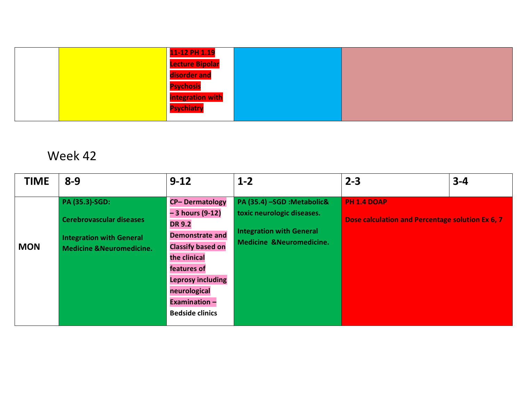|  | 11-12 PH 1.19           |  |
|--|-------------------------|--|
|  | <b>Lecture Bipolar</b>  |  |
|  | disorder and            |  |
|  | <b>Psychosis</b>        |  |
|  | <b>integration with</b> |  |
|  | <b>Psychiatry</b>       |  |
|  |                         |  |

| <b>TIME</b> | $8 - 9$                                                                                                                     | $9 - 12$                                                                                                                                                                                                                                       | $1-2$                                                                                                                              | $2 - 3$                                                                | $3 - 4$ |
|-------------|-----------------------------------------------------------------------------------------------------------------------------|------------------------------------------------------------------------------------------------------------------------------------------------------------------------------------------------------------------------------------------------|------------------------------------------------------------------------------------------------------------------------------------|------------------------------------------------------------------------|---------|
| <b>MON</b>  | PA (35.3)-SGD:<br><b>Cerebrovascular diseases</b><br><b>Integration with General</b><br><b>Medicine &amp;Neuromedicine.</b> | <b>CP-Dermatology</b><br>$-3$ hours (9-12)<br><b>DR 9.2</b><br><b>Demonstrate and</b><br><b>Classify based on</b><br>the clinical<br>features of<br><b>Leprosy including</b><br>neurological<br><b>Examination -</b><br><b>Bedside clinics</b> | PA (35.4) -SGD :Metabolic&<br>toxic neurologic diseases.<br><b>Integration with General</b><br><b>Medicine &amp;Neuromedicine.</b> | <b>PH 1.4 DOAP</b><br>Dose calculation and Percentage solution Ex 6, 7 |         |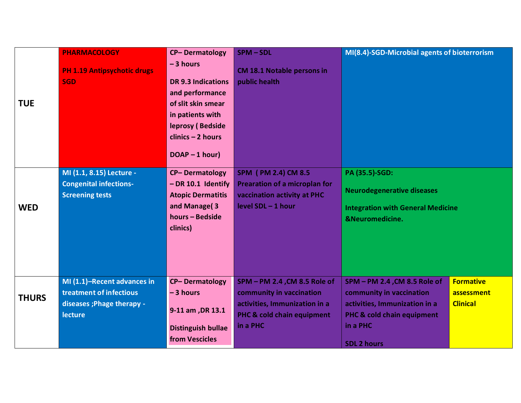| <b>TUE</b>   | <b>PHARMACOLOGY</b><br><b>PH 1.19 Antipsychotic drugs</b><br><b>SGD</b>                                | <b>CP-Dermatology</b><br>$-3$ hours<br><b>DR 9.3 Indications</b><br>and performance<br>of slit skin smear<br>in patients with<br>leprosy (Bedside<br>$clinics - 2 hours$ | SPM-SDL<br><b>CM 18.1 Notable persons in</b><br>public health                                                                       | MI(8.4)-SGD-Microbial agents of bioterrorism                                                                                                              |                                                   |
|--------------|--------------------------------------------------------------------------------------------------------|--------------------------------------------------------------------------------------------------------------------------------------------------------------------------|-------------------------------------------------------------------------------------------------------------------------------------|-----------------------------------------------------------------------------------------------------------------------------------------------------------|---------------------------------------------------|
| <b>WED</b>   | MI (1.1, 8.15) Lecture -<br><b>Congenital infections-</b><br><b>Screening tests</b>                    | $DOAP - 1 hour)$<br><b>CP-Dermatology</b><br>$-DR 10.1$ Identify<br><b>Atopic Dermatitis</b><br>and Manage(3<br>hours - Bedside<br>clinics)                              | SPM (PM 2.4) CM 8.5<br><b>Prearation of a microplan for</b><br>vaccination activity at PHC<br>level SDL - 1 hour                    | PA (35.5)-SGD:<br><b>Neurodegenerative diseases</b><br><b>Integration with General Medicine</b><br><b>&amp;Neuromedicine.</b>                             |                                                   |
| <b>THURS</b> | MI (1.1)-Recent advances in<br>treatment of infectious<br>diseases ; Phage therapy -<br><b>lecture</b> | <b>CP-Dermatology</b><br>$-3$ hours<br>9-11 am, DR 13.1<br><b>Distinguish bullae</b><br>from Vescicles                                                                   | SPM - PM 2.4, CM 8.5 Role of<br>community in vaccination<br>activities, Immunization in a<br>PHC & cold chain equipment<br>in a PHC | SPM - PM 2.4, CM 8.5 Role of<br>community in vaccination<br>activities, Immunization in a<br>PHC & cold chain equipment<br>in a PHC<br><b>SDL 2 hours</b> | <b>Formative</b><br>assessment<br><b>Clinical</b> |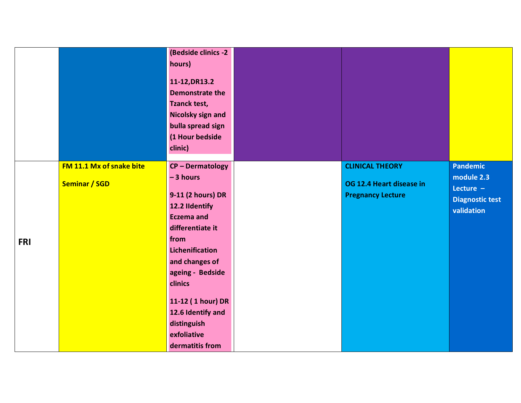|            |                                                  | (Bedside clinics -2<br>hours)<br>11-12, DR13.2<br><b>Demonstrate the</b><br><b>Tzanck test,</b><br>Nicolsky sign and<br>bulla spread sign<br>(1 Hour bedside<br>clinic)                                                                                                                           |                                                                                |                                                                                      |
|------------|--------------------------------------------------|---------------------------------------------------------------------------------------------------------------------------------------------------------------------------------------------------------------------------------------------------------------------------------------------------|--------------------------------------------------------------------------------|--------------------------------------------------------------------------------------|
| <b>FRI</b> | FM 11.1 Mx of snake bite<br><b>Seminar / SGD</b> | <b>CP-Dermatology</b><br>$-3$ hours<br>9-11 (2 hours) DR<br>12.2 Ildentify<br><b>Eczema</b> and<br>differentiate it<br>from<br><b>Lichenification</b><br>and changes of<br>ageing - Bedside<br>clinics<br>11-12 (1 hour) DR<br>12.6 Identify and<br>distinguish<br>exfoliative<br>dermatitis from | <b>CLINICAL THEORY</b><br>OG 12.4 Heart disease in<br><b>Pregnancy Lecture</b> | <b>Pandemic</b><br>module 2.3<br>Lecture $-$<br><b>Diagnostic test</b><br>validation |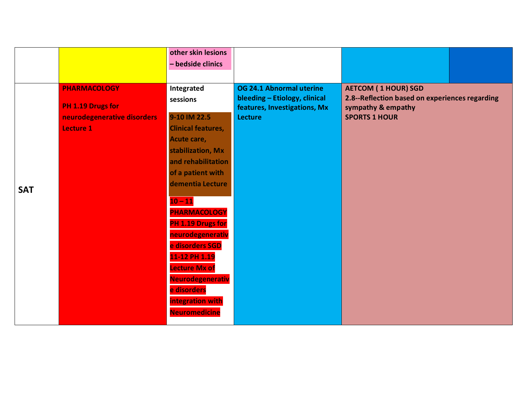|            |                                                                                             | other skin lesions                                                                                                                                                                                                                                                                                                                                                                             |                                                                                                             |                                                                                                                            |  |
|------------|---------------------------------------------------------------------------------------------|------------------------------------------------------------------------------------------------------------------------------------------------------------------------------------------------------------------------------------------------------------------------------------------------------------------------------------------------------------------------------------------------|-------------------------------------------------------------------------------------------------------------|----------------------------------------------------------------------------------------------------------------------------|--|
|            |                                                                                             | - bedside clinics                                                                                                                                                                                                                                                                                                                                                                              |                                                                                                             |                                                                                                                            |  |
| <b>SAT</b> | <b>PHARMACOLOGY</b><br>PH 1.19 Drugs for<br>neurodegenerative disorders<br><b>Lecture 1</b> | Integrated<br>sessions<br>9-10 IM 22.5<br><b>Clinical features,</b><br>Acute care,<br>stabilization, Mx<br>and rehabilitation<br>of a patient with<br>dementia Lecture<br>$10 - 11$<br><b>PHARMACOLOGY</b><br>PH 1.19 Drugs for<br>neurodegenerativ<br>e disorders SGD<br>11-12 PH 1.19<br><b>Lecture Mx of</b><br>Neurodegenerativ<br>e disorders<br>integration with<br><b>Neuromedicine</b> | OG 24.1 Abnormal uterine<br>bleeding - Etiology, clinical<br>features, Investigations, Mx<br><b>Lecture</b> | <b>AETCOM (1 HOUR) SGD</b><br>2.8--Reflection based on experiences regarding<br>sympathy & empathy<br><b>SPORTS 1 HOUR</b> |  |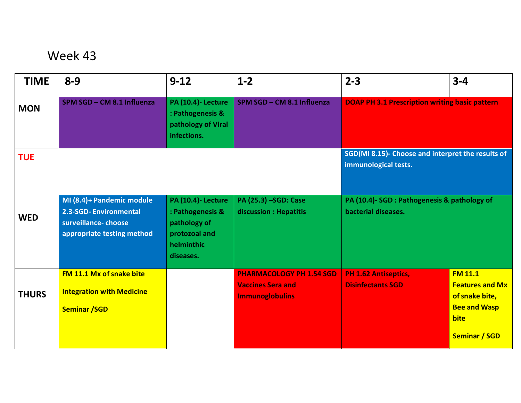| <b>TIME</b>  | $8 - 9$                                                                                                 | $9 - 12$                                                                                                  | $1 - 2$                                                                               | $2 - 3$                                                                   | $3 - 4$                                                                                                           |
|--------------|---------------------------------------------------------------------------------------------------------|-----------------------------------------------------------------------------------------------------------|---------------------------------------------------------------------------------------|---------------------------------------------------------------------------|-------------------------------------------------------------------------------------------------------------------|
| <b>MON</b>   | SPM SGD - CM 8.1 Influenza                                                                              | <b>PA (10.4)- Lecture</b><br>: Pathogenesis &<br>pathology of Viral<br>infections.                        | SPM SGD - CM 8.1 Influenza                                                            | <b>DOAP PH 3.1 Prescription writing basic pattern</b>                     |                                                                                                                   |
| <b>TUE</b>   |                                                                                                         |                                                                                                           |                                                                                       | SGD(MI 8.15)- Choose and interpret the results of<br>immunological tests. |                                                                                                                   |
| <b>WED</b>   | MI (8.4)+ Pandemic module<br>2.3-SGD-Environmental<br>surveillance-choose<br>appropriate testing method | <b>PA (10.4)- Lecture</b><br>: Pathogenesis &<br>pathology of<br>protozoal and<br>helminthic<br>diseases. | PA (25.3) -SGD: Case<br>discussion : Hepatitis                                        | PA (10.4)- SGD : Pathogenesis & pathology of<br>bacterial diseases.       |                                                                                                                   |
| <b>THURS</b> | FM 11.1 Mx of snake bite<br><b>Integration with Medicine</b><br><b>Seminar /SGD</b>                     |                                                                                                           | <b>PHARMACOLOGY PH 1.54 SGD</b><br><b>Vaccines Sera and</b><br><b>Immunoglobulins</b> | <b>PH 1.62 Antiseptics,</b><br><b>Disinfectants SGD</b>                   | <b>FM 11.1</b><br><b>Features and Mx</b><br>of snake bite,<br><b>Bee and Wasp</b><br>bite<br><b>Seminar / SGD</b> |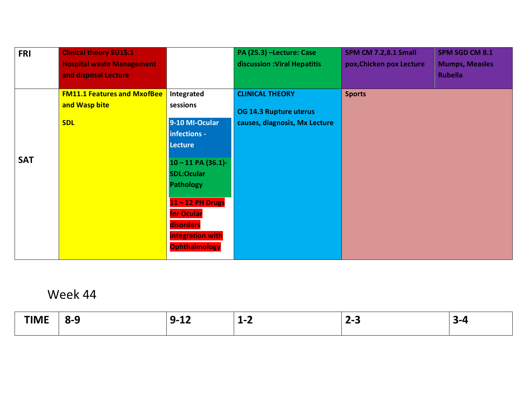| <b>FRI</b> | <b>Clinical theory SU15.1</b>                       |                        | PA (25.3) -Lecture: Case      | <b>SPM CM 7.2,8.1 Small</b> | SPM SGD CM 8.1        |
|------------|-----------------------------------------------------|------------------------|-------------------------------|-----------------------------|-----------------------|
|            | <b>Hospital waste Management</b>                    |                        | discussion : Viral Hepatitis  | pox, Chicken pox Lecture    | <b>Mumps, Measles</b> |
|            | and disposal Lecture                                |                        |                               |                             | <b>Rubella</b>        |
|            | <b>FM11.1 Features and MxofBee</b><br>and Wasp bite | Integrated<br>sessions | <b>CLINICAL THEORY</b>        | <b>Sports</b>               |                       |
|            |                                                     |                        | OG 14.3 Rupture uterus        |                             |                       |
|            | <b>SDL</b>                                          | 9-10 MI-Ocular         | causes, diagnosis, Mx Lecture |                             |                       |
|            |                                                     | infections -           |                               |                             |                       |
|            |                                                     | <b>Lecture</b>         |                               |                             |                       |
| <b>SAT</b> |                                                     | $10 - 11$ PA (36.1)-   |                               |                             |                       |
|            |                                                     | <b>SDL:Ocular</b>      |                               |                             |                       |
|            |                                                     | <b>Pathology</b>       |                               |                             |                       |
|            |                                                     | 11-12 PH Drugs         |                               |                             |                       |
|            |                                                     | for Ocular             |                               |                             |                       |
|            |                                                     | disorders              |                               |                             |                       |
|            |                                                     | integration with       |                               |                             |                       |
|            |                                                     | <b>Ophthalmology</b>   |                               |                             |                       |

| TIN AF<br>I IIVIE | $8 - 9$ | $\sim$<br>Ð<br>$\sim$<br>ч-<br>-<br>--- | $\overline{\phantom{a}}$<br>$L^-$ | ⌒<br>$\sim$<br><b>/-3</b><br>-<br>- |  |
|-------------------|---------|-----------------------------------------|-----------------------------------|-------------------------------------|--|
|                   |         |                                         |                                   |                                     |  |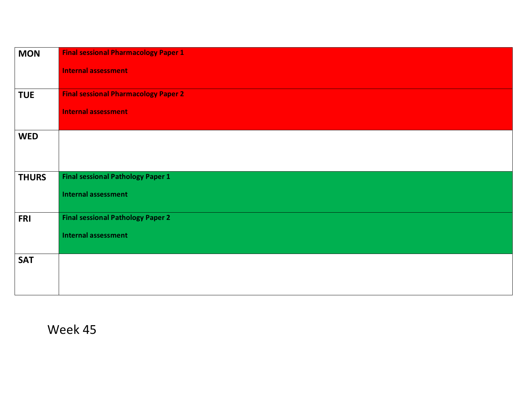| <b>MON</b>   | <b>Final sessional Pharmacology Paper 1</b> |
|--------------|---------------------------------------------|
|              | <b>Internal assessment</b>                  |
| <b>TUE</b>   | <b>Final sessional Pharmacology Paper 2</b> |
|              | <b>Internal assessment</b>                  |
| <b>WED</b>   |                                             |
|              |                                             |
| <b>THURS</b> | <b>Final sessional Pathology Paper 1</b>    |
|              | <b>Internal assessment</b>                  |
| <b>FRI</b>   | <b>Final sessional Pathology Paper 2</b>    |
|              | <b>Internal assessment</b>                  |
| <b>SAT</b>   |                                             |
|              |                                             |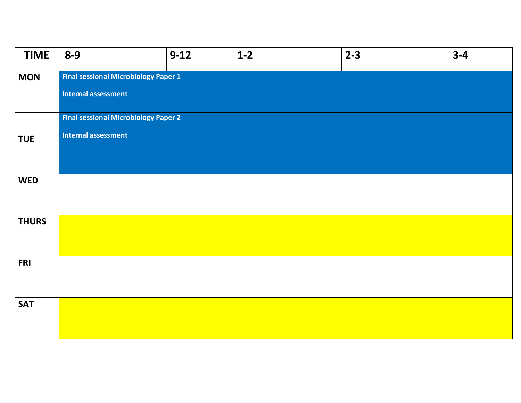| <b>TIME</b>  | $8 - 9$                                     | $9-12$ | $1-2$ | $2 - 3$ | $3 - 4$ |
|--------------|---------------------------------------------|--------|-------|---------|---------|
| <b>MON</b>   | <b>Final sessional Microbiology Paper 1</b> |        |       |         |         |
|              | <b>Internal assessment</b>                  |        |       |         |         |
|              | <b>Final sessional Microbiology Paper 2</b> |        |       |         |         |
| <b>TUE</b>   | <b>Internal assessment</b>                  |        |       |         |         |
|              |                                             |        |       |         |         |
| <b>WED</b>   |                                             |        |       |         |         |
|              |                                             |        |       |         |         |
| <b>THURS</b> |                                             |        |       |         |         |
|              |                                             |        |       |         |         |
| <b>FRI</b>   |                                             |        |       |         |         |
|              |                                             |        |       |         |         |
| <b>SAT</b>   |                                             |        |       |         |         |
|              |                                             |        |       |         |         |
|              |                                             |        |       |         |         |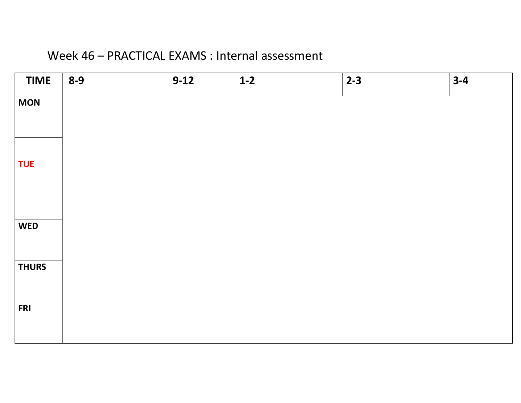#### Week 46 – PRACTICAL EXAMS : Internal assessment

| <b>TIME</b>  | $8 - 9$ | $9-12$ | $1-2$ | $2 - 3$ | $3-4$ |
|--------------|---------|--------|-------|---------|-------|
| <b>MON</b>   |         |        |       |         |       |
| <b>TUE</b>   |         |        |       |         |       |
| <b>WED</b>   |         |        |       |         |       |
| <b>THURS</b> |         |        |       |         |       |
| <b>FRI</b>   |         |        |       |         |       |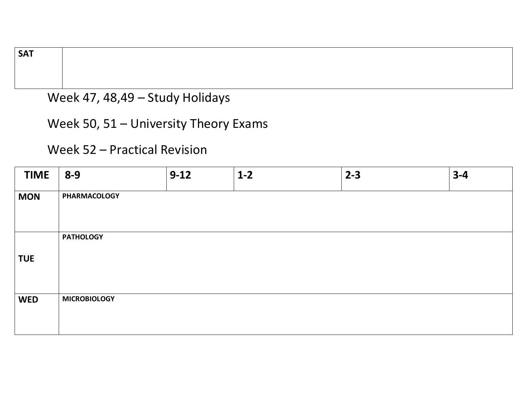**SAT**

#### Week 47, 48,49 – Study Holidays

Week 50, 51 – University Theory Exams

Week 52 – Practical Revision

| <b>TIME</b> | $8 - 9$             | $9 - 12$ | $1-2$ | $2 - 3$ | $3 - 4$ |
|-------------|---------------------|----------|-------|---------|---------|
| <b>MON</b>  | <b>PHARMACOLOGY</b> |          |       |         |         |
| <b>TUE</b>  | <b>PATHOLOGY</b>    |          |       |         |         |
| <b>WED</b>  | <b>MICROBIOLOGY</b> |          |       |         |         |